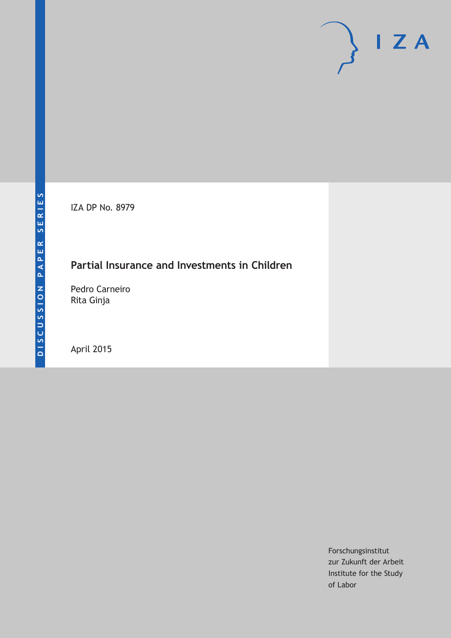IZA DP No. 8979

## **Partial Insurance and Investments in Children**

Pedro Carneiro Rita Ginja

April 2015

Forschungsinstitut zur Zukunft der Arbeit Institute for the Study of Labor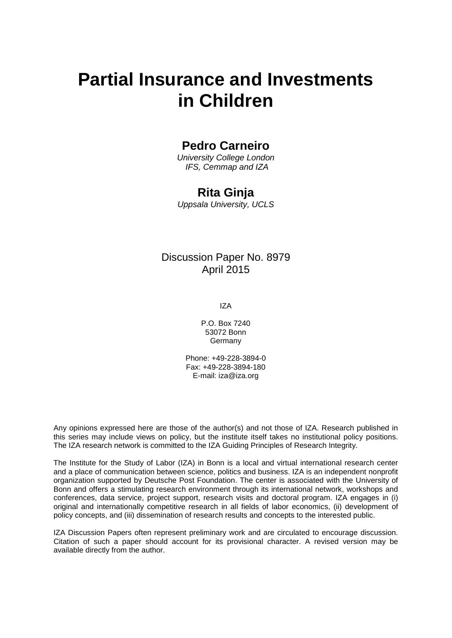# **Partial Insurance and Investments in Children**

### **Pedro Carneiro**

*University College London IFS, Cemmap and IZA*

#### **Rita Ginja**

*Uppsala University, UCLS*

#### Discussion Paper No. 8979 April 2015

IZA

P.O. Box 7240 53072 Bonn **Germany** 

Phone: +49-228-3894-0 Fax: +49-228-3894-180 E-mail: iza@iza.org

Any opinions expressed here are those of the author(s) and not those of IZA. Research published in this series may include views on policy, but the institute itself takes no institutional policy positions. The IZA research network is committed to the IZA Guiding Principles of Research Integrity.

The Institute for the Study of Labor (IZA) in Bonn is a local and virtual international research center and a place of communication between science, politics and business. IZA is an independent nonprofit organization supported by Deutsche Post Foundation. The center is associated with the University of Bonn and offers a stimulating research environment through its international network, workshops and conferences, data service, project support, research visits and doctoral program. IZA engages in (i) original and internationally competitive research in all fields of labor economics, (ii) development of policy concepts, and (iii) dissemination of research results and concepts to the interested public.

<span id="page-1-0"></span>IZA Discussion Papers often represent preliminary work and are circulated to encourage discussion. Citation of such a paper should account for its provisional character. A revised version may be available directly from the author.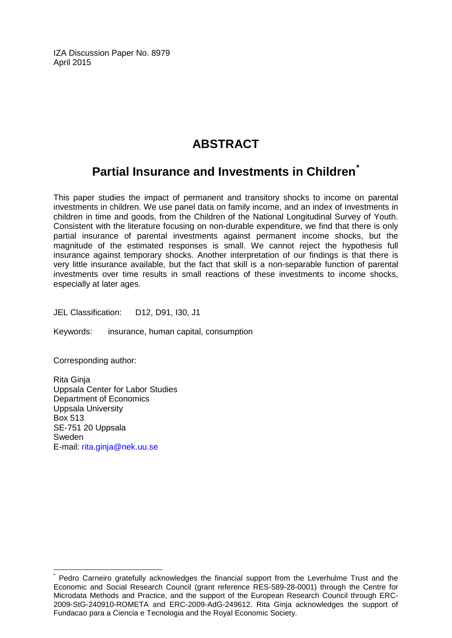IZA Discussion Paper No. 8979 April 2015

## **ABSTRACT**

## **Partial Insurance and Investments in Children[\\*](#page-1-0)**

This paper studies the impact of permanent and transitory shocks to income on parental investments in children. We use panel data on family income, and an index of investments in children in time and goods, from the Children of the National Longitudinal Survey of Youth. Consistent with the literature focusing on non-durable expenditure, we find that there is only partial insurance of parental investments against permanent income shocks, but the magnitude of the estimated responses is small. We cannot reject the hypothesis full insurance against temporary shocks. Another interpretation of our findings is that there is very little insurance available, but the fact that skill is a non-separable function of parental investments over time results in small reactions of these investments to income shocks, especially at later ages.

JEL Classification: D12, D91, I30, J1

Keywords: insurance, human capital, consumption

Corresponding author:

Rita Ginja Uppsala Center for Labor Studies Department of Economics Uppsala University Box 513 SE-751 20 Uppsala Sweden E-mail: [rita.ginja@nek.uu.se](mailto:rita.ginja@nek.uu.se)

Pedro Carneiro gratefully acknowledges the financial support from the Leverhulme Trust and the Economic and Social Research Council (grant reference RES-589-28-0001) through the Centre for Microdata Methods and Practice, and the support of the European Research Council through ERC-2009-StG-240910-ROMETA and ERC-2009-AdG-249612. Rita Ginja acknowledges the support of Fundacao para a Ciencia e Tecnologia and the Royal Economic Society.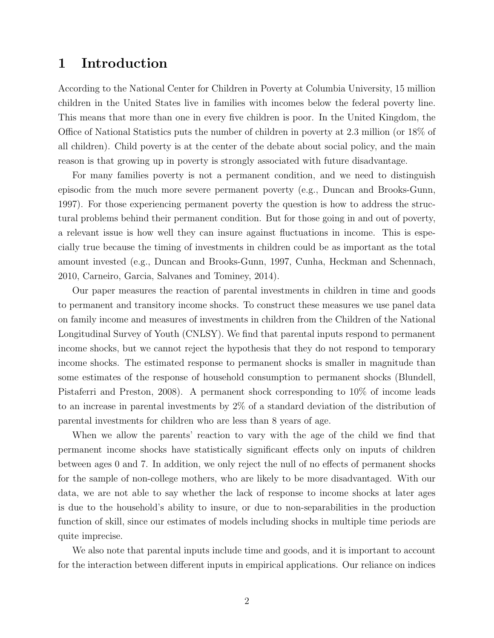#### 1 Introduction

According to the National Center for Children in Poverty at Columbia University, 15 million children in the United States live in families with incomes below the federal poverty line. This means that more than one in every five children is poor. In the United Kingdom, the Office of National Statistics puts the number of children in poverty at 2.3 million (or 18% of all children). Child poverty is at the center of the debate about social policy, and the main reason is that growing up in poverty is strongly associated with future disadvantage.

For many families poverty is not a permanent condition, and we need to distinguish episodic from the much more severe permanent poverty (e.g., Duncan and Brooks-Gunn, 1997). For those experiencing permanent poverty the question is how to address the structural problems behind their permanent condition. But for those going in and out of poverty, a relevant issue is how well they can insure against fluctuations in income. This is especially true because the timing of investments in children could be as important as the total amount invested (e.g., Duncan and Brooks-Gunn, 1997, Cunha, Heckman and Schennach, 2010, Carneiro, Garcia, Salvanes and Tominey, 2014).

Our paper measures the reaction of parental investments in children in time and goods to permanent and transitory income shocks. To construct these measures we use panel data on family income and measures of investments in children from the Children of the National Longitudinal Survey of Youth (CNLSY). We find that parental inputs respond to permanent income shocks, but we cannot reject the hypothesis that they do not respond to temporary income shocks. The estimated response to permanent shocks is smaller in magnitude than some estimates of the response of household consumption to permanent shocks (Blundell, Pistaferri and Preston, 2008). A permanent shock corresponding to 10% of income leads to an increase in parental investments by 2% of a standard deviation of the distribution of parental investments for children who are less than 8 years of age.

When we allow the parents' reaction to vary with the age of the child we find that permanent income shocks have statistically significant effects only on inputs of children between ages 0 and 7. In addition, we only reject the null of no effects of permanent shocks for the sample of non-college mothers, who are likely to be more disadvantaged. With our data, we are not able to say whether the lack of response to income shocks at later ages is due to the household's ability to insure, or due to non-separabilities in the production function of skill, since our estimates of models including shocks in multiple time periods are quite imprecise.

We also note that parental inputs include time and goods, and it is important to account for the interaction between different inputs in empirical applications. Our reliance on indices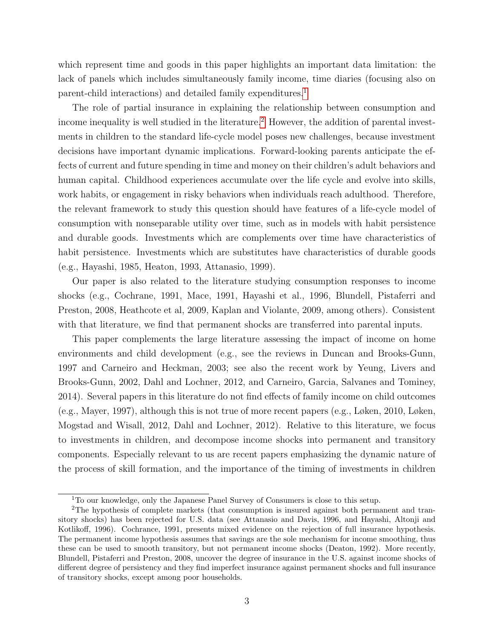which represent time and goods in this paper highlights an important data limitation: the lack of panels which includes simultaneously family income, time diaries (focusing also on parent-child interactions) and detailed family expenditures.[1](#page-4-0)

The role of partial insurance in explaining the relationship between consumption and income inequality is well studied in the literature.<sup>[2](#page-4-1)</sup> However, the addition of parental investments in children to the standard life-cycle model poses new challenges, because investment decisions have important dynamic implications. Forward-looking parents anticipate the effects of current and future spending in time and money on their children's adult behaviors and human capital. Childhood experiences accumulate over the life cycle and evolve into skills, work habits, or engagement in risky behaviors when individuals reach adulthood. Therefore, the relevant framework to study this question should have features of a life-cycle model of consumption with nonseparable utility over time, such as in models with habit persistence and durable goods. Investments which are complements over time have characteristics of habit persistence. Investments which are substitutes have characteristics of durable goods (e.g., Hayashi, 1985, Heaton, 1993, Attanasio, 1999).

Our paper is also related to the literature studying consumption responses to income shocks (e.g., Cochrane, 1991, Mace, 1991, Hayashi et al., 1996, Blundell, Pistaferri and Preston, 2008, Heathcote et al, 2009, Kaplan and Violante, 2009, among others). Consistent with that literature, we find that permanent shocks are transferred into parental inputs.

This paper complements the large literature assessing the impact of income on home environments and child development (e.g., see the reviews in Duncan and Brooks-Gunn, 1997 and Carneiro and Heckman, 2003; see also the recent work by Yeung, Livers and Brooks-Gunn, 2002, Dahl and Lochner, 2012, and Carneiro, Garcia, Salvanes and Tominey, 2014). Several papers in this literature do not find effects of family income on child outcomes (e.g., Mayer, 1997), although this is not true of more recent papers (e.g., Løken, 2010, Løken, Mogstad and Wisall, 2012, Dahl and Lochner, 2012). Relative to this literature, we focus to investments in children, and decompose income shocks into permanent and transitory components. Especially relevant to us are recent papers emphasizing the dynamic nature of the process of skill formation, and the importance of the timing of investments in children

<span id="page-4-1"></span><span id="page-4-0"></span><sup>1</sup>To our knowledge, only the Japanese Panel Survey of Consumers is close to this setup.

<sup>&</sup>lt;sup>2</sup>The hypothesis of complete markets (that consumption is insured against both permanent and transitory shocks) has been rejected for U.S. data (see Attanasio and Davis, 1996, and Hayashi, Altonji and Kotlikoff, 1996). Cochrance, 1991, presents mixed evidence on the rejection of full insurance hypothesis. The permanent income hypothesis assumes that savings are the sole mechanism for income smoothing, thus these can be used to smooth transitory, but not permanent income shocks (Deaton, 1992). More recently, Blundell, Pistaferri and Preston, 2008, uncover the degree of insurance in the U.S. against income shocks of different degree of persistency and they find imperfect insurance against permanent shocks and full insurance of transitory shocks, except among poor households.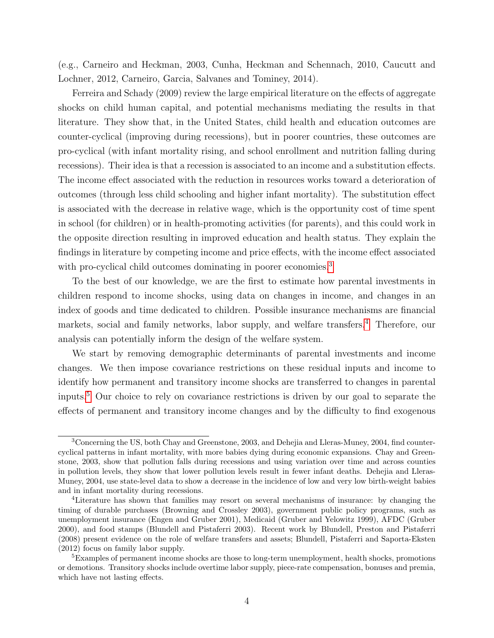(e.g., Carneiro and Heckman, 2003, Cunha, Heckman and Schennach, 2010, Caucutt and Lochner, 2012, Carneiro, Garcia, Salvanes and Tominey, 2014).

Ferreira and Schady (2009) review the large empirical literature on the effects of aggregate shocks on child human capital, and potential mechanisms mediating the results in that literature. They show that, in the United States, child health and education outcomes are counter-cyclical (improving during recessions), but in poorer countries, these outcomes are pro-cyclical (with infant mortality rising, and school enrollment and nutrition falling during recessions). Their idea is that a recession is associated to an income and a substitution effects. The income effect associated with the reduction in resources works toward a deterioration of outcomes (through less child schooling and higher infant mortality). The substitution effect is associated with the decrease in relative wage, which is the opportunity cost of time spent in school (for children) or in health-promoting activities (for parents), and this could work in the opposite direction resulting in improved education and health status. They explain the findings in literature by competing income and price effects, with the income effect associated with pro-cyclical child outcomes dominating in poorer economies.<sup>[3](#page-5-0)</sup>

To the best of our knowledge, we are the first to estimate how parental investments in children respond to income shocks, using data on changes in income, and changes in an index of goods and time dedicated to children. Possible insurance mechanisms are financial markets, social and family networks, labor supply, and welfare transfers.[4](#page-5-1) Therefore, our analysis can potentially inform the design of the welfare system.

We start by removing demographic determinants of parental investments and income changes. We then impose covariance restrictions on these residual inputs and income to identify how permanent and transitory income shocks are transferred to changes in parental inputs.[5](#page-5-2) Our choice to rely on covariance restrictions is driven by our goal to separate the effects of permanent and transitory income changes and by the difficulty to find exogenous

<span id="page-5-0"></span><sup>3</sup>Concerning the US, both Chay and Greenstone, 2003, and Dehejia and Lleras-Muney, 2004, find countercyclical patterns in infant mortality, with more babies dying during economic expansions. Chay and Greenstone, 2003, show that pollution falls during recessions and using variation over time and across counties in pollution levels, they show that lower pollution levels result in fewer infant deaths. Dehejia and Lleras-Muney, 2004, use state-level data to show a decrease in the incidence of low and very low birth-weight babies and in infant mortality during recessions.

<span id="page-5-1"></span><sup>4</sup>Literature has shown that families may resort on several mechanisms of insurance: by changing the timing of durable purchases (Browning and Crossley 2003), government public policy programs, such as unemployment insurance (Engen and Gruber 2001), Medicaid (Gruber and Yelowitz 1999), AFDC (Gruber 2000), and food stamps (Blundell and Pistaferri 2003). Recent work by Blundell, Preston and Pistaferri (2008) present evidence on the role of welfare transfers and assets; Blundell, Pistaferri and Saporta-Eksten (2012) focus on family labor supply.

<span id="page-5-2"></span><sup>&</sup>lt;sup>5</sup>Examples of permanent income shocks are those to long-term unemployment, health shocks, promotions or demotions. Transitory shocks include overtime labor supply, piece-rate compensation, bonuses and premia, which have not lasting effects.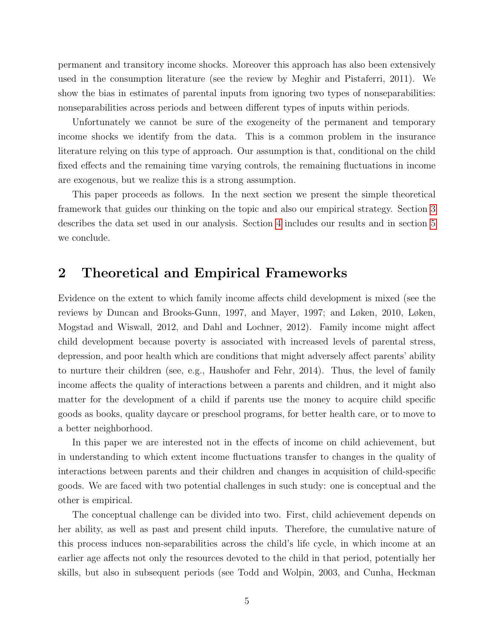permanent and transitory income shocks. Moreover this approach has also been extensively used in the consumption literature (see the review by Meghir and Pistaferri, 2011). We show the bias in estimates of parental inputs from ignoring two types of nonseparabilities: nonseparabilities across periods and between different types of inputs within periods.

Unfortunately we cannot be sure of the exogeneity of the permanent and temporary income shocks we identify from the data. This is a common problem in the insurance literature relying on this type of approach. Our assumption is that, conditional on the child fixed effects and the remaining time varying controls, the remaining fluctuations in income are exogenous, but we realize this is a strong assumption.

This paper proceeds as follows. In the next section we present the simple theoretical framework that guides our thinking on the topic and also our empirical strategy. Section [3](#page-14-0) describes the data set used in our analysis. Section [4](#page-17-0) includes our results and in section [5](#page-27-0) we conclude.

#### <span id="page-6-0"></span>2 Theoretical and Empirical Frameworks

Evidence on the extent to which family income affects child development is mixed (see the reviews by Duncan and Brooks-Gunn, 1997, and Mayer, 1997; and Løken, 2010, Løken, Mogstad and Wiswall, 2012, and Dahl and Lochner, 2012). Family income might affect child development because poverty is associated with increased levels of parental stress, depression, and poor health which are conditions that might adversely affect parents' ability to nurture their children (see, e.g., Haushofer and Fehr, 2014). Thus, the level of family income affects the quality of interactions between a parents and children, and it might also matter for the development of a child if parents use the money to acquire child specific goods as books, quality daycare or preschool programs, for better health care, or to move to a better neighborhood.

In this paper we are interested not in the effects of income on child achievement, but in understanding to which extent income fluctuations transfer to changes in the quality of interactions between parents and their children and changes in acquisition of child-specific goods. We are faced with two potential challenges in such study: one is conceptual and the other is empirical.

The conceptual challenge can be divided into two. First, child achievement depends on her ability, as well as past and present child inputs. Therefore, the cumulative nature of this process induces non-separabilities across the child's life cycle, in which income at an earlier age affects not only the resources devoted to the child in that period, potentially her skills, but also in subsequent periods (see Todd and Wolpin, 2003, and Cunha, Heckman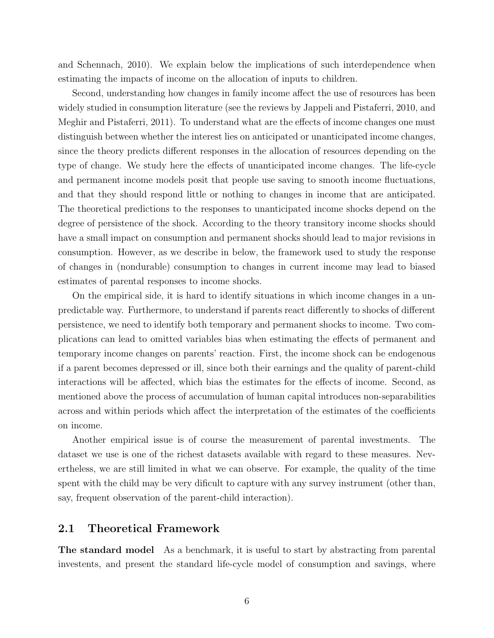and Schennach, 2010). We explain below the implications of such interdependence when estimating the impacts of income on the allocation of inputs to children.

Second, understanding how changes in family income affect the use of resources has been widely studied in consumption literature (see the reviews by Jappeli and Pistaferri, 2010, and Meghir and Pistaferri, 2011). To understand what are the effects of income changes one must distinguish between whether the interest lies on anticipated or unanticipated income changes, since the theory predicts different responses in the allocation of resources depending on the type of change. We study here the effects of unanticipated income changes. The life-cycle and permanent income models posit that people use saving to smooth income fluctuations, and that they should respond little or nothing to changes in income that are anticipated. The theoretical predictions to the responses to unanticipated income shocks depend on the degree of persistence of the shock. According to the theory transitory income shocks should have a small impact on consumption and permanent shocks should lead to major revisions in consumption. However, as we describe in below, the framework used to study the response of changes in (nondurable) consumption to changes in current income may lead to biased estimates of parental responses to income shocks.

On the empirical side, it is hard to identify situations in which income changes in a unpredictable way. Furthermore, to understand if parents react differently to shocks of different persistence, we need to identify both temporary and permanent shocks to income. Two complications can lead to omitted variables bias when estimating the effects of permanent and temporary income changes on parents' reaction. First, the income shock can be endogenous if a parent becomes depressed or ill, since both their earnings and the quality of parent-child interactions will be affected, which bias the estimates for the effects of income. Second, as mentioned above the process of accumulation of human capital introduces non-separabilities across and within periods which affect the interpretation of the estimates of the coefficients on income.

Another empirical issue is of course the measurement of parental investments. The dataset we use is one of the richest datasets available with regard to these measures. Nevertheless, we are still limited in what we can observe. For example, the quality of the time spent with the child may be very dificult to capture with any survey instrument (other than, say, frequent observation of the parent-child interaction).

#### 2.1 Theoretical Framework

The standard model As a benchmark, it is useful to start by abstracting from parental investents, and present the standard life-cycle model of consumption and savings, where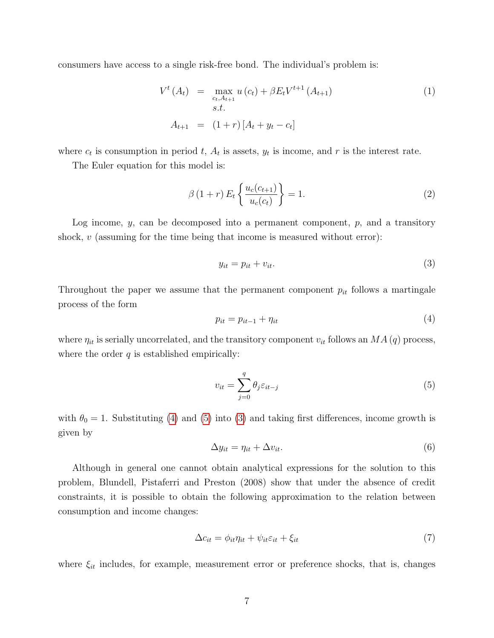consumers have access to a single risk-free bond. The individual's problem is:

<span id="page-8-4"></span>
$$
V^{t}(A_{t}) = \max_{c_{t}, A_{t+1}} u(c_{t}) + \beta E_{t} V^{t+1}(A_{t+1})
$$
  
s.t.  

$$
A_{t+1} = (1+r) [A_{t} + y_{t} - c_{t}]
$$
 (1)

where  $c_t$  is consumption in period t,  $A_t$  is assets,  $y_t$  is income, and r is the interest rate.

The Euler equation for this model is:

$$
\beta(1+r) E_t\left\{\frac{u_c(c_{t+1})}{u_c(c_t)}\right\} = 1.
$$
\n(2)

Log income,  $y$ , can be decomposed into a permanent component,  $p$ , and a transitory shock,  $v$  (assuming for the time being that income is measured without error):

<span id="page-8-2"></span>
$$
y_{it} = p_{it} + v_{it}.\tag{3}
$$

Throughout the paper we assume that the permanent component  $p_{it}$  follows a martingale process of the form

<span id="page-8-0"></span>
$$
p_{it} = p_{it-1} + \eta_{it} \tag{4}
$$

where  $\eta_{it}$  is serially uncorrelated, and the transitory component  $v_{it}$  follows an  $MA(q)$  process, where the order  $q$  is established empirically:

<span id="page-8-1"></span>
$$
v_{it} = \sum_{j=0}^{q} \theta_j \varepsilon_{it-j} \tag{5}
$$

with  $\theta_0 = 1$ . Substituting [\(4\)](#page-8-0) and [\(5\)](#page-8-1) into [\(3\)](#page-8-2) and taking first differences, income growth is given by

$$
\Delta y_{it} = \eta_{it} + \Delta v_{it}.\tag{6}
$$

Although in general one cannot obtain analytical expressions for the solution to this problem, Blundell, Pistaferri and Preston (2008) show that under the absence of credit constraints, it is possible to obtain the following approximation to the relation between consumption and income changes:

<span id="page-8-3"></span>
$$
\Delta c_{it} = \phi_{it} \eta_{it} + \psi_{it} \varepsilon_{it} + \xi_{it} \tag{7}
$$

where  $\xi_{it}$  includes, for example, measurement error or preference shocks, that is, changes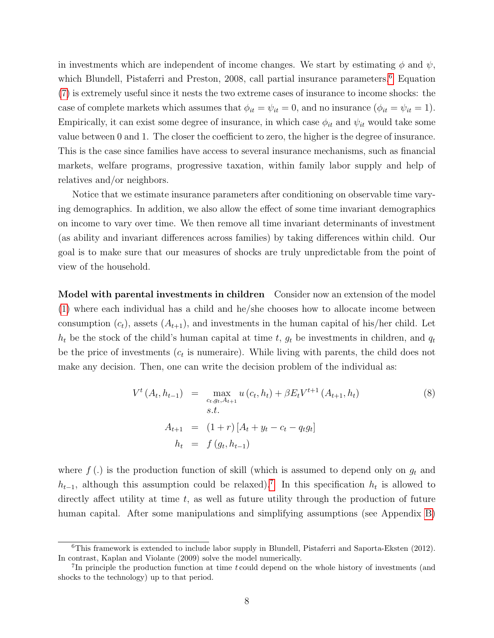in investments which are independent of income changes. We start by estimating  $\phi$  and  $\psi$ , which Blundell, Pistaferri and Preston, 2008, call partial insurance parameters.<sup>[6](#page-9-0)</sup> Equation [\(7\)](#page-8-3) is extremely useful since it nests the two extreme cases of insurance to income shocks: the case of complete markets which assumes that  $\phi_{it} = \psi_{it} = 0$ , and no insurance  $(\phi_{it} = \psi_{it} = 1)$ . Empirically, it can exist some degree of insurance, in which case  $\phi_{it}$  and  $\psi_{it}$  would take some value between 0 and 1. The closer the coefficient to zero, the higher is the degree of insurance. This is the case since families have access to several insurance mechanisms, such as financial markets, welfare programs, progressive taxation, within family labor supply and help of relatives and/or neighbors.

Notice that we estimate insurance parameters after conditioning on observable time varying demographics. In addition, we also allow the effect of some time invariant demographics on income to vary over time. We then remove all time invariant determinants of investment (as ability and invariant differences across families) by taking differences within child. Our goal is to make sure that our measures of shocks are truly unpredictable from the point of view of the household.

Model with parental investments in children Consider now an extension of the model [\(1\)](#page-8-4) where each individual has a child and he/she chooses how to allocate income between consumption  $(c_t)$ , assets  $(A_{t+1})$ , and investments in the human capital of his/her child. Let  $h_t$  be the stock of the child's human capital at time t,  $g_t$  be investments in children, and  $q_t$ be the price of investments  $(c_t$  is numeraire). While living with parents, the child does not make any decision. Then, one can write the decision problem of the individual as:

$$
V^{t}(A_{t}, h_{t-1}) = \max_{\substack{c_{t}, g_{t}, A_{t+1} \\ s.t.}} u(c_{t}, h_{t}) + \beta E_{t} V^{t+1}(A_{t+1}, h_{t})
$$
\n
$$
s.t.
$$
\n
$$
A_{t+1} = (1+r) [A_{t} + y_{t} - c_{t} - q_{t}g_{t}]
$$
\n
$$
h_{t} = f(g_{t}, h_{t-1})
$$
\n(8)

where  $f(.)$  is the production function of skill (which is assumed to depend only on  $g_t$  and  $h_{t-1}$ , although this assumption could be relaxed).<sup>[7](#page-9-1)</sup> In this specification  $h_t$  is allowed to directly affect utility at time  $t$ , as well as future utility through the production of future human capital. After some manipulations and simplifying assumptions (see Appendix [B\)](#page-54-0)

<span id="page-9-0"></span><sup>6</sup>This framework is extended to include labor supply in Blundell, Pistaferri and Saporta-Eksten (2012). In contrast, Kaplan and Violante (2009) solve the model numerically.

<span id="page-9-1"></span><sup>&</sup>lt;sup>7</sup>In principle the production function at time t could depend on the whole history of investments (and shocks to the technology) up to that period.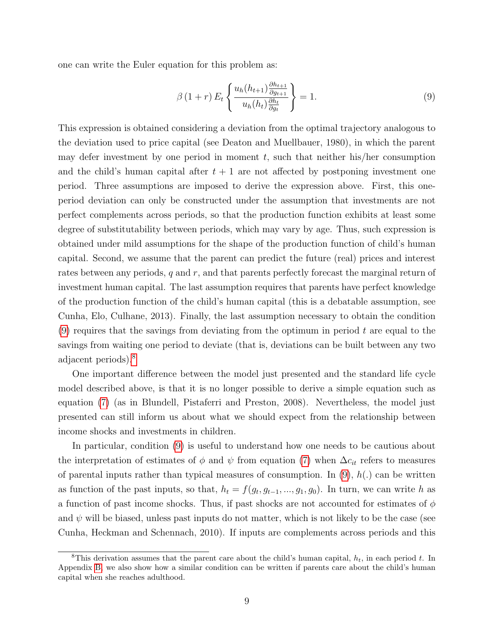one can write the Euler equation for this problem as:

<span id="page-10-0"></span>
$$
\beta(1+r) E_t\left\{\frac{u_h(h_{t+1})\frac{\partial h_{t+1}}{\partial g_{t+1}}}{u_h(h_t)\frac{\partial h_t}{\partial g_t}}\right\} = 1.
$$
\n(9)

This expression is obtained considering a deviation from the optimal trajectory analogous to the deviation used to price capital (see Deaton and Muellbauer, 1980), in which the parent may defer investment by one period in moment  $t$ , such that neither his/her consumption and the child's human capital after  $t + 1$  are not affected by postponing investment one period. Three assumptions are imposed to derive the expression above. First, this oneperiod deviation can only be constructed under the assumption that investments are not perfect complements across periods, so that the production function exhibits at least some degree of substitutability between periods, which may vary by age. Thus, such expression is obtained under mild assumptions for the shape of the production function of child's human capital. Second, we assume that the parent can predict the future (real) prices and interest rates between any periods,  $q$  and  $r$ , and that parents perfectly forecast the marginal return of investment human capital. The last assumption requires that parents have perfect knowledge of the production function of the child's human capital (this is a debatable assumption, see Cunha, Elo, Culhane, 2013). Finally, the last assumption necessary to obtain the condition  $(9)$  requires that the savings from deviating from the optimum in period t are equal to the savings from waiting one period to deviate (that is, deviations can be built between any two adjacent periods).[8](#page-10-1)

One important difference between the model just presented and the standard life cycle model described above, is that it is no longer possible to derive a simple equation such as equation [\(7\)](#page-8-3) (as in Blundell, Pistaferri and Preston, 2008). Nevertheless, the model just presented can still inform us about what we should expect from the relationship between income shocks and investments in children.

In particular, condition [\(9\)](#page-10-0) is useful to understand how one needs to be cautious about the interpretation of estimates of  $\phi$  and  $\psi$  from equation [\(7\)](#page-8-3) when  $\Delta c_{it}$  refers to measures of parental inputs rather than typical measures of consumption. In  $(9)$ ,  $h(.)$  can be written as function of the past inputs, so that,  $h_t = f(g_t, g_{t-1}, ..., g_1, g_0)$ . In turn, we can write h as a function of past income shocks. Thus, if past shocks are not accounted for estimates of  $\phi$ and  $\psi$  will be biased, unless past inputs do not matter, which is not likely to be the case (see Cunha, Heckman and Schennach, 2010). If inputs are complements across periods and this

<span id="page-10-1"></span><sup>&</sup>lt;sup>8</sup>This derivation assumes that the parent care about the child's human capital,  $h_t$ , in each period t. In Appendix [B,](#page-54-0) we also show how a similar condition can be written if parents care about the child's human capital when she reaches adulthood.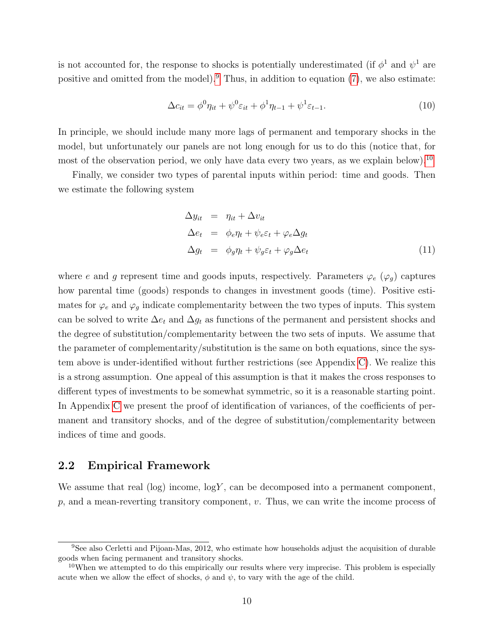is not accounted for, the response to shocks is potentially underestimated (if  $\phi^1$  and  $\psi^1$  are positive and omitted from the model).<sup>[9](#page-11-0)</sup> Thus, in addition to equation  $(7)$ , we also estimate:

<span id="page-11-2"></span>
$$
\Delta c_{it} = \phi^0 \eta_{it} + \psi^0 \varepsilon_{it} + \phi^1 \eta_{t-1} + \psi^1 \varepsilon_{t-1}.
$$
\n(10)

In principle, we should include many more lags of permanent and temporary shocks in the model, but unfortunately our panels are not long enough for us to do this (notice that, for most of the observation period, we only have data every two years, as we explain below).<sup>[10](#page-11-1)</sup>

Finally, we consider two types of parental inputs within period: time and goods. Then we estimate the following system

<span id="page-11-3"></span>
$$
\Delta y_{it} = \eta_{it} + \Delta v_{it}
$$
\n
$$
\Delta e_t = \phi_e \eta_t + \psi_e \varepsilon_t + \varphi_e \Delta g_t
$$
\n
$$
\Delta g_t = \phi_g \eta_t + \psi_g \varepsilon_t + \varphi_g \Delta e_t
$$
\n(11)

where e and g represent time and goods inputs, respectively. Parameters  $\varphi_e$  ( $\varphi_q$ ) captures how parental time (goods) responds to changes in investment goods (time). Positive estimates for  $\varphi_e$  and  $\varphi_g$  indicate complementarity between the two types of inputs. This system can be solved to write  $\Delta e_t$  and  $\Delta g_t$  as functions of the permanent and persistent shocks and the degree of substitution/complementarity between the two sets of inputs. We assume that the parameter of complementarity/substitution is the same on both equations, since the system above is under-identified without further restrictions (see Appendix [C\)](#page-59-0). We realize this is a strong assumption. One appeal of this assumption is that it makes the cross responses to different types of investments to be somewhat symmetric, so it is a reasonable starting point. In Appendix [C](#page-59-0) we present the proof of identification of variances, of the coefficients of permanent and transitory shocks, and of the degree of substitution/complementarity between indices of time and goods.

#### 2.2 Empirical Framework

We assume that real  $(log)$  income,  $logY$ , can be decomposed into a permanent component,  $p$ , and a mean-reverting transitory component,  $v$ . Thus, we can write the income process of

<span id="page-11-0"></span><sup>9</sup>See also Cerletti and Pijoan-Mas, 2012, who estimate how households adjust the acquisition of durable goods when facing permanent and transitory shocks.

<span id="page-11-1"></span> $10$ When we attempted to do this empirically our results where very imprecise. This problem is especially acute when we allow the effect of shocks,  $\phi$  and  $\psi$ , to vary with the age of the child.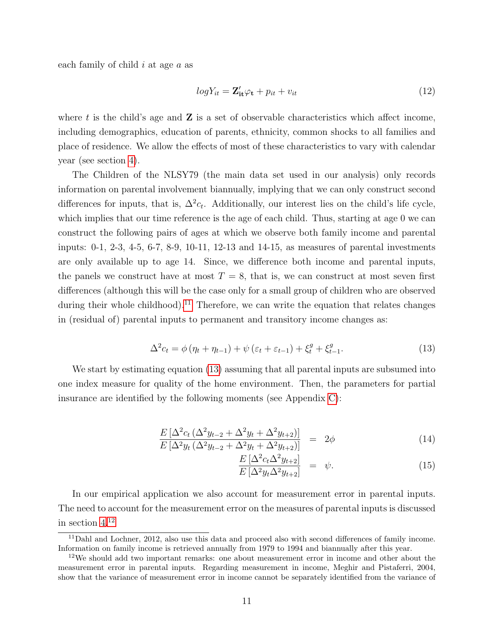each family of child  $i$  at age  $a$  as

<span id="page-12-3"></span>
$$
logY_{it} = \mathbf{Z'_{it}}\varphi_t + p_{it} + v_{it}
$$
\n(12)

where  $t$  is the child's age and  $\bf{Z}$  is a set of observable characteristics which affect income, including demographics, education of parents, ethnicity, common shocks to all families and place of residence. We allow the effects of most of these characteristics to vary with calendar year (see section [4\)](#page-17-0).

The Children of the NLSY79 (the main data set used in our analysis) only records information on parental involvement biannually, implying that we can only construct second differences for inputs, that is,  $\Delta^2 c_t$ . Additionally, our interest lies on the child's life cycle, which implies that our time reference is the age of each child. Thus, starting at age 0 we can construct the following pairs of ages at which we observe both family income and parental inputs: 0-1, 2-3, 4-5, 6-7, 8-9, 10-11, 12-13 and 14-15, as measures of parental investments are only available up to age 14. Since, we difference both income and parental inputs, the panels we construct have at most  $T = 8$ , that is, we can construct at most seven first differences (although this will be the case only for a small group of children who are observed during their whole childhood).<sup>[11](#page-12-0)</sup> Therefore, we can write the equation that relates changes in (residual of) parental inputs to permanent and transitory income changes as:

<span id="page-12-1"></span>
$$
\Delta^2 c_t = \phi \left( \eta_t + \eta_{t-1} \right) + \psi \left( \varepsilon_t + \varepsilon_{t-1} \right) + \xi_t^g + \xi_{t-1}^g. \tag{13}
$$

We start by estimating equation [\(13\)](#page-12-1) assuming that all parental inputs are subsumed into one index measure for quality of the home environment. Then, the parameters for partial insurance are identified by the following moments (see Appendix [C\)](#page-59-0):

$$
\frac{E\left[\Delta^2 c_t \left(\Delta^2 y_{t-2} + \Delta^2 y_t + \Delta^2 y_{t+2}\right)\right]}{E\left[\Delta^2 y_t \left(\Delta^2 y_{t-2} + \Delta^2 y_t + \Delta^2 y_{t+2}\right)\right]} = 2\phi
$$
\n(14)

$$
\frac{E\left[\Delta^2 c_t \Delta^2 y_{t+2}\right]}{E\left[\Delta^2 y_t \Delta^2 y_{t+2}\right]} = \psi.
$$
\n(15)

In our empirical application we also account for measurement error in parental inputs. The need to account for the measurement error on the measures of parental inputs is discussed in section  $4^{12}$  $4^{12}$  $4^{12}$ 

<span id="page-12-0"></span><sup>11</sup>Dahl and Lochner, 2012, also use this data and proceed also with second differences of family income. Information on family income is retrieved annually from 1979 to 1994 and biannually after this year.

<span id="page-12-2"></span><sup>&</sup>lt;sup>12</sup>We should add two important remarks: one about measurement error in income and other about the measurement error in parental inputs. Regarding measurement in income, Meghir and Pistaferri, 2004, show that the variance of measurement error in income cannot be separately identified from the variance of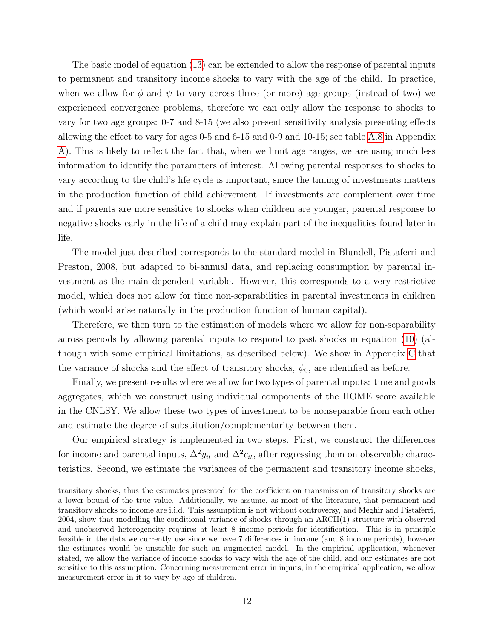The basic model of equation [\(13\)](#page-12-1) can be extended to allow the response of parental inputs to permanent and transitory income shocks to vary with the age of the child. In practice, when we allow for  $\phi$  and  $\psi$  to vary across three (or more) age groups (instead of two) we experienced convergence problems, therefore we can only allow the response to shocks to vary for two age groups: 0-7 and 8-15 (we also present sensitivity analysis presenting effects allowing the effect to vary for ages 0-5 and 6-15 and 0-9 and 10-15; see table [A.8](#page-52-0) in Appendix [A\)](#page-39-0). This is likely to reflect the fact that, when we limit age ranges, we are using much less information to identify the parameters of interest. Allowing parental responses to shocks to vary according to the child's life cycle is important, since the timing of investments matters in the production function of child achievement. If investments are complement over time and if parents are more sensitive to shocks when children are younger, parental response to negative shocks early in the life of a child may explain part of the inequalities found later in life.

The model just described corresponds to the standard model in Blundell, Pistaferri and Preston, 2008, but adapted to bi-annual data, and replacing consumption by parental investment as the main dependent variable. However, this corresponds to a very restrictive model, which does not allow for time non-separabilities in parental investments in children (which would arise naturally in the production function of human capital).

Therefore, we then turn to the estimation of models where we allow for non-separability across periods by allowing parental inputs to respond to past shocks in equation [\(10\)](#page-11-2) (although with some empirical limitations, as described below). We show in Appendix [C](#page-59-0) that the variance of shocks and the effect of transitory shocks,  $\psi_0$ , are identified as before.

Finally, we present results where we allow for two types of parental inputs: time and goods aggregates, which we construct using individual components of the HOME score available in the CNLSY. We allow these two types of investment to be nonseparable from each other and estimate the degree of substitution/complementarity between them.

Our empirical strategy is implemented in two steps. First, we construct the differences for income and parental inputs,  $\Delta^2 y_{it}$  and  $\Delta^2 c_{it}$ , after regressing them on observable characteristics. Second, we estimate the variances of the permanent and transitory income shocks,

transitory shocks, thus the estimates presented for the coefficient on transmission of transitory shocks are a lower bound of the true value. Additionally, we assume, as most of the literature, that permanent and transitory shocks to income are i.i.d. This assumption is not without controversy, and Meghir and Pistaferri, 2004, show that modelling the conditional variance of shocks through an ARCH(1) structure with observed and unobserved heterogeneity requires at least 8 income periods for identification. This is in principle feasible in the data we currently use since we have 7 differences in income (and 8 income periods), however the estimates would be unstable for such an augmented model. In the empirical application, whenever stated, we allow the variance of income shocks to vary with the age of the child, and our estimates are not sensitive to this assumption. Concerning measurement error in inputs, in the empirical application, we allow measurement error in it to vary by age of children.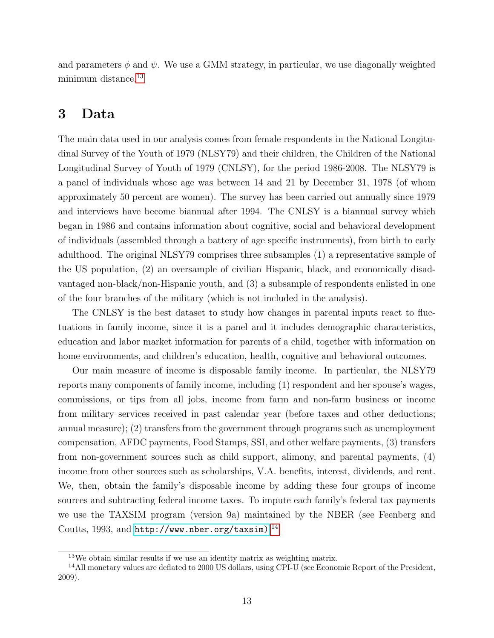and parameters  $\phi$  and  $\psi$ . We use a GMM strategy, in particular, we use diagonally weighted minimum distance.<sup>[13](#page-14-1)</sup>

#### <span id="page-14-0"></span>3 Data

The main data used in our analysis comes from female respondents in the National Longitudinal Survey of the Youth of 1979 (NLSY79) and their children, the Children of the National Longitudinal Survey of Youth of 1979 (CNLSY), for the period 1986-2008. The NLSY79 is a panel of individuals whose age was between 14 and 21 by December 31, 1978 (of whom approximately 50 percent are women). The survey has been carried out annually since 1979 and interviews have become biannual after 1994. The CNLSY is a biannual survey which began in 1986 and contains information about cognitive, social and behavioral development of individuals (assembled through a battery of age specific instruments), from birth to early adulthood. The original NLSY79 comprises three subsamples (1) a representative sample of the US population, (2) an oversample of civilian Hispanic, black, and economically disadvantaged non-black/non-Hispanic youth, and (3) a subsample of respondents enlisted in one of the four branches of the military (which is not included in the analysis).

The CNLSY is the best dataset to study how changes in parental inputs react to fluctuations in family income, since it is a panel and it includes demographic characteristics, education and labor market information for parents of a child, together with information on home environments, and children's education, health, cognitive and behavioral outcomes.

Our main measure of income is disposable family income. In particular, the NLSY79 reports many components of family income, including (1) respondent and her spouse's wages, commissions, or tips from all jobs, income from farm and non-farm business or income from military services received in past calendar year (before taxes and other deductions; annual measure); (2) transfers from the government through programs such as unemployment compensation, AFDC payments, Food Stamps, SSI, and other welfare payments, (3) transfers from non-government sources such as child support, alimony, and parental payments, (4) income from other sources such as scholarships, V.A. benefits, interest, dividends, and rent. We, then, obtain the family's disposable income by adding these four groups of income sources and subtracting federal income taxes. To impute each family's federal tax payments we use the TAXSIM program (version 9a) maintained by the NBER (see Feenberg and Coutts, 1993, and [http://www.nber.org/taxsim\)](http:// www.nber.org/taxsim)).<sup>[14](#page-14-2)</sup>

<span id="page-14-2"></span><span id="page-14-1"></span><sup>&</sup>lt;sup>13</sup>We obtain similar results if we use an identity matrix as weighting matrix.

<sup>&</sup>lt;sup>14</sup>All monetary values are deflated to 2000 US dollars, using CPI-U (see Economic Report of the President, 2009).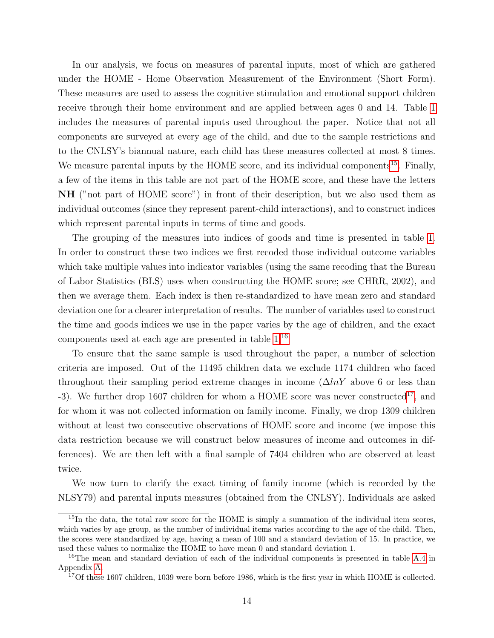In our analysis, we focus on measures of parental inputs, most of which are gathered under the HOME - Home Observation Measurement of the Environment (Short Form). These measures are used to assess the cognitive stimulation and emotional support children receive through their home environment and are applied between ages 0 and 14. Table [1](#page-32-0) includes the measures of parental inputs used throughout the paper. Notice that not all components are surveyed at every age of the child, and due to the sample restrictions and to the CNLSY's biannual nature, each child has these measures collected at most 8 times. We measure parental inputs by the HOME score, and its individual components<sup>[15](#page-15-0)</sup>. Finally, a few of the items in this table are not part of the HOME score, and these have the letters NH ("not part of HOME score") in front of their description, but we also used them as individual outcomes (since they represent parent-child interactions), and to construct indices which represent parental inputs in terms of time and goods.

The grouping of the measures into indices of goods and time is presented in table [1.](#page-32-0) In order to construct these two indices we first recoded those individual outcome variables which take multiple values into indicator variables (using the same recoding that the Bureau of Labor Statistics (BLS) uses when constructing the HOME score; see CHRR, 2002), and then we average them. Each index is then re-standardized to have mean zero and standard deviation one for a clearer interpretation of results. The number of variables used to construct the time and goods indices we use in the paper varies by the age of children, and the exact components used at each age are presented in table [1.](#page-32-0)[16](#page-15-1)

To ensure that the same sample is used throughout the paper, a number of selection criteria are imposed. Out of the 11495 children data we exclude 1174 children who faced throughout their sampling period extreme changes in income  $(\Delta ln Y)$  above 6 or less than -3). We further drop 1607 children for whom a HOME score was never constructed<sup>[17](#page-15-2)</sup>, and for whom it was not collected information on family income. Finally, we drop 1309 children without at least two consecutive observations of HOME score and income (we impose this data restriction because we will construct below measures of income and outcomes in differences). We are then left with a final sample of 7404 children who are observed at least twice.

We now turn to clarify the exact timing of family income (which is recorded by the NLSY79) and parental inputs measures (obtained from the CNLSY). Individuals are asked

<span id="page-15-0"></span> $^{15}$ In the data, the total raw score for the HOME is simply a summation of the individual item scores, which varies by age group, as the number of individual items varies according to the age of the child. Then, the scores were standardized by age, having a mean of 100 and a standard deviation of 15. In practice, we used these values to normalize the HOME to have mean 0 and standard deviation 1.

<span id="page-15-1"></span><sup>&</sup>lt;sup>16</sup>The mean and standard deviation of each of the individual components is presented in table [A.4](#page-43-0) in Appendix [A.](#page-39-0)

<span id="page-15-2"></span> $17$ Of these 1607 children, 1039 were born before 1986, which is the first year in which HOME is collected.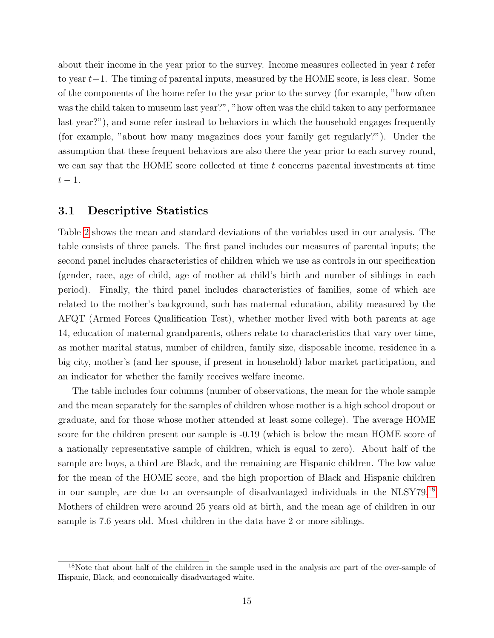about their income in the year prior to the survey. Income measures collected in year t refer to year t−1. The timing of parental inputs, measured by the HOME score, is less clear. Some of the components of the home refer to the year prior to the survey (for example, "how often was the child taken to museum last year?", "how often was the child taken to any performance last year?"), and some refer instead to behaviors in which the household engages frequently (for example, "about how many magazines does your family get regularly?"). Under the assumption that these frequent behaviors are also there the year prior to each survey round, we can say that the HOME score collected at time  $t$  concerns parental investments at time  $t-1$ .

#### 3.1 Descriptive Statistics

Table [2](#page-33-0) shows the mean and standard deviations of the variables used in our analysis. The table consists of three panels. The first panel includes our measures of parental inputs; the second panel includes characteristics of children which we use as controls in our specification (gender, race, age of child, age of mother at child's birth and number of siblings in each period). Finally, the third panel includes characteristics of families, some of which are related to the mother's background, such has maternal education, ability measured by the AFQT (Armed Forces Qualification Test), whether mother lived with both parents at age 14, education of maternal grandparents, others relate to characteristics that vary over time, as mother marital status, number of children, family size, disposable income, residence in a big city, mother's (and her spouse, if present in household) labor market participation, and an indicator for whether the family receives welfare income.

The table includes four columns (number of observations, the mean for the whole sample and the mean separately for the samples of children whose mother is a high school dropout or graduate, and for those whose mother attended at least some college). The average HOME score for the children present our sample is -0.19 (which is below the mean HOME score of a nationally representative sample of children, which is equal to zero). About half of the sample are boys, a third are Black, and the remaining are Hispanic children. The low value for the mean of the HOME score, and the high proportion of Black and Hispanic children in our sample, are due to an oversample of disadvantaged individuals in the NLSY79.[18](#page-16-0) Mothers of children were around 25 years old at birth, and the mean age of children in our sample is 7.6 years old. Most children in the data have 2 or more siblings.

<span id="page-16-0"></span><sup>&</sup>lt;sup>18</sup>Note that about half of the children in the sample used in the analysis are part of the over-sample of Hispanic, Black, and economically disadvantaged white.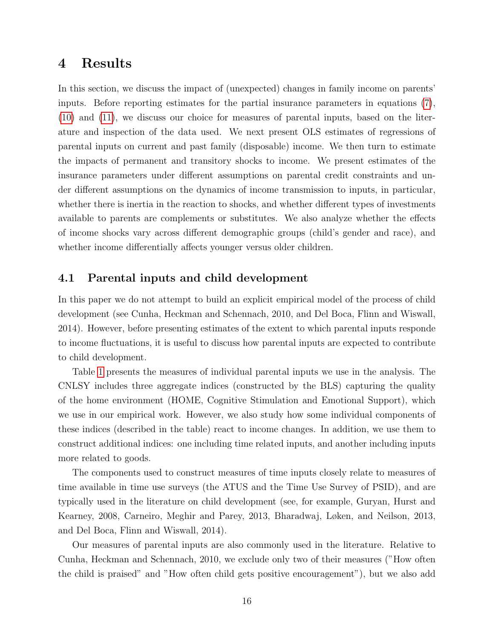#### <span id="page-17-0"></span>4 Results

In this section, we discuss the impact of (unexpected) changes in family income on parents' inputs. Before reporting estimates for the partial insurance parameters in equations [\(7\)](#page-8-3), [\(10\)](#page-11-2) and [\(11\)](#page-11-3), we discuss our choice for measures of parental inputs, based on the literature and inspection of the data used. We next present OLS estimates of regressions of parental inputs on current and past family (disposable) income. We then turn to estimate the impacts of permanent and transitory shocks to income. We present estimates of the insurance parameters under different assumptions on parental credit constraints and under different assumptions on the dynamics of income transmission to inputs, in particular, whether there is inertia in the reaction to shocks, and whether different types of investments available to parents are complements or substitutes. We also analyze whether the effects of income shocks vary across different demographic groups (child's gender and race), and whether income differentially affects younger versus older children.

#### 4.1 Parental inputs and child development

In this paper we do not attempt to build an explicit empirical model of the process of child development (see Cunha, Heckman and Schennach, 2010, and Del Boca, Flinn and Wiswall, 2014). However, before presenting estimates of the extent to which parental inputs responde to income fluctuations, it is useful to discuss how parental inputs are expected to contribute to child development.

Table [1](#page-32-0) presents the measures of individual parental inputs we use in the analysis. The CNLSY includes three aggregate indices (constructed by the BLS) capturing the quality of the home environment (HOME, Cognitive Stimulation and Emotional Support), which we use in our empirical work. However, we also study how some individual components of these indices (described in the table) react to income changes. In addition, we use them to construct additional indices: one including time related inputs, and another including inputs more related to goods.

The components used to construct measures of time inputs closely relate to measures of time available in time use surveys (the ATUS and the Time Use Survey of PSID), and are typically used in the literature on child development (see, for example, Guryan, Hurst and Kearney, 2008, Carneiro, Meghir and Parey, 2013, Bharadwaj, Løken, and Neilson, 2013, and Del Boca, Flinn and Wiswall, 2014).

Our measures of parental inputs are also commonly used in the literature. Relative to Cunha, Heckman and Schennach, 2010, we exclude only two of their measures ("How often the child is praised" and "How often child gets positive encouragement"), but we also add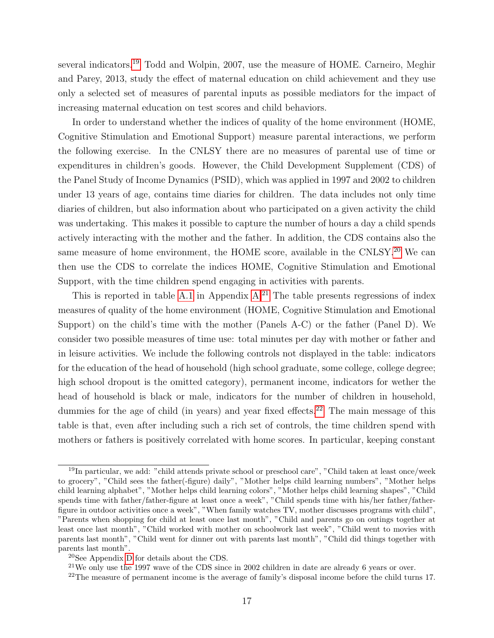several indicators.<sup>[19](#page-18-0)</sup> Todd and Wolpin, 2007, use the measure of HOME. Carneiro, Meghir and Parey, 2013, study the effect of maternal education on child achievement and they use only a selected set of measures of parental inputs as possible mediators for the impact of increasing maternal education on test scores and child behaviors.

In order to understand whether the indices of quality of the home environment (HOME, Cognitive Stimulation and Emotional Support) measure parental interactions, we perform the following exercise. In the CNLSY there are no measures of parental use of time or expenditures in children's goods. However, the Child Development Supplement (CDS) of the Panel Study of Income Dynamics (PSID), which was applied in 1997 and 2002 to children under 13 years of age, contains time diaries for children. The data includes not only time diaries of children, but also information about who participated on a given activity the child was undertaking. This makes it possible to capture the number of hours a day a child spends actively interacting with the mother and the father. In addition, the CDS contains also the same measure of home environment, the HOME score, available in the CNLSY.<sup>[20](#page-18-1)</sup> We can then use the CDS to correlate the indices HOME, Cognitive Stimulation and Emotional Support, with the time children spend engaging in activities with parents.

This is reported in table [A.1](#page-40-0) in Appendix  $A^{21}$  $A^{21}$  $A^{21}$ . The table presents regressions of index measures of quality of the home environment (HOME, Cognitive Stimulation and Emotional Support) on the child's time with the mother (Panels A-C) or the father (Panel D). We consider two possible measures of time use: total minutes per day with mother or father and in leisure activities. We include the following controls not displayed in the table: indicators for the education of the head of household (high school graduate, some college, college degree; high school dropout is the omitted category), permanent income, indicators for wether the head of household is black or male, indicators for the number of children in household, dummies for the age of child (in years) and year fixed effects.<sup>[22](#page-18-3)</sup> The main message of this table is that, even after including such a rich set of controls, the time children spend with mothers or fathers is positively correlated with home scores. In particular, keeping constant

<span id="page-18-0"></span><sup>19</sup>In particular, we add: "child attends private school or preschool care", "Child taken at least once/week to grocery", "Child sees the father(-figure) daily", "Mother helps child learning numbers", "Mother helps child learning alphabet", "Mother helps child learning colors", "Mother helps child learning shapes", "Child spends time with father/father-figure at least once a week", "Child spends time with his/her father/fatherfigure in outdoor activities once a week", "When family watches TV, mother discusses programs with child", "Parents when shopping for child at least once last month", "Child and parents go on outings together at least once last month", "Child worked with mother on schoolwork last week", "Child went to movies with parents last month", "Child went for dinner out with parents last month", "Child did things together with parents last month".

<span id="page-18-1"></span><sup>20</sup>See Appendix [D](#page-65-0) for details about the CDS.

<span id="page-18-2"></span><sup>&</sup>lt;sup>21</sup>We only use the 1997 wave of the CDS since in 2002 children in date are already 6 years or over.

<span id="page-18-3"></span><sup>&</sup>lt;sup>22</sup>The measure of permanent income is the average of family's disposal income before the child turns 17.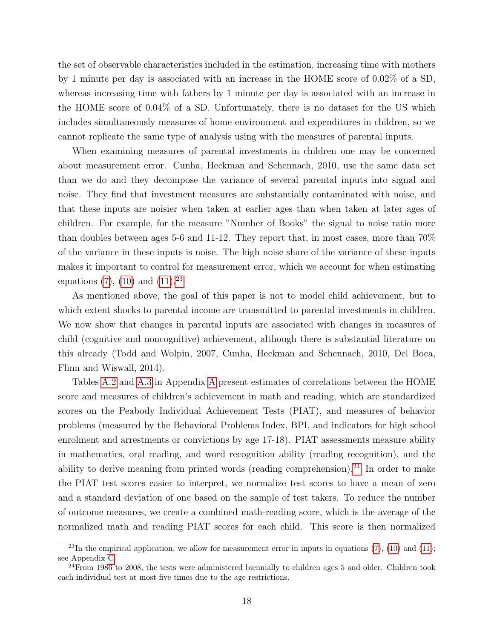the set of observable characteristics included in the estimation, increasing time with mothers by 1 minute per day is associated with an increase in the HOME score of 0.02% of a SD, whereas increasing time with fathers by 1 minute per day is associated with an increase in the HOME score of 0.04% of a SD. Unfortunately, there is no dataset for the US which includes simultaneously measures of home environment and expenditures in children, so we cannot replicate the same type of analysis using with the measures of parental inputs.

When examining measures of parental investments in children one may be concerned about measurement error. Cunha, Heckman and Schennach, 2010, use the same data set than we do and they decompose the variance of several parental inputs into signal and noise. They find that investment measures are substantially contaminated with noise, and that these inputs are noisier when taken at earlier ages than when taken at later ages of children. For example, for the measure "Number of Books" the signal to noise ratio more than doubles between ages 5-6 and 11-12. They report that, in most cases, more than 70% of the variance in these inputs is noise. The high noise share of the variance of these inputs makes it important to control for measurement error, which we account for when estimating equations [\(7\)](#page-8-3), [\(10\)](#page-11-2) and [\(11\)](#page-11-3).<sup>[23](#page-19-0)</sup>

As mentioned above, the goal of this paper is not to model child achievement, but to which extent shocks to parental income are transmitted to parental investments in children. We now show that changes in parental inputs are associated with changes in measures of child (cognitive and noncognitive) achievement, although there is substantial literature on this already (Todd and Wolpin, 2007, Cunha, Heckman and Schennach, 2010, Del Boca, Flinn and Wiswall, 2014).

Tables [A.2](#page-41-0) and [A.3](#page-42-0) in Appendix [A](#page-39-0) present estimates of correlations between the HOME score and measures of children's achievement in math and reading, which are standardized scores on the Peabody Individual Achievement Tests (PIAT), and measures of behavior problems (measured by the Behavioral Problems Index, BPI, and indicators for high school enrolment and arrestments or convictions by age 17-18). PIAT assessments measure ability in mathematics, oral reading, and word recognition ability (reading recognition), and the ability to derive meaning from printed words (reading comprehension).<sup>[24](#page-19-1)</sup> In order to make the PIAT test scores easier to interpret, we normalize test scores to have a mean of zero and a standard deviation of one based on the sample of test takers. To reduce the number of outcome measures, we create a combined math-reading score, which is the average of the normalized math and reading PIAT scores for each child. This score is then normalized

<span id="page-19-0"></span><sup>&</sup>lt;sup>23</sup>In the empirical application, we allow for measurement error in inputs in equations [\(7\)](#page-8-3), [\(10\)](#page-11-2) and [\(11\)](#page-11-3); see Appendix [C.](#page-59-0)

<span id="page-19-1"></span> $24$ From 1986 to 2008, the tests were administered biennially to children ages 5 and older. Children took each individual test at most five times due to the age restrictions.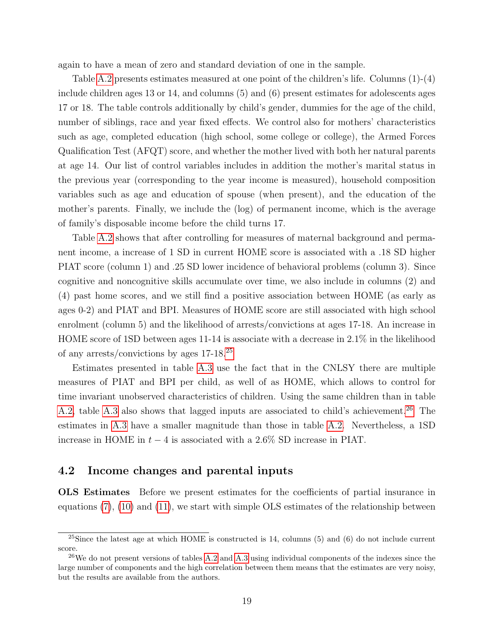again to have a mean of zero and standard deviation of one in the sample.

Table [A.2](#page-41-0) presents estimates measured at one point of the children's life. Columns (1)-(4) include children ages 13 or 14, and columns (5) and (6) present estimates for adolescents ages 17 or 18. The table controls additionally by child's gender, dummies for the age of the child, number of siblings, race and year fixed effects. We control also for mothers' characteristics such as age, completed education (high school, some college or college), the Armed Forces Qualification Test (AFQT) score, and whether the mother lived with both her natural parents at age 14. Our list of control variables includes in addition the mother's marital status in the previous year (corresponding to the year income is measured), household composition variables such as age and education of spouse (when present), and the education of the mother's parents. Finally, we include the (log) of permanent income, which is the average of family's disposable income before the child turns 17.

Table [A.2](#page-41-0) shows that after controlling for measures of maternal background and permanent income, a increase of 1 SD in current HOME score is associated with a .18 SD higher PIAT score (column 1) and .25 SD lower incidence of behavioral problems (column 3). Since cognitive and noncognitive skills accumulate over time, we also include in columns (2) and (4) past home scores, and we still find a positive association between HOME (as early as ages 0-2) and PIAT and BPI. Measures of HOME score are still associated with high school enrolment (column 5) and the likelihood of arrests/convictions at ages 17-18. An increase in HOME score of 1SD between ages 11-14 is associate with a decrease in 2.1% in the likelihood of any arrests/convictions by ages 17-18.[25](#page-20-0)

Estimates presented in table [A.3](#page-42-0) use the fact that in the CNLSY there are multiple measures of PIAT and BPI per child, as well of as HOME, which allows to control for time invariant unobserved characteristics of children. Using the same children than in table [A.2,](#page-41-0) table [A.3](#page-42-0) also shows that lagged inputs are associated to child's achievement.<sup>[26](#page-20-1)</sup> The estimates in [A.3](#page-42-0) have a smaller magnitude than those in table [A.2.](#page-41-0) Nevertheless, a 1SD increase in HOME in  $t - 4$  is associated with a 2.6% SD increase in PIAT.

#### 4.2 Income changes and parental inputs

OLS Estimates Before we present estimates for the coefficients of partial insurance in equations  $(7)$ ,  $(10)$  and  $(11)$ , we start with simple OLS estimates of the relationship between

<span id="page-20-0"></span><sup>&</sup>lt;sup>25</sup>Since the latest age at which HOME is constructed is 14, columns  $(5)$  and  $(6)$  do not include current score.

<span id="page-20-1"></span> $^{26}$ We do not present versions of tables [A.2](#page-41-0) and [A.3](#page-42-0) using individual components of the indexes since the large number of components and the high correlation between them means that the estimates are very noisy, but the results are available from the authors.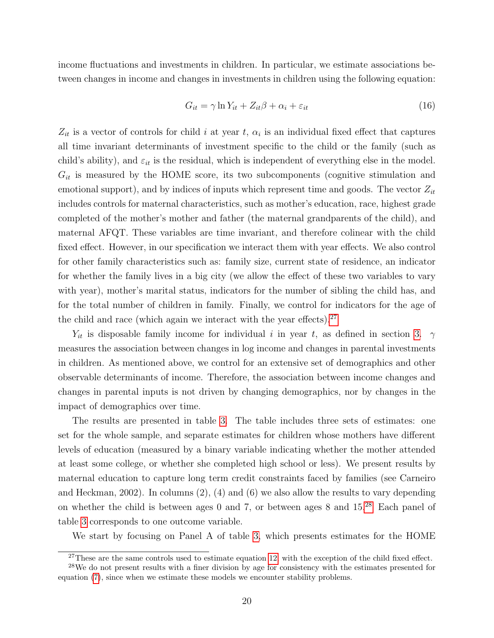income fluctuations and investments in children. In particular, we estimate associations between changes in income and changes in investments in children using the following equation:

<span id="page-21-2"></span>
$$
G_{it} = \gamma \ln Y_{it} + Z_{it}\beta + \alpha_i + \varepsilon_{it} \tag{16}
$$

 $Z_{it}$  is a vector of controls for child i at year t,  $\alpha_i$  is an individual fixed effect that captures all time invariant determinants of investment specific to the child or the family (such as child's ability), and  $\varepsilon_{it}$  is the residual, which is independent of everything else in the model.  $G_{it}$  is measured by the HOME score, its two subcomponents (cognitive stimulation and emotional support), and by indices of inputs which represent time and goods. The vector  $Z_{it}$ includes controls for maternal characteristics, such as mother's education, race, highest grade completed of the mother's mother and father (the maternal grandparents of the child), and maternal AFQT. These variables are time invariant, and therefore colinear with the child fixed effect. However, in our specification we interact them with year effects. We also control for other family characteristics such as: family size, current state of residence, an indicator for whether the family lives in a big city (we allow the effect of these two variables to vary with year), mother's marital status, indicators for the number of sibling the child has, and for the total number of children in family. Finally, we control for indicators for the age of the child and race (which again we interact with the year effects). $27$ 

 $Y_{it}$  is disposable family income for individual i in year t, as defined in section [3.](#page-14-0)  $\gamma$ measures the association between changes in log income and changes in parental investments in children. As mentioned above, we control for an extensive set of demographics and other observable determinants of income. Therefore, the association between income changes and changes in parental inputs is not driven by changing demographics, nor by changes in the impact of demographics over time.

The results are presented in table [3.](#page-34-0) The table includes three sets of estimates: one set for the whole sample, and separate estimates for children whose mothers have different levels of education (measured by a binary variable indicating whether the mother attended at least some college, or whether she completed high school or less). We present results by maternal education to capture long term credit constraints faced by families (see Carneiro and Heckman, 2002). In columns (2), (4) and (6) we also allow the results to vary depending on whether the child is between ages 0 and 7, or between ages 8 and 15.[28](#page-21-1) Each panel of table [3](#page-34-0) corresponds to one outcome variable.

We start by focusing on Panel A of table [3,](#page-34-0) which presents estimates for the HOME

<span id="page-21-1"></span><span id="page-21-0"></span> $27$ These are the same controls used to estimate equation [12,](#page-12-3) with the exception of the child fixed effect.

<sup>&</sup>lt;sup>28</sup>We do not present results with a finer division by age for consistency with the estimates presented for equation [\(7\)](#page-8-3), since when we estimate these models we encounter stability problems.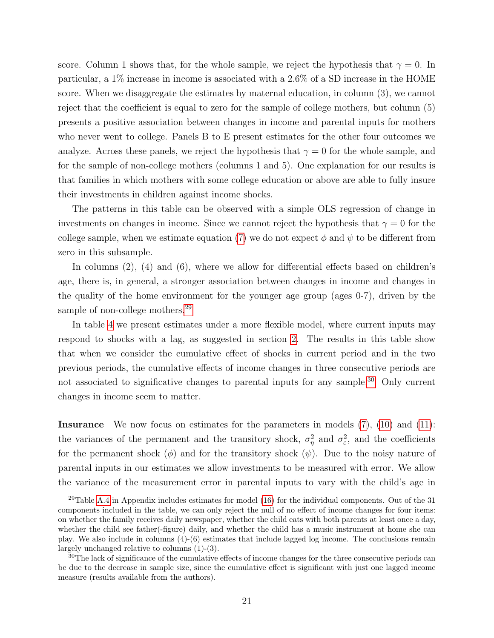score. Column 1 shows that, for the whole sample, we reject the hypothesis that  $\gamma = 0$ . In particular, a 1% increase in income is associated with a 2.6% of a SD increase in the HOME score. When we disaggregate the estimates by maternal education, in column (3), we cannot reject that the coefficient is equal to zero for the sample of college mothers, but column (5) presents a positive association between changes in income and parental inputs for mothers who never went to college. Panels B to E present estimates for the other four outcomes we analyze. Across these panels, we reject the hypothesis that  $\gamma = 0$  for the whole sample, and for the sample of non-college mothers (columns 1 and 5). One explanation for our results is that families in which mothers with some college education or above are able to fully insure their investments in children against income shocks.

The patterns in this table can be observed with a simple OLS regression of change in investments on changes in income. Since we cannot reject the hypothesis that  $\gamma = 0$  for the college sample, when we estimate equation [\(7\)](#page-8-3) we do not expect  $\phi$  and  $\psi$  to be different from zero in this subsample.

In columns (2), (4) and (6), where we allow for differential effects based on children's age, there is, in general, a stronger association between changes in income and changes in the quality of the home environment for the younger age group (ages 0-7), driven by the sample of non-college mothers.<sup>[29](#page-22-0)</sup>

In table [4](#page-35-0) we present estimates under a more flexible model, where current inputs may respond to shocks with a lag, as suggested in section [2.](#page-6-0) The results in this table show that when we consider the cumulative effect of shocks in current period and in the two previous periods, the cumulative effects of income changes in three consecutive periods are not associated to significative changes to parental inputs for any sample.<sup>[30](#page-22-1)</sup> Only current changes in income seem to matter.

Insurance We now focus on estimates for the parameters in models  $(7)$ ,  $(10)$  and  $(11)$ : the variances of the permanent and the transitory shock,  $\sigma_{\eta}^2$  and  $\sigma_{\varepsilon}^2$ , and the coefficients for the permanent shock  $(\phi)$  and for the transitory shock  $(\psi)$ . Due to the noisy nature of parental inputs in our estimates we allow investments to be measured with error. We allow the variance of the measurement error in parental inputs to vary with the child's age in

<span id="page-22-0"></span> $29$ Table [A.4](#page-43-0) in Appendix includes estimates for model [\(16\)](#page-21-2) for the individual components. Out of the 31 components included in the table, we can only reject the null of no effect of income changes for four items: on whether the family receives daily newspaper, whether the child eats with both parents at least once a day, whether the child see father(-figure) daily, and whether the child has a music instrument at home she can play. We also include in columns (4)-(6) estimates that include lagged log income. The conclusions remain largely unchanged relative to columns (1)-(3).

<span id="page-22-1"></span><sup>30</sup>The lack of significance of the cumulative effects of income changes for the three consecutive periods can be due to the decrease in sample size, since the cumulative effect is significant with just one lagged income measure (results available from the authors).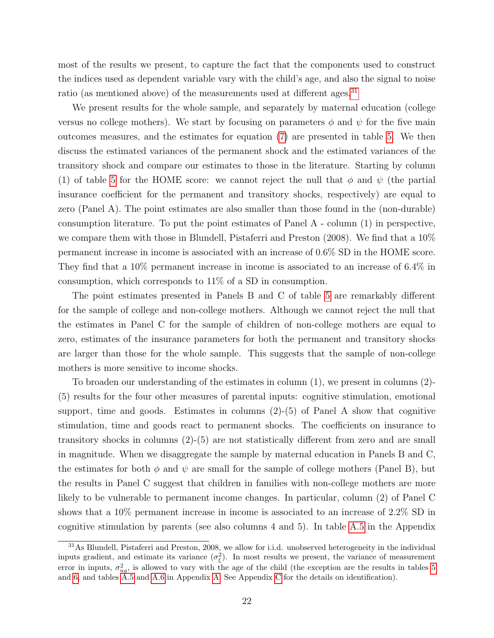most of the results we present, to capture the fact that the components used to construct the indices used as dependent variable vary with the child's age, and also the signal to noise ratio (as mentioned above) of the measurements used at different ages.<sup>[31](#page-23-0)</sup>

We present results for the whole sample, and separately by maternal education (college versus no college mothers). We start by focusing on parameters  $\phi$  and  $\psi$  for the five main outcomes measures, and the estimates for equation [\(7\)](#page-8-3) are presented in table [5.](#page-36-0) We then discuss the estimated variances of the permanent shock and the estimated variances of the transitory shock and compare our estimates to those in the literature. Starting by column (1) of table [5](#page-36-0) for the HOME score: we cannot reject the null that  $\phi$  and  $\psi$  (the partial insurance coefficient for the permanent and transitory shocks, respectively) are equal to zero (Panel A). The point estimates are also smaller than those found in the (non-durable) consumption literature. To put the point estimates of Panel A - column (1) in perspective, we compare them with those in Blundell, Pistaferri and Preston (2008). We find that a 10% permanent increase in income is associated with an increase of 0.6% SD in the HOME score. They find that a 10% permanent increase in income is associated to an increase of 6.4% in consumption, which corresponds to 11% of a SD in consumption.

The point estimates presented in Panels B and C of table [5](#page-36-0) are remarkably different for the sample of college and non-college mothers. Although we cannot reject the null that the estimates in Panel C for the sample of children of non-college mothers are equal to zero, estimates of the insurance parameters for both the permanent and transitory shocks are larger than those for the whole sample. This suggests that the sample of non-college mothers is more sensitive to income shocks.

To broaden our understanding of the estimates in column (1), we present in columns (2)- (5) results for the four other measures of parental inputs: cognitive stimulation, emotional support, time and goods. Estimates in columns  $(2)-(5)$  of Panel A show that cognitive stimulation, time and goods react to permanent shocks. The coefficients on insurance to transitory shocks in columns (2)-(5) are not statistically different from zero and are small in magnitude. When we disaggregate the sample by maternal education in Panels B and C, the estimates for both  $\phi$  and  $\psi$  are small for the sample of college mothers (Panel B), but the results in Panel C suggest that children in families with non-college mothers are more likely to be vulnerable to permanent income changes. In particular, column (2) of Panel C shows that a 10% permanent increase in income is associated to an increase of 2.2% SD in cognitive stimulation by parents (see also columns 4 and 5). In table [A.5](#page-49-0) in the Appendix

<span id="page-23-0"></span><sup>&</sup>lt;sup>31</sup>As Blundell, Pistaferri and Preston, 2008, we allow for i.i.d. unobserved heterogeneity in the individual inputs gradient, and estimate its variance  $(\sigma_{\xi}^2)$ . In most results we present, the variance of measurement error in inputs,  $\sigma_{ug}^2$ , is allowed to vary with the age of the child (the exception are the results in tables [5](#page-36-0) and [6,](#page-37-0) and tables [A.5](#page-49-0) and [A.6](#page-50-0) in Appendix [A.](#page-39-0) See Appendix [C](#page-59-0) for the details on identification).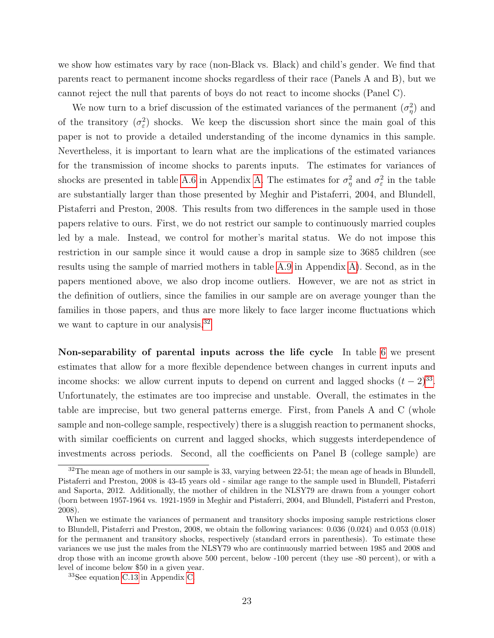we show how estimates vary by race (non-Black vs. Black) and child's gender. We find that parents react to permanent income shocks regardless of their race (Panels A and B), but we cannot reject the null that parents of boys do not react to income shocks (Panel C).

We now turn to a brief discussion of the estimated variances of the permanent  $(\sigma_{\eta}^2)$  and of the transitory  $(\sigma_{\varepsilon}^2)$  shocks. We keep the discussion short since the main goal of this paper is not to provide a detailed understanding of the income dynamics in this sample. Nevertheless, it is important to learn what are the implications of the estimated variances for the transmission of income shocks to parents inputs. The estimates for variances of shocks are presented in table [A.6](#page-50-0) in Appendix [A.](#page-39-0) The estimates for  $\sigma_{\eta}^2$  and  $\sigma_{\varepsilon}^2$  in the table are substantially larger than those presented by Meghir and Pistaferri, 2004, and Blundell, Pistaferri and Preston, 2008. This results from two differences in the sample used in those papers relative to ours. First, we do not restrict our sample to continuously married couples led by a male. Instead, we control for mother's marital status. We do not impose this restriction in our sample since it would cause a drop in sample size to 3685 children (see results using the sample of married mothers in table [A.9](#page-53-0) in Appendix [A\)](#page-39-0). Second, as in the papers mentioned above, we also drop income outliers. However, we are not as strict in the definition of outliers, since the families in our sample are on average younger than the families in those papers, and thus are more likely to face larger income fluctuations which we want to capture in our analysis.<sup>[32](#page-24-0)</sup>

Non-separability of parental inputs across the life cycle In table [6](#page-37-0) we present estimates that allow for a more flexible dependence between changes in current inputs and income shocks: we allow current inputs to depend on current and lagged shocks  $(t-2)^{33}$  $(t-2)^{33}$  $(t-2)^{33}$ . Unfortunately, the estimates are too imprecise and unstable. Overall, the estimates in the table are imprecise, but two general patterns emerge. First, from Panels A and C (whole sample and non-college sample, respectively) there is a sluggish reaction to permanent shocks, with similar coefficients on current and lagged shocks, which suggests interdependence of investments across periods. Second, all the coefficients on Panel B (college sample) are

<span id="page-24-0"></span><sup>&</sup>lt;sup>32</sup>The mean age of mothers in our sample is 33, varying between 22-51; the mean age of heads in Blundell, Pistaferri and Preston, 2008 is 43-45 years old - similar age range to the sample used in Blundell, Pistaferri and Saporta, 2012. Additionally, the mother of children in the NLSY79 are drawn from a younger cohort (born between 1957-1964 vs. 1921-1959 in Meghir and Pistaferri, 2004, and Blundell, Pistaferri and Preston, 2008).

When we estimate the variances of permanent and transitory shocks imposing sample restrictions closer to Blundell, Pistaferri and Preston, 2008, we obtain the following variances: 0.036 (0.024) and 0.053 (0.018) for the permanent and transitory shocks, respectively (standard errors in parenthesis). To estimate these variances we use just the males from the NLSY79 who are continuously married between 1985 and 2008 and drop those with an income growth above 500 percent, below -100 percent (they use -80 percent), or with a level of income below \$50 in a given year.

<span id="page-24-1"></span><sup>33</sup>See equation [C.13](#page-62-0) in Appendix [C.](#page-59-0)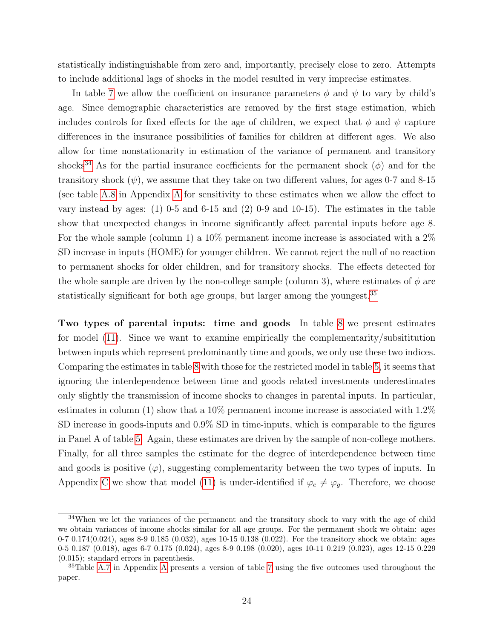statistically indistinguishable from zero and, importantly, precisely close to zero. Attempts to include additional lags of shocks in the model resulted in very imprecise estimates.

In table [7](#page-38-0) we allow the coefficient on insurance parameters  $\phi$  and  $\psi$  to vary by child's age. Since demographic characteristics are removed by the first stage estimation, which includes controls for fixed effects for the age of children, we expect that  $\phi$  and  $\psi$  capture differences in the insurance possibilities of families for children at different ages. We also allow for time nonstationarity in estimation of the variance of permanent and transitory shocks<sup>[34](#page-25-0)</sup> As for the partial insurance coefficients for the permanent shock  $(\phi)$  and for the transitory shock  $(\psi)$ , we assume that they take on two different values, for ages 0-7 and 8-15 (see table [A.8](#page-52-0) in Appendix [A](#page-39-0) for sensitivity to these estimates when we allow the effect to vary instead by ages: (1) 0-5 and 6-15 and (2) 0-9 and 10-15). The estimates in the table show that unexpected changes in income significantly affect parental inputs before age 8. For the whole sample (column 1) a 10% permanent income increase is associated with a 2% SD increase in inputs (HOME) for younger children. We cannot reject the null of no reaction to permanent shocks for older children, and for transitory shocks. The effects detected for the whole sample are driven by the non-college sample (column 3), where estimates of  $\phi$  are statistically significant for both age groups, but larger among the youngest.[35](#page-25-1)

Two types of parental inputs: time and goods In table [8](#page-38-1) we present estimates for model [\(11\)](#page-11-3). Since we want to examine empirically the complementarity/subsititution between inputs which represent predominantly time and goods, we only use these two indices. Comparing the estimates in table [8](#page-38-1) with those for the restricted model in table [5,](#page-36-0) it seems that ignoring the interdependence between time and goods related investments underestimates only slightly the transmission of income shocks to changes in parental inputs. In particular, estimates in column (1) show that a 10% permanent income increase is associated with 1.2% SD increase in goods-inputs and 0.9% SD in time-inputs, which is comparable to the figures in Panel A of table [5.](#page-36-0) Again, these estimates are driven by the sample of non-college mothers. Finally, for all three samples the estimate for the degree of interdependence between time and goods is positive  $(\varphi)$ , suggesting complementarity between the two types of inputs. In Appendix [C](#page-59-0) we show that model [\(11\)](#page-11-3) is under-identified if  $\varphi_e \neq \varphi_g$ . Therefore, we choose

<span id="page-25-0"></span><sup>&</sup>lt;sup>34</sup>When we let the variances of the permanent and the transitory shock to vary with the age of child we obtain variances of income shocks similar for all age groups. For the permanent shock we obtain: ages 0-7 0.174(0.024), ages 8-9 0.185 (0.032), ages 10-15 0.138 (0.022). For the transitory shock we obtain: ages 0-5 0.187 (0.018), ages 6-7 0.175 (0.024), ages 8-9 0.198 (0.020), ages 10-11 0.219 (0.023), ages 12-15 0.229 (0.015); standard errors in parenthesis.

<span id="page-25-1"></span><sup>&</sup>lt;sup>35</sup>Table [A.7](#page-51-0) in [A](#page-39-0)ppendix A presents a version of table [7](#page-38-0) using the five outcomes used throughout the paper.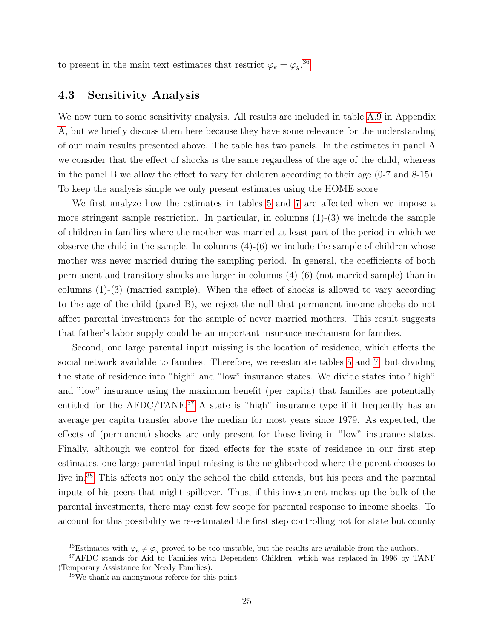to present in the main text estimates that restrict  $\varphi_e = \varphi_g^{36}$  $\varphi_e = \varphi_g^{36}$  $\varphi_e = \varphi_g^{36}$ .

#### 4.3 Sensitivity Analysis

We now turn to some sensitivity analysis. All results are included in table [A.9](#page-53-0) in Appendix [A,](#page-39-0) but we briefly discuss them here because they have some relevance for the understanding of our main results presented above. The table has two panels. In the estimates in panel A we consider that the effect of shocks is the same regardless of the age of the child, whereas in the panel B we allow the effect to vary for children according to their age (0-7 and 8-15). To keep the analysis simple we only present estimates using the HOME score.

We first analyze how the estimates in tables [5](#page-36-0) and [7](#page-38-0) are affected when we impose a more stringent sample restriction. In particular, in columns  $(1)-(3)$  we include the sample of children in families where the mother was married at least part of the period in which we observe the child in the sample. In columns  $(4)-(6)$  we include the sample of children whose mother was never married during the sampling period. In general, the coefficients of both permanent and transitory shocks are larger in columns (4)-(6) (not married sample) than in columns  $(1)-(3)$  (married sample). When the effect of shocks is allowed to vary according to the age of the child (panel B), we reject the null that permanent income shocks do not affect parental investments for the sample of never married mothers. This result suggests that father's labor supply could be an important insurance mechanism for families.

Second, one large parental input missing is the location of residence, which affects the social network available to families. Therefore, we re-estimate tables [5](#page-36-0) and [7,](#page-38-0) but dividing the state of residence into "high" and "low" insurance states. We divide states into "high" and "low" insurance using the maximum benefit (per capita) that families are potentially entitled for the  $AFDC/TANF<sup>37</sup>$  $AFDC/TANF<sup>37</sup>$  $AFDC/TANF<sup>37</sup>$  A state is "high" insurance type if it frequently has an average per capita transfer above the median for most years since 1979. As expected, the effects of (permanent) shocks are only present for those living in "low" insurance states. Finally, although we control for fixed effects for the state of residence in our first step estimates, one large parental input missing is the neighborhood where the parent chooses to live in.[38](#page-26-2) This affects not only the school the child attends, but his peers and the parental inputs of his peers that might spillover. Thus, if this investment makes up the bulk of the parental investments, there may exist few scope for parental response to income shocks. To account for this possibility we re-estimated the first step controlling not for state but county

<span id="page-26-1"></span><span id="page-26-0"></span><sup>&</sup>lt;sup>36</sup>Estimates with  $\varphi_e \neq \varphi_q$  proved to be too unstable, but the results are available from the authors.

<sup>37</sup>AFDC stands for Aid to Families with Dependent Children, which was replaced in 1996 by TANF (Temporary Assistance for Needy Families).

<span id="page-26-2"></span><sup>38</sup>We thank an anonymous referee for this point.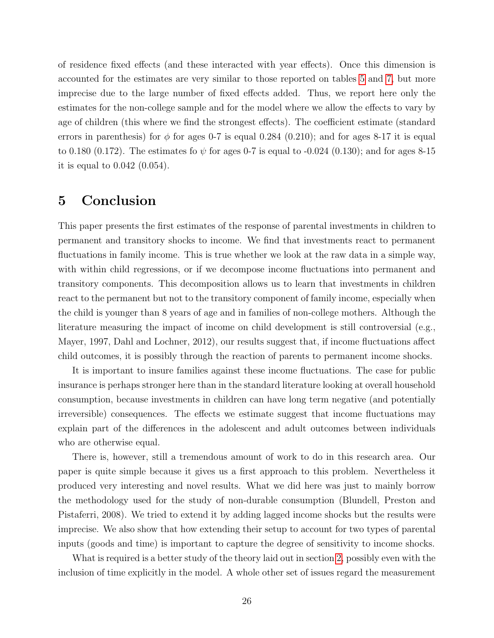of residence fixed effects (and these interacted with year effects). Once this dimension is accounted for the estimates are very similar to those reported on tables [5](#page-36-0) and [7,](#page-38-0) but more imprecise due to the large number of fixed effects added. Thus, we report here only the estimates for the non-college sample and for the model where we allow the effects to vary by age of children (this where we find the strongest effects). The coefficient estimate (standard errors in parenthesis) for  $\phi$  for ages 0-7 is equal 0.284 (0.210); and for ages 8-17 it is equal to 0.180 (0.172). The estimates fo  $\psi$  for ages 0-7 is equal to -0.024 (0.130); and for ages 8-15 it is equal to 0.042 (0.054).

## <span id="page-27-0"></span>5 Conclusion

This paper presents the first estimates of the response of parental investments in children to permanent and transitory shocks to income. We find that investments react to permanent fluctuations in family income. This is true whether we look at the raw data in a simple way, with within child regressions, or if we decompose income fluctuations into permanent and transitory components. This decomposition allows us to learn that investments in children react to the permanent but not to the transitory component of family income, especially when the child is younger than 8 years of age and in families of non-college mothers. Although the literature measuring the impact of income on child development is still controversial (e.g., Mayer, 1997, Dahl and Lochner, 2012), our results suggest that, if income fluctuations affect child outcomes, it is possibly through the reaction of parents to permanent income shocks.

It is important to insure families against these income fluctuations. The case for public insurance is perhaps stronger here than in the standard literature looking at overall household consumption, because investments in children can have long term negative (and potentially irreversible) consequences. The effects we estimate suggest that income fluctuations may explain part of the differences in the adolescent and adult outcomes between individuals who are otherwise equal.

There is, however, still a tremendous amount of work to do in this research area. Our paper is quite simple because it gives us a first approach to this problem. Nevertheless it produced very interesting and novel results. What we did here was just to mainly borrow the methodology used for the study of non-durable consumption (Blundell, Preston and Pistaferri, 2008). We tried to extend it by adding lagged income shocks but the results were imprecise. We also show that how extending their setup to account for two types of parental inputs (goods and time) is important to capture the degree of sensitivity to income shocks.

What is required is a better study of the theory laid out in section [2,](#page-6-0) possibly even with the inclusion of time explicitly in the model. A whole other set of issues regard the measurement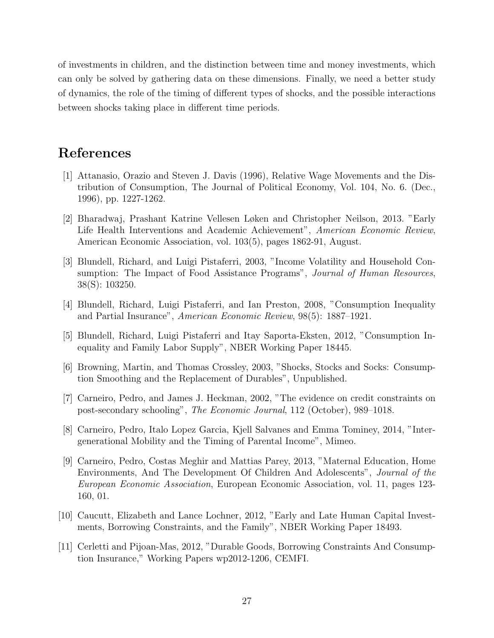of investments in children, and the distinction between time and money investments, which can only be solved by gathering data on these dimensions. Finally, we need a better study of dynamics, the role of the timing of different types of shocks, and the possible interactions between shocks taking place in different time periods.

#### References

- [1] Attanasio, Orazio and Steven J. Davis (1996), Relative Wage Movements and the Distribution of Consumption, The Journal of Political Economy, Vol. 104, No. 6. (Dec., 1996), pp. 1227-1262.
- [2] Bharadwaj, Prashant Katrine Vellesen Løken and Christopher Neilson, 2013. "Early Life Health Interventions and Academic Achievement", American Economic Review, American Economic Association, vol. 103(5), pages 1862-91, August.
- [3] Blundell, Richard, and Luigi Pistaferri, 2003, "Income Volatility and Household Consumption: The Impact of Food Assistance Programs", Journal of Human Resources, 38(S): 103250.
- [4] Blundell, Richard, Luigi Pistaferri, and Ian Preston, 2008, "Consumption Inequality and Partial Insurance", American Economic Review, 98(5): 1887–1921.
- [5] Blundell, Richard, Luigi Pistaferri and Itay Saporta-Eksten, 2012, "Consumption Inequality and Family Labor Supply", NBER Working Paper 18445.
- [6] Browning, Martin, and Thomas Crossley, 2003, "Shocks, Stocks and Socks: Consumption Smoothing and the Replacement of Durables", Unpublished.
- [7] Carneiro, Pedro, and James J. Heckman, 2002, "The evidence on credit constraints on post-secondary schooling", The Economic Journal, 112 (October), 989–1018.
- [8] Carneiro, Pedro, Italo Lopez Garcia, Kjell Salvanes and Emma Tominey, 2014, "Intergenerational Mobility and the Timing of Parental Income", Mimeo.
- [9] Carneiro, Pedro, Costas Meghir and Mattias Parey, 2013, "Maternal Education, Home Environments, And The Development Of Children And Adolescents", Journal of the European Economic Association, European Economic Association, vol. 11, pages 123- 160, 01.
- [10] Caucutt, Elizabeth and Lance Lochner, 2012, "Early and Late Human Capital Investments, Borrowing Constraints, and the Family", NBER Working Paper 18493.
- [11] Cerletti and Pijoan-Mas, 2012, "Durable Goods, Borrowing Constraints And Consumption Insurance," Working Papers wp2012-1206, CEMFI.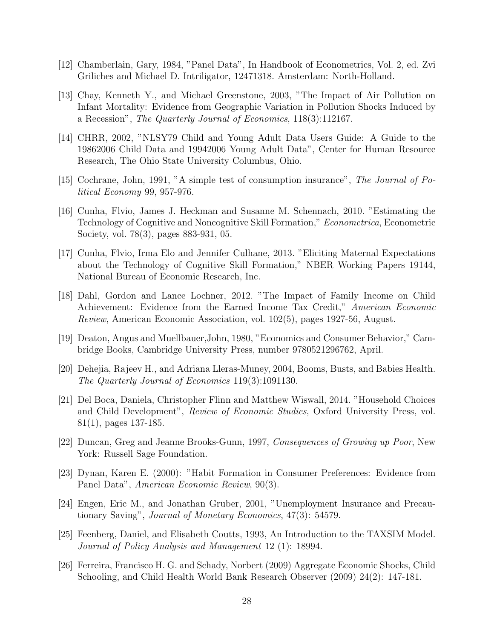- [12] Chamberlain, Gary, 1984, "Panel Data", In Handbook of Econometrics, Vol. 2, ed. Zvi Griliches and Michael D. Intriligator, 12471318. Amsterdam: North-Holland.
- [13] Chay, Kenneth Y., and Michael Greenstone, 2003, "The Impact of Air Pollution on Infant Mortality: Evidence from Geographic Variation in Pollution Shocks Induced by a Recession", The Quarterly Journal of Economics, 118(3):112167.
- [14] CHRR, 2002, "NLSY79 Child and Young Adult Data Users Guide: A Guide to the 19862006 Child Data and 19942006 Young Adult Data", Center for Human Resource Research, The Ohio State University Columbus, Ohio.
- [15] Cochrane, John, 1991, "A simple test of consumption insurance", The Journal of Political Economy 99, 957-976.
- [16] Cunha, Flvio, James J. Heckman and Susanne M. Schennach, 2010. "Estimating the Technology of Cognitive and Noncognitive Skill Formation," Econometrica, Econometric Society, vol. 78(3), pages 883-931, 05.
- [17] Cunha, Flvio, Irma Elo and Jennifer Culhane, 2013. "Eliciting Maternal Expectations about the Technology of Cognitive Skill Formation," NBER Working Papers 19144, National Bureau of Economic Research, Inc.
- [18] Dahl, Gordon and Lance Lochner, 2012. "The Impact of Family Income on Child Achievement: Evidence from the Earned Income Tax Credit," American Economic Review, American Economic Association, vol. 102(5), pages 1927-56, August.
- [19] Deaton, Angus and Muellbauer,John, 1980, "Economics and Consumer Behavior," Cambridge Books, Cambridge University Press, number 9780521296762, April.
- [20] Dehejia, Rajeev H., and Adriana Lleras-Muney, 2004, Booms, Busts, and Babies Health. The Quarterly Journal of Economics 119(3):1091130.
- [21] Del Boca, Daniela, Christopher Flinn and Matthew Wiswall, 2014. "Household Choices and Child Development", Review of Economic Studies, Oxford University Press, vol. 81(1), pages 137-185.
- [22] Duncan, Greg and Jeanne Brooks-Gunn, 1997, Consequences of Growing up Poor, New York: Russell Sage Foundation.
- [23] Dynan, Karen E. (2000): "Habit Formation in Consumer Preferences: Evidence from Panel Data", American Economic Review, 90(3).
- [24] Engen, Eric M., and Jonathan Gruber, 2001, "Unemployment Insurance and Precautionary Saving", Journal of Monetary Economics, 47(3): 54579.
- [25] Feenberg, Daniel, and Elisabeth Coutts, 1993, An Introduction to the TAXSIM Model. Journal of Policy Analysis and Management 12 (1): 18994.
- [26] Ferreira, Francisco H. G. and Schady, Norbert (2009) Aggregate Economic Shocks, Child Schooling, and Child Health World Bank Research Observer (2009) 24(2): 147-181.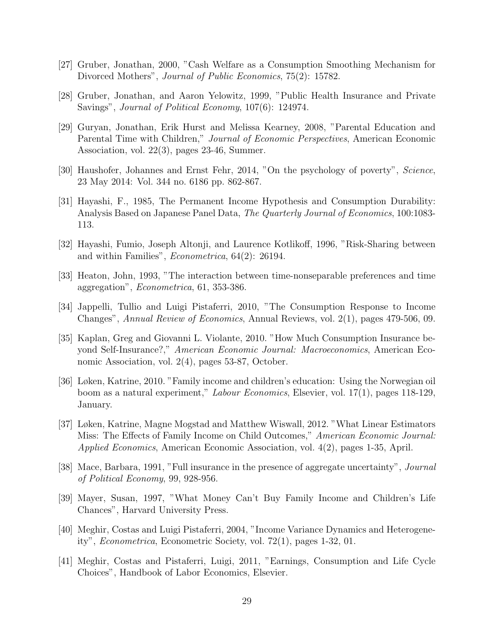- [27] Gruber, Jonathan, 2000, "Cash Welfare as a Consumption Smoothing Mechanism for Divorced Mothers", *Journal of Public Economics*, 75(2): 15782.
- [28] Gruber, Jonathan, and Aaron Yelowitz, 1999, "Public Health Insurance and Private Savings", *Journal of Political Economy*, 107(6): 124974.
- [29] Guryan, Jonathan, Erik Hurst and Melissa Kearney, 2008, "Parental Education and Parental Time with Children," *Journal of Economic Perspectives*, American Economic Association, vol. 22(3), pages 23-46, Summer.
- [30] Haushofer, Johannes and Ernst Fehr, 2014, "On the psychology of poverty", Science, 23 May 2014: Vol. 344 no. 6186 pp. 862-867.
- [31] Hayashi, F., 1985, The Permanent Income Hypothesis and Consumption Durability: Analysis Based on Japanese Panel Data, The Quarterly Journal of Economics, 100:1083- 113.
- [32] Hayashi, Fumio, Joseph Altonji, and Laurence Kotlikoff, 1996, "Risk-Sharing between and within Families", Econometrica, 64(2): 26194.
- [33] Heaton, John, 1993, "The interaction between time-nonseparable preferences and time aggregation", Econometrica, 61, 353-386.
- [34] Jappelli, Tullio and Luigi Pistaferri, 2010, "The Consumption Response to Income Changes", Annual Review of Economics, Annual Reviews, vol. 2(1), pages 479-506, 09.
- [35] Kaplan, Greg and Giovanni L. Violante, 2010. "How Much Consumption Insurance beyond Self-Insurance?," American Economic Journal: Macroeconomics, American Economic Association, vol. 2(4), pages 53-87, October.
- [36] Løken, Katrine, 2010. "Family income and children's education: Using the Norwegian oil boom as a natural experiment," Labour Economics, Elsevier, vol. 17(1), pages 118-129, January.
- [37] Løken, Katrine, Magne Mogstad and Matthew Wiswall, 2012. "What Linear Estimators Miss: The Effects of Family Income on Child Outcomes," American Economic Journal: Applied Economics, American Economic Association, vol. 4(2), pages 1-35, April.
- [38] Mace, Barbara, 1991, "Full insurance in the presence of aggregate uncertainty", Journal of Political Economy, 99, 928-956.
- [39] Mayer, Susan, 1997, "What Money Can't Buy Family Income and Children's Life Chances", Harvard University Press.
- [40] Meghir, Costas and Luigi Pistaferri, 2004, "Income Variance Dynamics and Heterogeneity", Econometrica, Econometric Society, vol. 72(1), pages 1-32, 01.
- [41] Meghir, Costas and Pistaferri, Luigi, 2011, "Earnings, Consumption and Life Cycle Choices", Handbook of Labor Economics, Elsevier.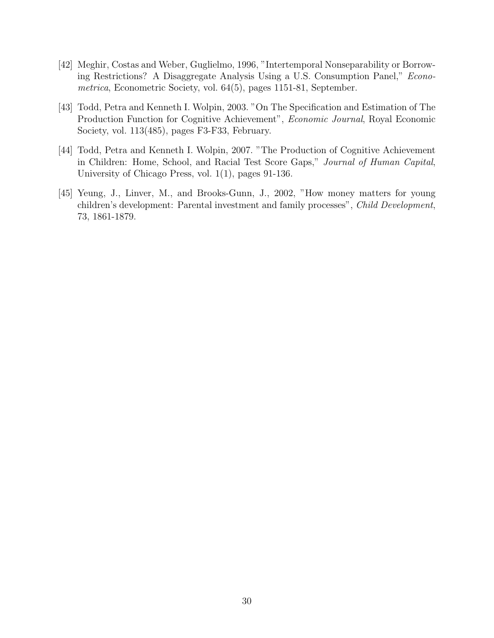- [42] Meghir, Costas and Weber, Guglielmo, 1996, "Intertemporal Nonseparability or Borrowing Restrictions? A Disaggregate Analysis Using a U.S. Consumption Panel," Econometrica, Econometric Society, vol. 64(5), pages 1151-81, September.
- [43] Todd, Petra and Kenneth I. Wolpin, 2003. "On The Specification and Estimation of The Production Function for Cognitive Achievement", Economic Journal, Royal Economic Society, vol. 113(485), pages F3-F33, February.
- [44] Todd, Petra and Kenneth I. Wolpin, 2007. "The Production of Cognitive Achievement in Children: Home, School, and Racial Test Score Gaps," Journal of Human Capital, University of Chicago Press, vol. 1(1), pages 91-136.
- [45] Yeung, J., Linver, M., and Brooks-Gunn, J., 2002, "How money matters for young children's development: Parental investment and family processes", Child Development, 73, 1861-1879.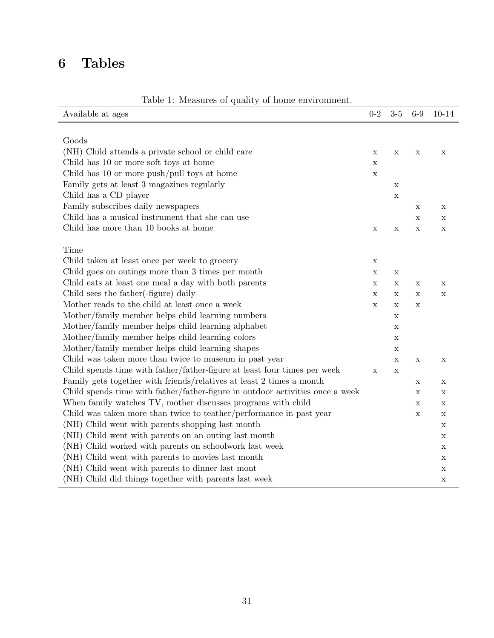## 6 Tables

<span id="page-32-0"></span>

| Lable 1. Measures of quality of home environments.<br>Available at ages       | $0 - 2$     | $3-5$       | $6-9$       | $10 - 14$   |
|-------------------------------------------------------------------------------|-------------|-------------|-------------|-------------|
|                                                                               |             |             |             |             |
| Goods                                                                         |             |             |             |             |
| (NH) Child attends a private school or child care                             | X           | X           | Х           | $\mathbf x$ |
| Child has 10 or more soft toys at home                                        | $\mathbf X$ |             |             |             |
| Child has 10 or more push/pull toys at home                                   | $\mathbf X$ |             |             |             |
| Family gets at least 3 magazines regularly                                    |             | $\mathbf X$ |             |             |
| Child has a CD player                                                         |             | X           |             |             |
| Family subscribes daily newspapers                                            |             |             | $\mathbf X$ | $\mathbf x$ |
| Child has a musical instrument that she can use                               |             |             | $\mathbf x$ | $\mathbf x$ |
| Child has more than 10 books at home                                          | х           | X           | $\mathbf X$ | X           |
| Time                                                                          |             |             |             |             |
| Child taken at least once per week to grocery                                 | $\mathbf X$ |             |             |             |
| Child goes on outings more than 3 times per month                             | X           | $\mathbf x$ |             |             |
| Child eats at least one meal a day with both parents                          | $\mathbf X$ | $\mathbf X$ | $\mathbf X$ | $\mathbf x$ |
| Child sees the father (-figure) daily                                         | X           | X           | $\mathbf X$ | $\mathbf x$ |
| Mother reads to the child at least once a week                                | $\mathbf X$ | X           | Х           |             |
| Mother/family member helps child learning numbers                             |             | $\mathbf x$ |             |             |
| Mother/family member helps child learning alphabet                            |             | $\mathbf x$ |             |             |
| Mother/family member helps child learning colors                              |             | $\mathbf x$ |             |             |
| Mother/family member helps child learning shapes                              |             | X           |             |             |
| Child was taken more than twice to museum in past year                        |             | $\mathbf x$ | $\mathbf X$ | X           |
| Child spends time with father/father-figure at least four times per week      | $\mathbf X$ | $\mathbf X$ |             |             |
| Family gets together with friends/relatives at least 2 times a month          |             |             | $\mathbf X$ | X           |
| Child spends time with father/father-figure in outdoor activities once a week |             |             | $\mathbf X$ | X           |
| When family watches TV, mother discusses programs with child                  |             |             | $\mathbf X$ | X           |
| Child was taken more than twice to teather/performance in past year           |             |             | $\mathbf X$ | X           |
| (NH) Child went with parents shopping last month                              |             |             |             | X           |
| (NH) Child went with parents on an outing last month                          |             |             |             | $\mathbf X$ |
| (NH) Child worked with parents on schoolwork last week                        |             |             |             | $\mathbf x$ |
| (NH) Child went with parents to movies last month                             |             |             |             | $\mathbf X$ |
| (NH) Child went with parents to dinner last mont                              |             |             |             | х           |
| (NH) Child did things together with parents last week                         |             |             |             | $\mathbf X$ |

Table 1: Measures of quality of home environment.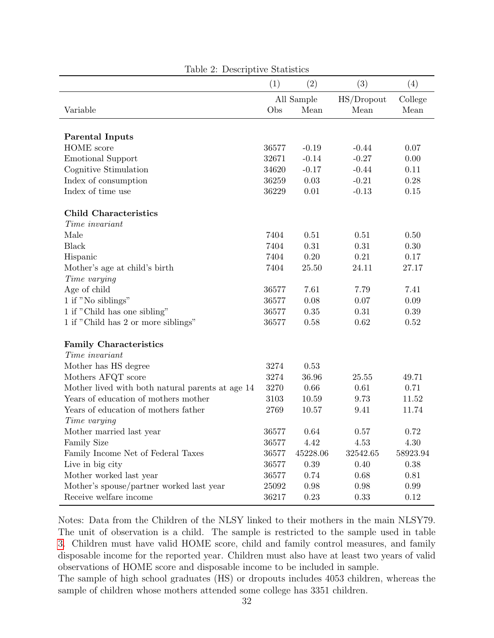<span id="page-33-0"></span>

| $\mathbf{r}$ and $\mathbf{r}$ . Descriptive December 20 |       |            |            |          |
|---------------------------------------------------------|-------|------------|------------|----------|
|                                                         | (1)   | (2)        | (3)        | (4)      |
|                                                         |       | All Sample | HS/Dropout | College  |
| Variable                                                | Obs   | Mean       | Mean       | Mean     |
|                                                         |       |            |            |          |
| <b>Parental Inputs</b>                                  |       |            |            |          |
| <b>HOME</b> score                                       | 36577 | $-0.19$    | $-0.44$    | 0.07     |
| <b>Emotional Support</b>                                | 32671 | $-0.14$    | $-0.27$    | 0.00     |
| Cognitive Stimulation                                   | 34620 | $-0.17$    | $-0.44$    | 0.11     |
| Index of consumption                                    | 36259 | 0.03       | $-0.21$    | 0.28     |
| Index of time use                                       | 36229 | 0.01       | $-0.13$    | $0.15\,$ |
| <b>Child Characteristics</b>                            |       |            |            |          |
| Time invariant                                          |       |            |            |          |
| Male                                                    | 7404  | 0.51       | 0.51       | 0.50     |
| <b>Black</b>                                            | 7404  | 0.31       | 0.31       | 0.30     |
| Hispanic                                                | 7404  | 0.20       | 0.21       | 0.17     |
| Mother's age at child's birth                           | 7404  | 25.50      | 24.11      | 27.17    |
| Time varying                                            |       |            |            |          |
| Age of child                                            | 36577 | 7.61       | 7.79       | 7.41     |
| 1 if "No siblings"                                      | 36577 | 0.08       | 0.07       | 0.09     |
| 1 if "Child has one sibling"                            | 36577 | 0.35       | 0.31       | 0.39     |
| 1 if "Child has 2 or more siblings"                     | 36577 | 0.58       | 0.62       | 0.52     |
|                                                         |       |            |            |          |
| <b>Family Characteristics</b>                           |       |            |            |          |
| Time invariant                                          |       |            |            |          |
| Mother has HS degree                                    | 3274  | 0.53       |            |          |
| Mothers AFQT score                                      | 3274  | 36.96      | 25.55      | 49.71    |
| Mother lived with both natural parents at age $14\,$    | 3270  | 0.66       | 0.61       | 0.71     |
| Years of education of mothers mother                    | 3103  | 10.59      | 9.73       | 11.52    |
| Years of education of mothers father                    | 2769  | 10.57      | 9.41       | 11.74    |
| Time varying                                            |       |            |            |          |
| Mother married last year                                | 36577 | 0.64       | 0.57       | 0.72     |
| <b>Family Size</b>                                      | 36577 | 4.42       | 4.53       | 4.30     |
| Family Income Net of Federal Taxes                      | 36577 | 45228.06   | 32542.65   | 58923.94 |
| Live in big city                                        | 36577 | 0.39       | 0.40       | 0.38     |
| Mother worked last year                                 | 36577 | 0.74       | 0.68       | 0.81     |
| Mother's spouse/partner worked last year                | 25092 | 0.98       | 0.98       | 0.99     |
| Receive welfare income                                  | 36217 | 0.23       | 0.33       | 0.12     |

Table 2: Descriptive Statistics

Notes: Data from the Children of the NLSY linked to their mothers in the main NLSY79. The unit of observation is a child. The sample is restricted to the sample used in table [3.](#page-34-0) Children must have valid HOME score, child and family control measures, and family disposable income for the reported year. Children must also have at least two years of valid observations of HOME score and disposable income to be included in sample.

The sample of high school graduates (HS) or dropouts includes 4053 children, whereas the sample of children whose mothers attended some college has 3351 children.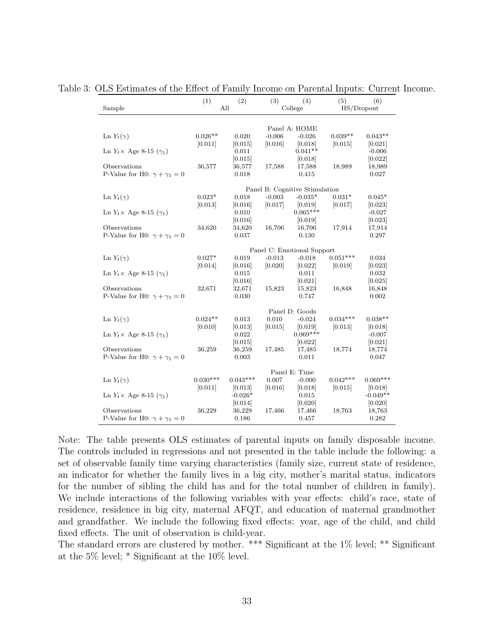| Sample                                  | (1)                        | (2)<br>All | (3)      | (4)<br>College                 | (5)        | (6)<br>HS/Dropout |
|-----------------------------------------|----------------------------|------------|----------|--------------------------------|------------|-------------------|
|                                         |                            |            |          |                                |            |                   |
|                                         |                            |            |          | Panel A: HOME                  |            |                   |
| Ln $Y_t(\gamma)$                        | $0.026**$                  | 0.020      | $-0.006$ | $-0.026$                       | $0.039**$  | $0.043**$         |
|                                         | [0.011]                    | [0.015]    | [0.016]  | [0.018]                        | [0.015]    | [0.021]           |
| Ln $Y_t \times$ Age 8-15 $(\gamma_1)$   |                            | 0.011      |          | $0.041**$                      |            | $-0.006$          |
|                                         |                            | [0.015]    |          | [0.018]                        |            | [0.022]           |
| Observations                            | 36,577                     | 36,577     | 17,588   | 17,588                         | 18,989     | 18,989            |
| P-Value for H0: $\gamma + \gamma_1 = 0$ |                            | 0.018      |          | 0.415                          |            | 0.027             |
|                                         |                            |            |          | Panel B: Cognitive Stimulation |            |                   |
| Ln $Y_t(\gamma)$                        | $0.023*$                   | 0.018      | $-0.003$ | $-0.035*$                      | $0.031*$   | $0.045*$          |
|                                         | [0.013]                    | [0.016]    | [0.017]  | [0.019]                        | [0.017]    | [0.023]           |
| Ln $Y_t \times$ Age 8-15 $(\gamma_1)$   |                            | 0.010      |          | $0.065***$                     |            | $-0.027$          |
|                                         |                            | [0.016]    |          | [0.019]                        |            | [0.023]           |
| Observations                            | 34,620                     | 34,620     | 16,706   | 16,706                         | 17,914     | 17,914            |
| P-Value for H0: $\gamma + \gamma_1 = 0$ |                            | 0.037      |          | 0.130                          |            | 0.297             |
|                                         | Panel C: Emotional Support |            |          |                                |            |                   |
| Ln $Y_t(\gamma)$                        | $0.027*$                   | 0.019      | $-0.013$ | $-0.018$                       | $0.051***$ | 0.034             |
|                                         | [0.014]                    | [0.016]    | [0.020]  | [0.022]                        | [0.019]    | [0.023]           |
| Ln $Y_t \times$ Age 8-15 $(\gamma_1)$   |                            | 0.015      |          | 0.011                          |            | 0.032             |
|                                         |                            | [0.016]    |          | [0.021]                        |            | [0.025]           |
| Observations                            | 32,671                     | 32,671     | 15,823   | 15,823                         | 16,848     | 16,848            |
| P-Value for H0: $\gamma + \gamma_1 = 0$ |                            | 0.030      |          | 0.747                          |            | 0.002             |
|                                         |                            |            |          | Panel D: Goods                 |            |                   |
| Ln $Y_t(\gamma)$                        | $0.024**$                  | 0.013      | 0.010    | $-0.024$                       | $0.034***$ | $0.038**$         |
|                                         | [0.010]                    | [0.013]    | [0.015]  | [0.019]                        | [0.013]    | [0.018]           |
| Ln $Y_t \times$ Age 8-15 $(\gamma_1)$   |                            | 0.022      |          | $0.069***$                     |            | $-0.007$          |
|                                         |                            | [0.015]    |          | [0.022]                        |            | [0.021]           |
| Observations                            | 36,259                     | 36,259     | 17,485   | 17,485                         | 18,774     | 18,774            |
| P-Value for H0: $\gamma + \gamma_1 = 0$ |                            | 0.003      |          | 0.011                          |            | 0.047             |
|                                         |                            |            |          | Panel E: Time                  |            |                   |
| Ln $Y_t(\gamma)$                        | $0.030***$                 | $0.043***$ | 0.007    | $-0.000$                       | $0.042***$ | $0.069***$        |
|                                         | [0.011]                    | [0.013]    | [0.016]  | [0.018]                        | [0.015]    | [0.018]           |
| Ln $Y_t \times$ Age 8-15 $(\gamma_1)$   |                            | $-0.026*$  |          | 0.015                          |            | $-0.049**$        |
|                                         |                            | [0.014]    |          | [0.020]                        |            | [0.020]           |
| Observations                            | 36,229                     | 36,229     | 17,466   | 17,466                         | 18,763     | 18,763            |
| P-Value for H0: $\gamma + \gamma_1 = 0$ |                            | 0.186      |          | 0.457                          |            | 0.282             |

<span id="page-34-0"></span>Table 3: OLS Estimates of the Effect of Family Income on Parental Inputs: Current Income.

Note: The table presents OLS estimates of parental inputs on family disposable income. The controls included in regressions and not presented in the table include the following: a set of observable family time varying characteristics (family size, current state of residence, an indicator for whether the family lives in a big city, mother's marital status, indicators for the number of sibling the child has and for the total number of children in family). We include interactions of the following variables with year effects: child's race, state of residence, residence in big city, maternal AFQT, and education of maternal grandmother and grandfather. We include the following fixed effects: year, age of the child, and child fixed effects. The unit of observation is child-year.

The standard errors are clustered by mother. \*\*\* Significant at the 1% level; \*\* Significant at the 5% level; \* Significant at the 10% level.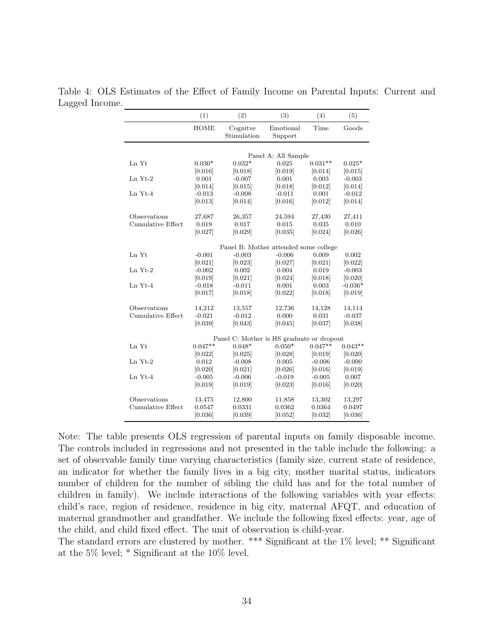|                   | (1)              | (2)                                       | (3)                  | (4)              | (5)                 |
|-------------------|------------------|-------------------------------------------|----------------------|------------------|---------------------|
|                   | <b>HOME</b>      | Cognitve<br>Stimulation                   | Emotional<br>Support | Time             | Goods               |
|                   |                  |                                           |                      |                  |                     |
|                   |                  | $0.032*$                                  | Panel A: All Sample  |                  |                     |
| Ln Yt             | $0.030*$         |                                           | 0.025                | $0.031**$        | $0.025*$            |
| $Ln Yt-2$         | [0.016]<br>0.001 | [0.018]<br>$-0.007$                       | [0.019]<br>0.001     | [0.014]<br>0.003 | [0.015]<br>$-0.003$ |
|                   | [0.014]          | [0.015]                                   | [0.018]              | [0.012]          | [0.014]             |
| $Ln Yt-4$         | $-0.013$         | $-0.008$                                  | $-0.011$             | 0.001            | $-0.012$            |
|                   | [0.013]          | [0.014]                                   | [0.016]              | [0.012]          | [0.014]             |
|                   |                  |                                           |                      |                  |                     |
| Observations      | 27,687           | 26,357                                    | 24,594               | 27,430           | 27,411              |
| Cumulative Effect | 0.019            | 0.017                                     | 0.015                | 0.035            | 0.010               |
|                   | [0.027]          | [0.029]                                   | [0.035]              | [0.024]          | [0.026]             |
|                   |                  |                                           |                      |                  |                     |
|                   |                  | Panel B: Mother attended some college     |                      |                  |                     |
| Ln Yt             | $-0.001$         | $-0.003$                                  | $-0.006$             | 0.009            | 0.002               |
|                   | [0.021]          | [0.023]                                   | [0.027]              | [0.021]          | [0.022]             |
| $Ln Yt-2$         | $-0.002$         | 0.002                                     | 0.004                | 0.019            | $-0.003$            |
|                   | [0.019]          | [0.021]                                   | [0.024]              | [0.018]          | [0.020]             |
| $Ln Yt-4$         | $-0.018$         | $-0.011$                                  | 0.001                | 0.003            | $-0.036*$           |
|                   | [0.017]          | [0.018]                                   | [0.022]              | [0.018]          | [0.019]             |
|                   |                  |                                           |                      |                  |                     |
| Observations      | 14,212           | 13,557                                    | 12,736               | 14,128           | 14,114              |
| Cumulative Effect | $-0.021$         | $-0.012$                                  | 0.000                | 0.031            | $-0.037$            |
|                   | [0.039]          | [0.043]                                   | [0.045]              | [0.037]          | [0.038]             |
|                   |                  | Panel C: Mother is HS graduate or dropout |                      |                  |                     |
| Ln Yt             | $0.047**$        | $0.048*$                                  | $0.050*$             | $0.047**$        | $0.043**$           |
|                   | [0.022]          | [0.025]                                   | [0.028]              | [0.019]          | [0.020]             |
| $Ln Yt-2$         | 0.012            | $-0.008$                                  | 0.005                | $-0.006$         | $-0.000$            |
|                   | [0.020]          | [0.021]                                   | [0.026]              | [0.016]          | [0.019]             |
| $Ln Yt-4$         | $-0.005$         | $-0.006$                                  | $-0.019$             | $-0.005$         | 0.007               |
|                   | [0.019]          | [0.019]                                   | [0.023]              | [0.016]          | [0.020]             |
|                   |                  |                                           |                      |                  |                     |
| Observations      | 13,475           | 12,800                                    | 11,858               | 13,302           | 13,297              |
| Cumulative Effect | 0.0547           | 0.0331                                    | 0.0362               | 0.0364           | 0.0497              |
|                   | [0.036]          | [0.039]                                   | [0.052]              | [0.032]          | [0.036]             |

<span id="page-35-0"></span>Table 4: OLS Estimates of the Effect of Family Income on Parental Inputs: Current and Lagged Income.

Note: The table presents OLS regression of parental inputs on family disposable income. The controls included in regressions and not presented in the table include the following: a set of observable family time varying characteristics (family size, current state of residence, an indicator for whether the family lives in a big city, mother marital status, indicators number of children for the number of sibling the child has and for the total number of children in family). We include interactions of the following variables with year effects: child's race, region of residence, residence in big city, maternal AFQT, and education of maternal grandmother and grandfather. We include the following fixed effects: year, age of the child, and child fixed effect. The unit of observation is child-year.

The standard errors are clustered by mother. \*\*\* Significant at the 1% level; \*\* Significant at the 5% level; \* Significant at the 10% level.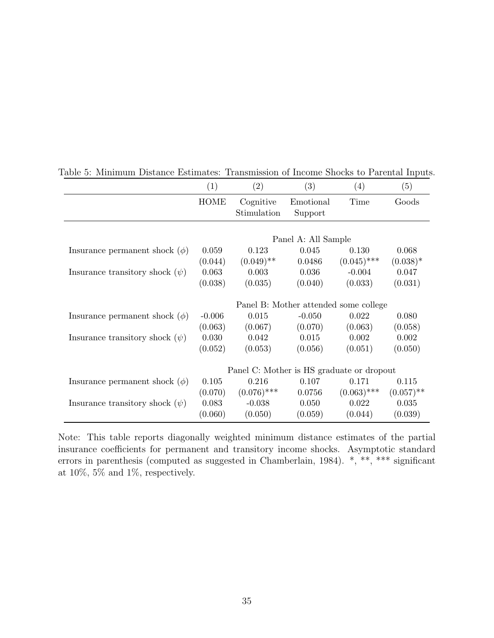|                                     | (1)         | $\left( 2\right)$                         | (3)                 | (4)                                   | (5)          |
|-------------------------------------|-------------|-------------------------------------------|---------------------|---------------------------------------|--------------|
|                                     | <b>HOME</b> | Cognitive                                 | Emotional           | Time                                  | Goods        |
|                                     |             | Stimulation                               | Support             |                                       |              |
|                                     |             |                                           |                     |                                       |              |
|                                     |             |                                           | Panel A: All Sample |                                       |              |
| Insurance permanent shock $(\phi)$  | 0.059       | 0.123                                     | 0.045               | 0.130                                 | 0.068        |
|                                     | (0.044)     | $(0.049)$ **                              | 0.0486              | $(0.045)$ ***                         | $(0.038)^*$  |
| Insurance transitory shock $(\psi)$ | 0.063       | 0.003                                     | 0.036               | $-0.004$                              | 0.047        |
|                                     | (0.038)     | (0.035)                                   | (0.040)             | (0.033)                               | (0.031)      |
|                                     |             |                                           |                     |                                       |              |
|                                     |             |                                           |                     | Panel B: Mother attended some college |              |
| Insurance permanent shock $(\phi)$  | $-0.006$    | 0.015                                     | $-0.050$            | 0.022                                 | 0.080        |
|                                     | (0.063)     | (0.067)                                   | (0.070)             | (0.063)                               | (0.058)      |
| Insurance transitory shock $(\psi)$ | 0.030       | 0.042                                     | 0.015               | 0.002                                 | 0.002        |
|                                     | (0.052)     | (0.053)                                   | (0.056)             | (0.051)                               | (0.050)      |
|                                     |             |                                           |                     |                                       |              |
|                                     |             | Panel C: Mother is HS graduate or dropout |                     |                                       |              |
| Insurance permanent shock $(\phi)$  | 0.105       | 0.216                                     | 0.107               | 0.171                                 | 0.115        |
|                                     | (0.070)     | $(0.076)$ ***                             | 0.0756              | $(0.063)$ ***                         | $(0.057)$ ** |
| Insurance transitory shock $(\psi)$ | 0.083       | $-0.038$                                  | 0.050               | 0.022                                 | 0.035        |
|                                     | (0.060)     | (0.050)                                   | (0.059)             | (0.044)                               | (0.039)      |

<span id="page-36-0"></span>Table 5: Minimum Distance Estimates: Transmission of Income Shocks to Parental Inputs.

Note: This table reports diagonally weighted minimum distance estimates of the partial insurance coefficients for permanent and transitory income shocks. Asymptotic standard errors in parenthesis (computed as suggested in Chamberlain, 1984). \*, \*\*\*, \*\*\* significant at 10%, 5% and 1%, respectively.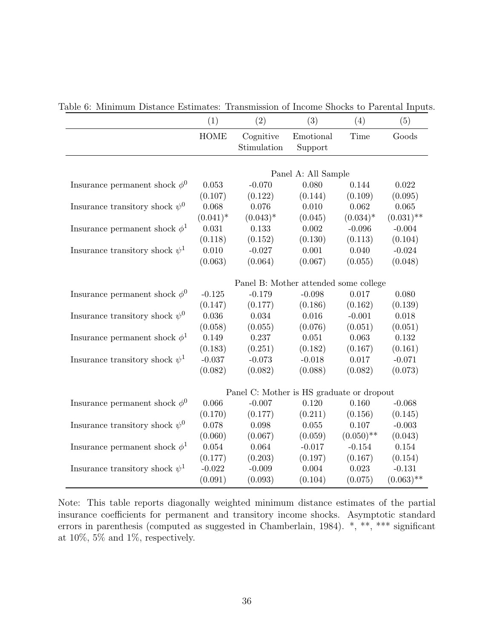|                                     | (1)         | (2)                                       | (3)                 | (4)          | (5)          |
|-------------------------------------|-------------|-------------------------------------------|---------------------|--------------|--------------|
|                                     | <b>HOME</b> | Cognitive                                 | Emotional           | Time         | Goods        |
|                                     |             | Stimulation                               | Support             |              |              |
|                                     |             |                                           |                     |              |              |
|                                     |             |                                           | Panel A: All Sample |              |              |
| Insurance permanent shock $\phi^0$  | 0.053       | $-0.070$                                  | 0.080               | 0.144        | 0.022        |
|                                     | (0.107)     | (0.122)                                   | (0.144)             | (0.109)      | (0.095)      |
| Insurance transitory shock $\psi^0$ | 0.068       | 0.076                                     | 0.010               | 0.062        | 0.065        |
|                                     | $(0.041)^*$ | $(0.043)^*$                               | (0.045)             | $(0.034)^*$  | $(0.031)$ ** |
| Insurance permanent shock $\phi^1$  | 0.031       | 0.133                                     | 0.002               | $-0.096$     | $-0.004$     |
|                                     | (0.118)     | (0.152)                                   | (0.130)             | (0.113)      | (0.104)      |
| Insurance transitory shock $\psi^1$ | 0.010       | $-0.027$                                  | 0.001               | 0.040        | $-0.024$     |
|                                     | (0.063)     | (0.064)                                   | (0.067)             | (0.055)      | (0.048)      |
|                                     |             | Panel B: Mother attended some college     |                     |              |              |
| Insurance permanent shock $\phi^0$  | $-0.125$    | $-0.179$                                  | $-0.098$            | 0.017        | 0.080        |
|                                     | (0.147)     | (0.177)                                   | (0.186)             | (0.162)      | (0.139)      |
| Insurance transitory shock $\psi^0$ | 0.036       | 0.034                                     | 0.016               | $-0.001$     | 0.018        |
|                                     | (0.058)     | (0.055)                                   | (0.076)             | (0.051)      | (0.051)      |
| Insurance permanent shock $\phi^1$  | 0.149       | 0.237                                     | 0.051               | 0.063        | 0.132        |
|                                     | (0.183)     | (0.251)                                   | (0.182)             | (0.167)      | (0.161)      |
| Insurance transitory shock $\psi^1$ | $-0.037$    | $-0.073$                                  | $-0.018$            | 0.017        | $-0.071$     |
|                                     | (0.082)     | (0.082)                                   | (0.088)             | (0.082)      | (0.073)      |
|                                     |             |                                           |                     |              |              |
|                                     |             | Panel C: Mother is HS graduate or dropout |                     |              |              |
| Insurance permanent shock $\phi^0$  | 0.066       | $-0.007$                                  | 0.120               | 0.160        | $-0.068$     |
|                                     | (0.170)     | (0.177)                                   | (0.211)             | (0.156)      | (0.145)      |
| Insurance transitory shock $\psi^0$ | 0.078       | 0.098                                     | 0.055               | 0.107        | $-0.003$     |
|                                     | (0.060)     | (0.067)                                   | (0.059)             | $(0.050)$ ** | (0.043)      |
| Insurance permanent shock $\phi^1$  | 0.054       | 0.064                                     | $-0.017$            | $-0.154$     | 0.154        |
|                                     | (0.177)     | (0.203)                                   | (0.197)             | (0.167)      | (0.154)      |
| Insurance transitory shock $\psi^1$ | $-0.022$    | $-0.009$                                  | 0.004               | 0.023        | $-0.131$     |
|                                     | (0.091)     | (0.093)                                   | (0.104)             | (0.075)      | $(0.063)$ ** |

<span id="page-37-0"></span>Table 6: Minimum Distance Estimates: Transmission of Income Shocks to Parental Inputs.

Note: This table reports diagonally weighted minimum distance estimates of the partial insurance coefficients for permanent and transitory income shocks. Asymptotic standard errors in parenthesis (computed as suggested in Chamberlain, 1984). \*, \*\*\*, \*\*\* significant at 10%, 5% and 1%, respectively.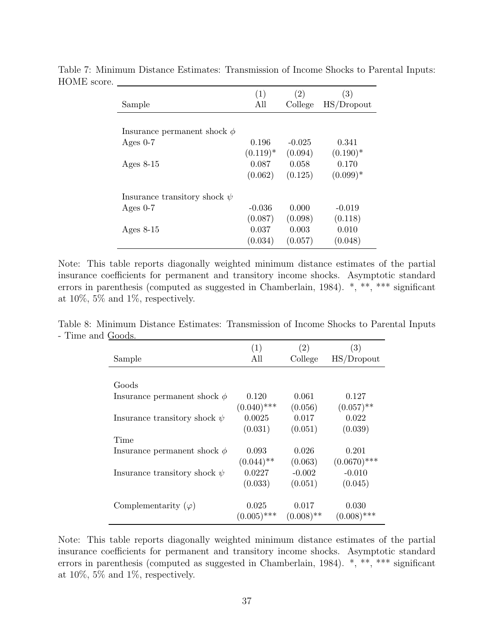|                                   | (1)         | (2)      | (3)         |
|-----------------------------------|-------------|----------|-------------|
| Sample                            | All         | College  | HS/Dropout  |
|                                   |             |          |             |
| Insurance permanent shock $\phi$  |             |          |             |
| Ages $0-7$                        | 0.196       | $-0.025$ | 0.341       |
|                                   | $(0.119)^*$ | (0.094)  | $(0.190)^*$ |
| Ages $8-15$                       | 0.087       | 0.058    | 0.170       |
|                                   | (0.062)     | (0.125)  | $(0.099)^*$ |
| Insurance transitory shock $\psi$ |             |          |             |
| Ages $0-7$                        | $-0.036$    | 0.000    | $-0.019$    |
|                                   | (0.087)     | (0.098)  | (0.118)     |
| Ages $8-15$                       | 0.037       | 0.003    | 0.010       |
|                                   | (0.034)     | (0.057)  | (0.048)     |

<span id="page-38-0"></span>Table 7: Minimum Distance Estimates: Transmission of Income Shocks to Parental Inputs: HOME score.

Note: This table reports diagonally weighted minimum distance estimates of the partial insurance coefficients for permanent and transitory income shocks. Asymptotic standard errors in parenthesis (computed as suggested in Chamberlain, 1984). \*, \*\*, \*\*\* significant at  $10\%, 5\%$  and  $1\%,$  respectively.

<span id="page-38-1"></span>Table 8: Minimum Distance Estimates: Transmission of Income Shocks to Parental Inputs - Time and Goods.

|                                   | (1)           | (2)          | (3)            |
|-----------------------------------|---------------|--------------|----------------|
| Sample                            | All           | College      | HS/Dropout     |
|                                   |               |              |                |
| Goods                             |               |              |                |
| Insurance permanent shock $\phi$  | 0.120         | 0.061        | 0.127          |
|                                   | $(0.040)$ *** | (0.056)      | $(0.057)$ **   |
| Insurance transitory shock $\psi$ | 0.0025        | 0.017        | 0.022          |
|                                   | (0.031)       | (0.051)      | (0.039)        |
| Time                              |               |              |                |
| Insurance permanent shock $\phi$  | 0.093         | 0.026        | 0.201          |
|                                   | $(0.044)$ **  | (0.063)      | $(0.0670)$ *** |
| Insurance transitory shock $\psi$ | 0.0227        | $-0.002$     | $-0.010$       |
|                                   | (0.033)       | (0.051)      | (0.045)        |
|                                   |               |              |                |
| Complementarity $(\varphi)$       | 0.025         | 0.017        | 0.030          |
|                                   | $(0.005)$ *** | $(0.008)$ ** | $(0.008)$ ***  |

Note: This table reports diagonally weighted minimum distance estimates of the partial insurance coefficients for permanent and transitory income shocks. Asymptotic standard errors in parenthesis (computed as suggested in Chamberlain, 1984). \*, \*\*, \*\*\* significant at  $10\%, 5\%$  and  $1\%,$  respectively.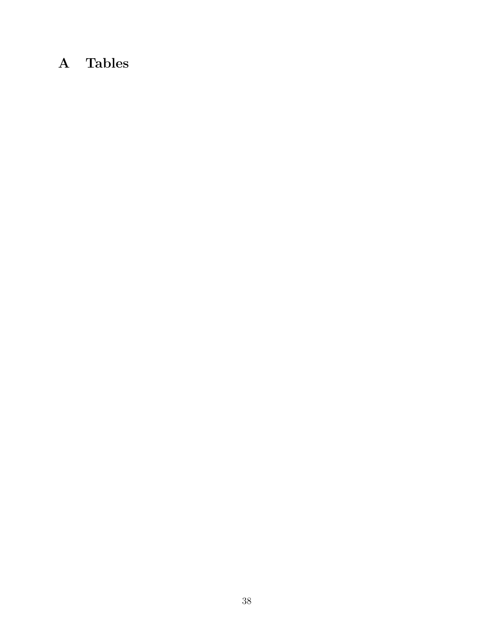## <span id="page-39-0"></span>A Tables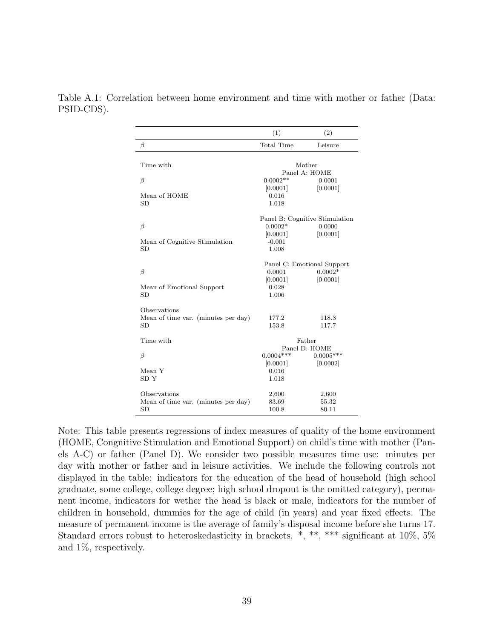<span id="page-40-0"></span>Table A.1: Correlation between home environment and time with mother or father (Data: PSID-CDS).

|                                                                  | (1)                                        | (2)                                                  |
|------------------------------------------------------------------|--------------------------------------------|------------------------------------------------------|
| $\beta$                                                          | <b>Total Time</b>                          | Leisure                                              |
| Time with<br>β                                                   | $0.0002**$                                 | Mother<br>Panel A: HOME<br>0.0001                    |
| Mean of HOME<br><b>SD</b>                                        | [0.0001]<br>0.016<br>1.018                 | [0.0001]                                             |
| β<br>Mean of Cognitive Stimulation<br>SD                         | $0.0002*$<br>[0.0001]<br>$-0.001$<br>1.008 | Panel B: Cognitive Stimulation<br>0.0000<br>[0.0001] |
| β<br>Mean of Emotional Support<br><b>SD</b>                      | 0.0001<br>[0.0001]<br>0.028<br>1.006       | Panel C: Emotional Support<br>$0.0002*$<br>[0.0001]  |
| Observations<br>Mean of time var. (minutes per day)<br><b>SD</b> | 177.2<br>153.8                             | 118.3<br>117.7                                       |
| Time with                                                        |                                            | Father                                               |
| β                                                                | $0.0004***$                                | Panel D: HOME<br>$0.0005***$                         |
| Mean Y<br>SD <sub>Y</sub>                                        | [0.0001]<br>0.016<br>1.018                 | [0.0002]                                             |
| Observations<br>Mean of time var. (minutes per day)<br><b>SD</b> | 2,600<br>83.69<br>100.8                    | 2,600<br>55.32<br>80.11                              |

Note: This table presents regressions of index measures of quality of the home environment (HOME, Congnitive Stimulation and Emotional Support) on child's time with mother (Panels A-C) or father (Panel D). We consider two possible measures time use: minutes per day with mother or father and in leisure activities. We include the following controls not displayed in the table: indicators for the education of the head of household (high school graduate, some college, college degree; high school dropout is the omitted category), permanent income, indicators for wether the head is black or male, indicators for the number of children in household, dummies for the age of child (in years) and year fixed effects. The measure of permanent income is the average of family's disposal income before she turns 17. Standard errors robust to heteroskedasticity in brackets. \*, \*\*, \*\*\* significant at  $10\%$ , 5% and 1%, respectively.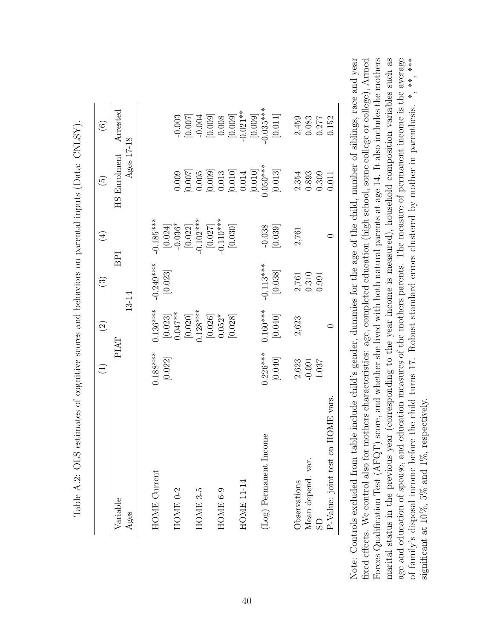|                                   | $\left(\frac{1}{2}\right)$         | $\widehat{\mathfrak{O}}$ | $\widehat{\mathbb{G}}$              | $(\pm)$                | $\widetilde{\Theta}$                           | $\odot$               |
|-----------------------------------|------------------------------------|--------------------------|-------------------------------------|------------------------|------------------------------------------------|-----------------------|
| Variable                          | PIAT                               |                          | BPI                                 |                        | <b>HS Enrolment</b>                            | Arrested              |
| Ages                              |                                    |                          | 13-14                               |                        | Ages 17-18                                     |                       |
| <b>HOME</b> Current               | $0.188***$<br>$\left[0.022\right]$ | $0.136***$               | $-0.249***$<br>$\left[0.023\right]$ | $-0.185***$            |                                                |                       |
| HOME <sub>0-2</sub>               |                                    | $[0.023]$<br>$0.047**$   |                                     | $[0.024]$<br>-0.036*   | 0.009                                          | $-0.003$              |
|                                   |                                    |                          |                                     |                        | $\left[0.007\right]$                           | [0.007]               |
| HOME 3-5                          |                                    | $[0.020]$<br>$0.128***$  |                                     | $[0.022]$<br>-0.102*** | $0.005$                                        | $-0.004$              |
|                                   |                                    | $\left[0.026\right]$     |                                     | $[0.027]$              | [0.009]                                        | $\left[0.009\right]$  |
| HOME 6-9                          |                                    | $0.052*$                 |                                     | $0.10***$              | 0.013                                          | 0.008                 |
|                                   |                                    | [0.028]                  |                                     | $\left[ 0.030\right]$  | $\begin{bmatrix} 0.010 \\ 0.014 \end{bmatrix}$ | $\left[0.009\right]$  |
| HOME 11-14                        |                                    |                          |                                     |                        |                                                | $-0.021**$            |
|                                   |                                    |                          |                                     |                        | $[0.010]$<br>$0.050***$                        | $\left[0.009\right]$  |
| (Log) Permanent Income            | $0.226***$                         | $0.160***$               | $-0.113***$                         | $-0.038$               |                                                | $-0.035***$           |
|                                   | $\left[ 0.040\right]$              | $[0.040]$                | [0.038]                             | [0.039]                | $\left[ 0.013\right]$                          | $\left[ 0.011\right]$ |
| Observations                      |                                    | 2,623                    | 2,761                               | $2,761$                | 2,354                                          | 2,459                 |
| Mean depend. var.                 | $2,623$<br>-0.091                  |                          | 0.310                               |                        | 0.893                                          | 0.083                 |
|                                   | 1.037                              |                          | 0.991                               |                        | 0.309                                          | 0.277                 |
| P-Value: joint test on HOME vars. |                                    | 0                        |                                     |                        | 0.011                                          | 0.152                 |

Table A.2: OLS estimates of cognitive scores and behaviors on parental inputs (Data: CNLSY).  $\frac{1}{2}$  (Data: CNI QV) ما 1.  $\ddot{x}$  $\overline{f}$ Table A.3: OFS octimates

<span id="page-41-0"></span>age and education of spouse, and education measures of the mothers parents. The measure of permanent income is the average \*\*\*\*\*\*\*\* Note: Controls excluded from table include child's gender, dummies for the age of the child, number of siblings, race and year fixed effects. We control also for mothers characteristics: age, completed education (high school, some college or college), Armed Forces Qualification Test (AFQT) score, and whether she lived with both natural parents at age 14. It also includes the mothers marital status in the previous year (corresponding to the year income is measured), household composition variables such as Note: Controls excluded from table include child's gender, dummies for the age of the child, number of siblings, race and year fixed effects. We control also for mothers characteristics: age, completed education (high school, some college or college), Armed Forces Qualification Test (AFQT) score, and whether she lived with both natural parents at age 14. It also includes the mothers marital status in the previous year (corresponding to the year income is measured), household composition variables such as age and education of spouse, and education measures of the mothers parents. The measure of permanent income is the average of family's disposal income before the child turns 17. Robust standard errors clustered by mother in parenthesis.  $*,$  \*, \*\* of family's disposal income before the child turns 17. Robust standard errors clustered by mother in parenthesis. significant at 10%, 5% and 1%, respectively. significant at 10%, 5% and 1%, respectively.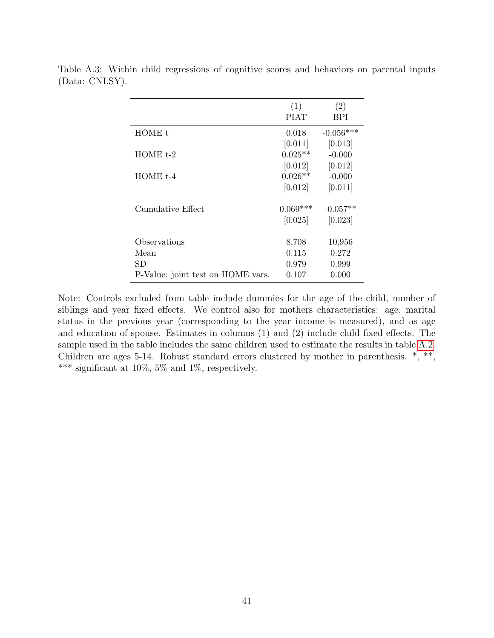|                                   | (1)<br><b>PIAT</b> | (2)<br>BPI  |
|-----------------------------------|--------------------|-------------|
|                                   |                    |             |
| HOME t                            | 0.018              | $-0.056***$ |
|                                   | [0.011]            | [0.013]     |
| $HOME t-2$                        | $0.025**$          | $-0.000$    |
|                                   | [0.012]            | [0.012]     |
| $HOME t-4$                        | $0.026**$          | $-0.000$    |
|                                   | [0.012]            | [0.011]     |
| Cumulative Effect                 | $0.069***$         | $-0.057**$  |
|                                   | [0.025]            | [0.023]     |
| Observations                      | 8,708              | 10,956      |
| Mean                              | 0.115              | 0.272       |
| SD.                               | 0.979              | 0.999       |
| P-Value: joint test on HOME vars. | 0.107              | 0.000       |

<span id="page-42-0"></span>Table A.3: Within child regressions of cognitive scores and behaviors on parental inputs (Data: CNLSY).

Note: Controls excluded from table include dummies for the age of the child, number of siblings and year fixed effects. We control also for mothers characteristics: age, marital status in the previous year (corresponding to the year income is measured), and as age and education of spouse. Estimates in columns (1) and (2) include child fixed effects. The sample used in the table includes the same children used to estimate the results in table [A.2.](#page-41-0) Children are ages 5-14. Robust standard errors clustered by mother in parenthesis. \*, \*\*, \*\*\* significant at 10%, 5% and 1%, respectively.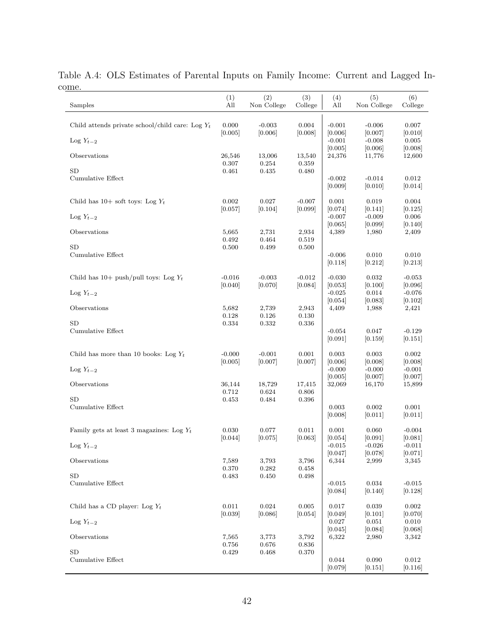| Samples                                            | (1)<br>All       | (2)<br>Non College    | (3)<br>College   | (4)<br>All          | (5)<br>Non College  | (6)<br>College      |
|----------------------------------------------------|------------------|-----------------------|------------------|---------------------|---------------------|---------------------|
|                                                    |                  |                       |                  |                     |                     |                     |
| Child attends private school/child care: Log $Y_t$ | 0.000<br>[0.005] | $-0.003$<br>[0.006]   | 0.004<br>[0.008] | $-0.001$<br>[0.006] | $-0.006$<br>[0.007] | 0.007<br>[0.010]    |
| Log $Y_{t-2}$                                      |                  |                       |                  | $-0.001$<br>[0.005] | $-0.008$<br>[0.006] | 0.005<br> 0.008     |
| Observations                                       | 26,546           | 13,006                | 13,540           | 24,376              | 11,776              | 12,600              |
| SD                                                 | 0.307<br>0.461   | 0.254<br>0.435        | 0.359<br>0.480   |                     |                     |                     |
| Cumulative Effect                                  |                  |                       |                  | $-0.002$<br>[0.009] | $-0.014$<br>[0.010] | 0.012<br>[0.014]    |
| Child has $10+$ soft toys: Log $Y_t$               | 0.002            | 0.027                 | $-0.007$         |                     |                     |                     |
|                                                    | [0.057]          | [0.104]               | [0.099]          | 0.001<br>[0.074]    | 0.019<br>[0.141]    | 0.004<br>[0.125]    |
| Log $Y_{t-2}$                                      |                  |                       |                  | $-0.007$<br>[0.065] | $-0.009$<br>[0.099] | 0.006<br>[0.140]    |
| Observations                                       | 5,665<br>0.492   | 2,731<br>0.464        | 2,934            | 4,389               | 1,980               | 2,409               |
| SD                                                 | 0.500            | 0.499                 | 0.519<br>0.500   |                     |                     |                     |
| Cumulative Effect                                  |                  |                       |                  | $-0.006$<br>[0.118] | 0.010<br>[0.212]    | 0.010<br>[0.213]    |
| Child has 10+ push/pull toys: Log $Y_t$            | $-0.016$         | $-0.003$              | $-0.012$         | $-0.030$            | 0.032               | $-0.053$            |
|                                                    | [0.040]          | [0.070]               | [0.084]          | [0.053]             | [0.100]             | [0.096]             |
| Log $Y_{t-2}$                                      |                  |                       |                  | $-0.025$<br>[0.054] | 0.014<br>[0.083]    | $-0.076$<br>[0.102] |
| Observations                                       | 5,682<br>0.128   | 2,739<br>0.126        | 2,943<br>0.130   | 4,409               | 1,988               | 2,421               |
| SD                                                 | 0.334            | $\rm 0.332$           | 0.336            |                     |                     |                     |
| Cumulative Effect                                  |                  |                       |                  | $-0.054$<br>[0.091] | 0.047<br>[0.159]    | $-0.129$<br>[0.151] |
| Child has more than 10 books: Log $Y_t$            | $-0.000$         | $-0.001$              | 0.001            | 0.003               | 0.003               | 0.002               |
| Log $Y_{t-2}$                                      | [0.005]          | [0.007]               | [0.007]          | [0.006]<br>$-0.000$ | [0.008]<br>$-0.000$ | [0.008]<br>$-0.001$ |
|                                                    |                  |                       |                  | [0.005]             | [0.007]             | [0.007]             |
| Observations                                       | 36,144<br>0.712  | 18,729<br>$\,0.624\,$ | 17,415<br>0.806  | 32,069              | 16,170              | 15,899              |
| SD<br>Cumulative Effect                            | 0.453            | 0.484                 | 0.396            | 0.003               | 0.002               | 0.001               |
|                                                    |                  |                       |                  | [0.008]             | [0.011]             | [0.011]             |
| Family gets at least 3 magazines: Log $Y_t$        | 0.030            | 0.077                 | 0.011            | 0.001               | 0.060               | $-0.004$            |
| Log $Y_{t-2}$                                      | [0.044]          | [0.075]               | [0.063]          | [0.054]<br>$-0.015$ | [0.091]<br>$-0.026$ | [0.081]<br>$-0.011$ |
| Observations                                       | 7,589            | 3,793                 | 3,796            | [0.047]<br>6,344    | [0.078]<br>2,999    | [0.071]<br>3,345    |
|                                                    | 0.370            | 0.282                 | 0.458            |                     |                     |                     |
| ${\rm SD}$<br>Cumulative Effect                    | 0.483            | 0.450                 | 0.498            | $-0.015$            | 0.034               | $-0.015$            |
|                                                    |                  |                       |                  | [0.084]             | [0.140]             | [0.128]             |
| Child has a CD player: Log $Y_t$                   | 0.011<br>[0.039] | 0.024<br>[0.086]      | 0.005<br>[0.054] | 0.017<br>[0.049]    | 0.039<br>[0.101]    | 0.002<br>[0.070]    |
| Log $Y_{t-2}$                                      |                  |                       |                  | 0.027               | 0.051               | 0.010               |
| Observations                                       | 7,565            | 3,773                 | 3,792            | [0.045]<br>6,322    | [0.084]<br>2,980    | [0.068]<br>3,342    |
| ${\rm SD}$                                         | 0.756<br>0.429   | 0.676<br>0.468        | 0.836<br>0.370   |                     |                     |                     |
| Cumulative Effect                                  |                  |                       |                  | 0.044               | 0.090               | 0.012               |
|                                                    |                  |                       |                  | [0.079]             | [0.151]             | [0.116]             |

<span id="page-43-0"></span>Table A.4: OLS Estimates of Parental Inputs on Family Income: Current and Lagged Income.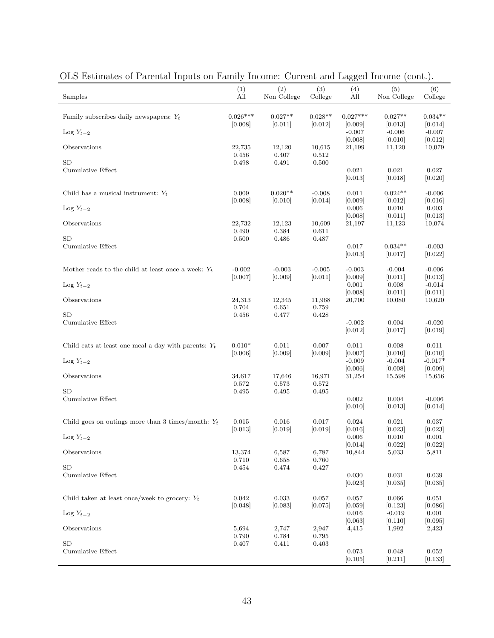| OLS EStimates of Farental inputs on Family Income: Current and Lagged Income (cont.). |                |                |                |                  |             |           |
|---------------------------------------------------------------------------------------|----------------|----------------|----------------|------------------|-------------|-----------|
|                                                                                       | (1)            | (2)            | (3)            | (4)              | (5)         | (6)       |
| Samples                                                                               | All            | Non College    | College        | All              | Non College | College   |
|                                                                                       |                |                |                |                  |             |           |
| Family subscribes daily newspapers: $Y_t$                                             | $0.026***$     | $0.027**$      | $0.028**$      | $0.027***$       | $0.027**$   | $0.034**$ |
|                                                                                       | [0.008]        | [0.011]        | [0.012]        | [0.009]          | [0.013]     | [0.014]   |
| Log $Y_{t-2}$                                                                         |                |                |                | $-0.007$         | $-0.006$    | $-0.007$  |
|                                                                                       |                |                |                | [0.008]          | [0.010]     | [0.012]   |
| Observations                                                                          | 22,735         | 12,120         | 10,615         | 21,199           | 11,120      | 10,079    |
| SD                                                                                    | 0.456<br>0.498 | 0.407<br>0.491 | 0.512<br>0.500 |                  |             |           |
| Cumulative Effect                                                                     |                |                |                | 0.021            | 0.021       | 0.027     |
|                                                                                       |                |                |                | [0.013]          | [0.018]     | [0.020]   |
|                                                                                       |                |                |                |                  |             |           |
| Child has a musical instrument: $Y_t$                                                 | 0.009          | $0.020**$      | $-0.008$       | 0.011            | $0.024**$   | $-0.006$  |
|                                                                                       | [0.008]        | [0.010]        | [0.014]        | [0.009]          | [0.012]     | [0.016]   |
| Log $Y_{t-2}$                                                                         |                |                |                | 0.006            | 0.010       | 0.003     |
|                                                                                       |                |                |                | [0.008]          | [0.011]     | [0.013]   |
| Observations                                                                          | 22,732         | 12,123         | 10,609         | 21,197           | 11,123      | 10,074    |
| $_{\rm SD}$                                                                           | 0.490<br>0.500 | 0.384<br>0.486 | 0.611<br>0.487 |                  |             |           |
| Cumulative Effect                                                                     |                |                |                | 0.017            | $0.034**$   | $-0.003$  |
|                                                                                       |                |                |                | [0.013]          | [0.017]     | [0.022]   |
|                                                                                       |                |                |                |                  |             |           |
| Mother reads to the child at least once a week: $Y_t$                                 | $-0.002$       | $-0.003$       | $-0.005$       | $-0.003$         | $-0.004$    | $-0.006$  |
|                                                                                       | [0.007]        | [0.009]        | [0.011]        | [0.009]          | [0.011]     | [0.013]   |
| Log $Y_{t-2}$                                                                         |                |                |                | 0.001            | $0.008\,$   | $-0.014$  |
|                                                                                       |                |                |                | [0.008]          | [0.011]     | [0.011]   |
| Observations                                                                          | 24,313         | 12,345         | 11,968         | 20,700           | 10,080      | 10,620    |
|                                                                                       | 0.704          | 0.651          | 0.759          |                  |             |           |
| $_{\rm SD}$<br>Cumulative Effect                                                      | 0.456          | 0.477          | 0.428          | $-0.002$         | 0.004       | $-0.020$  |
|                                                                                       |                |                |                | [0.012]          | [0.017]     | [0.019]   |
|                                                                                       |                |                |                |                  |             |           |
| Child eats at least one meal a day with parents: $Y_t$                                | $0.010*$       | 0.011          | 0.007          | 0.011            | 0.008       | 0.011     |
|                                                                                       | 0.006          | [0.009]        | [0.009]        | [0.007]          | [0.010]     | [0.010]   |
| Log $Y_{t-2}$                                                                         |                |                |                | $-0.009$         | $-0.004$    | $-0.017*$ |
|                                                                                       |                |                |                | [0.006]          | [0.008]     | [0.009]   |
| Observations                                                                          | 34,617         | 17,646         | 16,971         | 31,254           | 15,598      | 15,656    |
|                                                                                       | 0.572          | 0.573          | 0.572          |                  |             |           |
| SD<br>Cumulative Effect                                                               | 0.495          | 0.495          | 0.495          | 0.002            | 0.004       | $-0.006$  |
|                                                                                       |                |                |                | [0.010]          | [0.013]     | [0.014]   |
|                                                                                       |                |                |                |                  |             |           |
| Child goes on outings more than 3 times/month: $Y_t$                                  | 0.015          | 0.016          | 0.017          | 0.024            | 0.021       | 0.037     |
|                                                                                       | [0.013]        | [0.019]        | [0.019]        | [0.016]          | [0.023]     | [0.023]   |
| Log $Y_{t-2}$                                                                         |                |                |                | 0.006            | 0.010       | 0.001     |
|                                                                                       |                |                |                | [0.014]          | [0.022]     | [0.022]   |
| Observations                                                                          | 13,374         | 6,587          | 6,787          | 10,844           | 5,033       | 5,811     |
|                                                                                       | 0.710          | 0.658          | 0.760          |                  |             |           |
| SD<br>Cumulative Effect                                                               | 0.454          | 0.474          | $0.427\,$      | 0.030            | 0.031       | 0.039     |
|                                                                                       |                |                |                | [0.023]          | [0.035]     | [0.035]   |
|                                                                                       |                |                |                |                  |             |           |
| Child taken at least once/week to grocery: $Y_t$                                      | 0.042          | 0.033          | 0.057          | 0.057            | 0.066       | 0.051     |
|                                                                                       | [0.048]        | [0.083]        | [0.075]        | [0.059]          | [0.123]     | [0.086]   |
| Log $Y_{t-2}$                                                                         |                |                |                | 0.016            | $-0.019$    | 0.001     |
|                                                                                       |                |                |                | [0.063]          | [0.110]     | [0.095]   |
| Observations                                                                          | 5,694          | 2,747          | 2,947          | 4,415            | 1,992       | 2,423     |
|                                                                                       | 0.790          | 0.784          | $0.795\,$      |                  |             |           |
| SD                                                                                    | 0.407          | 0.411          | 0.403          |                  |             |           |
| Cumulative Effect                                                                     |                |                |                | 0.073<br>[0.105] | 0.048       | 0.052     |
|                                                                                       |                |                |                |                  | [0.211]     | [0.133]   |

## OLS Estimates of Parental Inputs on Family Income: Current and Lagged Income (cont.).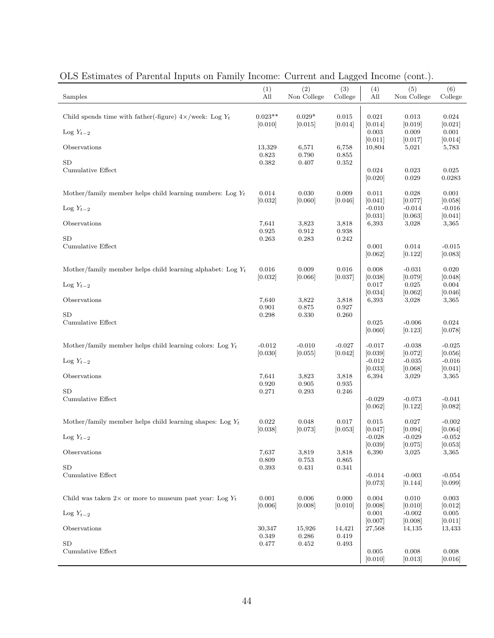| Samples                                                            | (1)<br>All       | (2)<br>Non College   | (3)<br>College     | (4)<br>All          | (5)<br>Non College  | (6)<br>College      |
|--------------------------------------------------------------------|------------------|----------------------|--------------------|---------------------|---------------------|---------------------|
| Child spends time with father(-figure) $4 \times$ /week: Log $Y_t$ | $0.023**$        | $0.029*$             | 0.015              | 0.021               | 0.013               | 0.024               |
| Log $Y_{t-2}$                                                      | [0.010]          | [0.015]              | [0.014]            | [0.014]<br>0.003    | [0.019]<br>0.009    | [0.021]<br>0.001    |
|                                                                    |                  |                      |                    | [0.011]             | [0.017]             | [0.014]             |
| Observations                                                       | 13,329<br>0.823  | 6,571<br>0.790       | 6,758<br>0.855     | 10,804              | 5,021               | 5,783               |
| <b>SD</b><br>Cumulative Effect                                     | 0.382            | 0.407                | 0.352              | 0.024               | 0.023               | 0.025               |
|                                                                    |                  |                      |                    | [0.020]             | 0.029               | 0.0283              |
| Mother/family member helps child learning numbers: Log $Y_t$       | 0.014            | 0.030                | 0.009              | 0.011               | 0.028               | 0.001               |
| Log $Y_{t-2}$                                                      | [0.032]          | [0.060]              | 0.046              | [0.041]<br>$-0.010$ | [0.077]<br>$-0.014$ | [0.058]<br>$-0.016$ |
| Observations                                                       | 7,641            | 3,823                | 3,818              | [0.031]<br>6,393    | [0.063]<br>3,028    | [0.041]<br>3,365    |
| <b>SD</b>                                                          | 0.925<br>0.263   | 0.912<br>$\,0.283\,$ | 0.938<br>0.242     |                     |                     |                     |
| Cumulative Effect                                                  |                  |                      |                    | 0.001<br>[0.062]    | 0.014<br>[0.122]    | $-0.015$            |
|                                                                    |                  |                      |                    |                     |                     | [0.083]             |
| Mother/family member helps child learning alphabet: Log $Y_t$      | 0.016<br>[0.032] | 0.009<br>[0.066]     | 0.016<br>[0.037]   | 0.008<br>[0.038]    | $-0.031$<br>[0.079] | 0.020<br>[0.048]    |
| Log $Y_{t-2}$                                                      |                  |                      |                    | 0.017<br>[0.034]    | 0.025<br>[0.062]    | 0.004<br>[0.046]    |
| Observations                                                       | 7,640<br>0.901   | 3,822                | 3,818              | 6,393               | 3,028               | 3,365               |
| SD                                                                 | 0.298            | 0.875<br>0.330       | 0.927<br>0.260     |                     |                     |                     |
| Cumulative Effect                                                  |                  |                      |                    | 0.025<br>[0.060]    | $-0.006$<br>[0.123] | 0.024<br>[0.078]    |
| Mother/family member helps child learning colors: Log $Y_t$        | $-0.012$         | $-0.010$             | $-0.027$           | $-0.017$            | $-0.038$            | $-0.025$            |
|                                                                    | [0.030]          | [0.055]              | [0.042]            | [0.039]<br>$-0.012$ | [0.072]<br>$-0.035$ | [0.056]<br>$-0.016$ |
| Log $Y_{t-2}$                                                      |                  |                      |                    | [0.033]             | [0.068]             | [0.041]             |
| Observations                                                       | 7,641<br>0.920   | 3,823<br>0.905       | 3,818<br>0.935     | 6,394               | 3,029               | 3,365               |
| <b>SD</b><br>Cumulative Effect                                     | 0.271            | 0.293                | 0.246              | $-0.029$            | $-0.073$            | $-0.041$            |
|                                                                    |                  |                      |                    | [0.062]             | [0.122]             | [0.082]             |
| Mother/family member helps child learning shapes: Log $Y_t$        | 0.022            | 0.048                | 0.017              | 0.015               | 0.027               | $-0.002$            |
| Log $Y_{t-2}$                                                      | [0.038]          | [0.073]              | [0.053]            | [0.047]<br>$-0.028$ | [0.094]<br>$-0.029$ | [0.064]<br>$-0.052$ |
| Observations                                                       | 7,637            | 3,819                | 3,818              | [0.039]<br>6,390    | [0.075]<br>3,025    | 0.053 <br>3,365     |
| <b>SD</b>                                                          | 0.809<br>0.393   | 0.753<br>$\rm 0.431$ | 0.865<br>$\!0.341$ |                     |                     |                     |
| Cumulative Effect                                                  |                  |                      |                    | $-0.014$            | $-0.003$            | $-0.054$            |
|                                                                    |                  |                      |                    | [0.073]             | [0.144]             | [0.099]             |
| Child was taken $2 \times$ or more to museum past year: Log $Y_t$  | 0.001<br>[0.006] | 0.006<br>[0.008]     | 0.000<br>[0.010]   | 0.004<br>[0.008]    | 0.010<br>[0.010]    | 0.003<br>[0.012]    |
| Log $Y_{t-2}$                                                      |                  |                      |                    | 0.001<br>[0.007]    | $-0.002$<br>[0.008] | 0.005<br>[0.011]    |
| Observations                                                       | 30,347           | 15,926               | 14,421             | 27,568              | 14,135              | 13,433              |
| SD                                                                 | 0.349<br>0.477   | 0.286<br>0.452       | 0.419<br>0.493     |                     |                     |                     |
| Cumulative Effect                                                  |                  |                      |                    | 0.005<br>[0.010]    | 0.008<br>[0.013]    | 0.008<br>[0.016]    |

#### OLS Estimates of Parental Inputs on Family Income: Current and Lagged Income (cont.).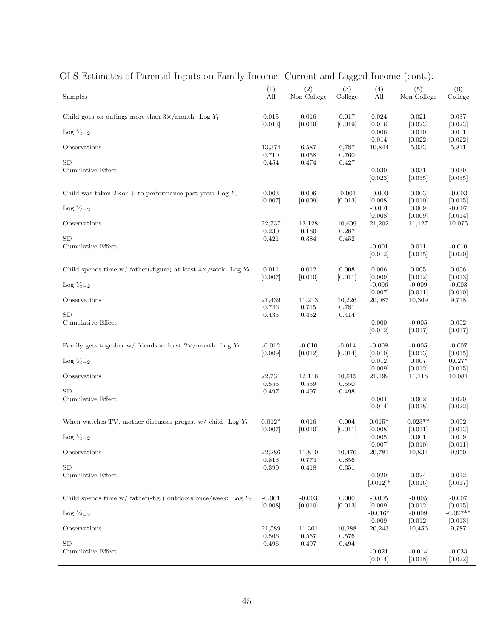| Samples                                                                           | (1)<br>All            | (2)<br>Non College  | (3)<br>College  | (4)<br>All           | (5)<br>Non College  | (6)<br>College        |
|-----------------------------------------------------------------------------------|-----------------------|---------------------|-----------------|----------------------|---------------------|-----------------------|
| Child goes on outings more than $3 \times /$ month: Log $Y_t$                     | 0.015                 | 0.016               | 0.017           | 0.024                | 0.021               | 0.037                 |
| Log $Y_{t-2}$                                                                     | [0.013]               | [0.019]             | [0.019]         | [0.016]<br>0.006     | [0.023]<br>0.010    | [0.023]<br>0.001      |
| Observations                                                                      | 13,374                | 6,587               | 6,787           | [0.014]<br>10,844    | [0.022]<br>5,033    | [0.022]<br>5,811      |
| <b>SD</b>                                                                         | 0.710<br>0.454        | 0.658<br>0.474      | 0.760<br>0.427  |                      |                     |                       |
| Cumulative Effect                                                                 |                       |                     |                 | $0.030\,$<br>[0.023] | 0.031<br>[0.035]    | 0.039<br>[0.035]      |
| Child was taken $2 \times \text{or} + \text{to}$ performance past year: Log $Y_t$ | 0.003                 | 0.006               | $-0.001$        | $-0.000$             | 0.003               | $-0.003$              |
|                                                                                   | [0.007]               | [0.009]             | [0.013]         | [0.008]              | [0.010]             | [0.015]               |
| Log $Y_{t-2}$                                                                     |                       |                     |                 | $-0.001$<br>[0.008]  | 0.009<br>[0.009]    | $-0.007$<br>[0.014]   |
| Observations                                                                      | 22,737<br>$0.230\,$   | 12,128<br>$0.180\,$ | 10,609<br>0.287 | 21,202               | 11,127              | 10,075                |
| <b>SD</b><br>Cumulative Effect $\,$                                               | $\rm 0.421$           | 0.384               | 0.452           | $-0.001$             | 0.011               | $-0.010$              |
|                                                                                   |                       |                     |                 | [0.012]              | [0.015]             | [0.020]               |
| Child spends time w/ father(-figure) at least $4 \times$ /week: Log $Y_t$         | 0.011                 | 0.012               | 0.008           | 0.006                | 0.005               | 0.006                 |
| Log $Y_{t-2}$                                                                     | [0.007]               | [0.010]             | [0.011]         | [0.009]<br>$-0.006$  | [0.012]<br>$-0.009$ | [0.013]<br>$-0.003$   |
| Observations                                                                      | 21,439                | 11,213              | 10,226          | [0.007]<br>20,087    | [0.011]<br>10,369   | [0.010]<br>9,718      |
| <b>SD</b>                                                                         | 0.746<br>0.435        | $0.715\,$<br>0.452  | 0.781<br>0.414  |                      |                     |                       |
| Cumulative Effect                                                                 |                       |                     |                 | $0.000\,$<br>[0.012] | $-0.005$<br>[0.017] | 0.002<br>[0.017]      |
| Family gets together w/ friends at least $2 \times /$ month: Log $Y_t$            | $-0.012$              | $-0.010$            | $-0.014$        | $-0.008$             | $-0.005$            | $-0.007$              |
|                                                                                   | [0.009]               | [0.012]             | [0.014]         | [0.010]              | [0.013]             | [0.015]               |
| Log $Y_{t-2}$                                                                     |                       |                     |                 | 0.012<br>[0.009]     | 0.007<br>[0.012]    | $0.027*$<br>[0.015]   |
| Observations                                                                      | 22,731<br>$\,0.555\,$ | 12,116<br>0.559     | 10,615<br>0.550 | 21,199               | 11,118              | 10,081                |
| SD<br>Cumulative Effect                                                           | 0.497                 | 0.497               | 0.498           | 0.004                | 0.002               | 0.020                 |
|                                                                                   |                       |                     |                 | [0.014]              | [0.018]             | [0.022]               |
| When watches TV, mother discusses progrs. $w/$ child: Log $Y_t$                   | $0.012*$              | 0.016               | 0.004           | $0.015*$             | $0.023**$           | 0.002                 |
| Log $Y_{t-2}$                                                                     | [0.007]               | [0.010]             | [0.011]         | [0.008]<br>0.005     | [0.011]<br>0.001    | [0.013]<br>0.009      |
| Observations                                                                      | 22,286                | 11,810              | 10,476          | [0.007]<br>20,781    | [0.010]<br>10,831   | [0.011]<br>9,950      |
| SD                                                                                | 0.813<br>$0.390\,$    | 0.774<br>0.418      | 0.856<br>0.351  |                      |                     |                       |
| Cumulative Effect                                                                 |                       |                     |                 | 0.020<br>$[0.012]*$  | 0.024<br>[0.016]    | 0.012<br>[0.017]      |
| Child spends time w/ father(-fig.) outdoors once/week: Log $Y_t$                  | $-0.001$              | $-0.003$            | 0.000           | $-0.005$             | $-0.005$            | $-0.007$              |
|                                                                                   | [0.008]               | [0.010]             | 0.013           | [0.009]              | [0.012]             | [0.015]               |
| Log $Y_{t-2}$                                                                     |                       |                     |                 | $-0.016*$<br>[0.009] | $-0.009$<br>[0.012] | $-0.027**$<br>[0.013] |
| Observations                                                                      | 21,589<br>0.566       | 11,301<br>0.557     | 10,288<br>0.576 | 20,243               | 10,456              | 9,787                 |
| SD<br>Cumulative Effect                                                           | $\,0.496\,$           | $0.497\,$           | 0.494           | $-0.021$             | $-0.014$            | $-0.033$              |
|                                                                                   |                       |                     |                 | [0.014]              | [0.018]             | [0.022]               |

#### OLS Estimates of Parental Inputs on Family Income: Current and Lagged Income (cont.).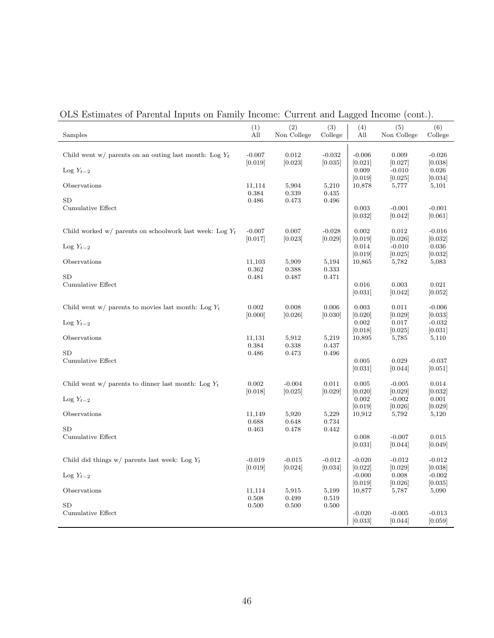| OLS Estimates of Parental Inputs on Family Income: Current and Lagged Income (cont.). |  |  |  |  |
|---------------------------------------------------------------------------------------|--|--|--|--|
|---------------------------------------------------------------------------------------|--|--|--|--|

| Samples                                                    | (1)<br>All       | (2)<br>Non College | (3)<br>College   | (4)<br>All          | (5)<br>Non College  | (6)<br>College      |
|------------------------------------------------------------|------------------|--------------------|------------------|---------------------|---------------------|---------------------|
| Child went w/ parents on an outing last month: Log $Y_t$   | $-0.007$         | 0.012              | $-0.032$         | $-0.006$            | 0.009               | $-0.026$            |
| Log $Y_{t-2}$                                              | [0.019]          | [0.023]            | [0.035]          | [0.021]<br>0.009    | [0.027]<br>$-0.010$ | [0.038]<br>0.026    |
|                                                            |                  |                    |                  | [0.019]             | [0.025]             | [0.034]             |
| Observations                                               | 11,114<br>0.384  | 5,904<br>0.339     | 5,210<br>0.435   | 10,878              | 5,777               | 5,101               |
| SD                                                         | 0.486            | 0.473              | 0.496            |                     |                     |                     |
| Cumulative Effect                                          |                  |                    |                  | 0.003<br>[0.032]    | $-0.001$<br>[0.042] | $-0.001$<br>[0.061] |
| Child worked w/ parents on schoolwork last week: Log $Y_t$ | $-0.007$         | 0.007              | $-0.028$         | 0.002               | 0.012               | $-0.016$            |
| Log $Y_{t-2}$                                              | [0.017]          | [0.023]            | [0.029]          | [0.019]<br>0.014    | [0.026]<br>$-0.010$ | [0.032]<br>0.036    |
|                                                            |                  |                    |                  | [0.019]             | [0.025]             | [0.032]             |
| Observations                                               | 11,103<br>0.362  | 5,909<br>0.388     | 5,194<br>0.333   | 10,865              | 5,782               | 5,083               |
| <b>SD</b>                                                  | 0.481            | $0.487\,$          | 0.471            |                     |                     |                     |
| Cumulative Effect                                          |                  |                    |                  | 0.016<br>[0.031]    | 0.003<br>[0.042]    | 0.021<br>[0.052]    |
|                                                            |                  |                    |                  |                     |                     |                     |
| Child went $w/$ parents to movies last month: Log $Y_t$    | 0.002<br>[0.000] | 0.008<br>[0.026]   | 0.006<br>[0.030] | 0.003<br>[0.020]    | 0.011<br>[0.029]    | $-0.006$<br>[0.033] |
| Log $Y_{t-2}$                                              |                  |                    |                  | 0.002               | 0.017               | $-0.032$            |
| Observations                                               | 11,131           | 5,912              | 5,219            | [0.018]<br>10,895   | [0.025]<br>5,785    | [0.031]<br>5,110    |
|                                                            | 0.384            | 0.338              | 0.437            |                     |                     |                     |
| <b>SD</b><br>Cumulative Effect                             | 0.486            | 0.473              | 0.496            | 0.005               | 0.029               | $-0.037$            |
|                                                            |                  |                    |                  | [0.031]             | [0.044]             | [0.051]             |
| Child went w/ parents to dinner last month: Log $Y_t$      | 0.002            | $-0.004$           | 0.011            | 0.005               | $-0.005$            | 0.014               |
|                                                            | [0.018]          | [0.025]            | [0.029]          | [0.020]             | [0.029]             | [0.032]             |
| Log $Y_{t-2}$                                              |                  |                    |                  | 0.002<br>[0.019]    | $-0.002$<br>[0.026] | 0.001<br>[0.029]    |
| Observations                                               | 11,149           | 5,920              | 5,229            | 10,912              | 5,792               | 5,120               |
| <b>SD</b>                                                  | 0.688<br>0.463   | 0.648<br>0.478     | 0.734<br>0.442   |                     |                     |                     |
| Cumulative Effect                                          |                  |                    |                  | 0.008               | $-0.007$            | 0.015               |
|                                                            |                  |                    |                  | [0.031]             | [0.044]             | [0.049]             |
| Child did things $w/$ parents last week: Log $Y_t$         | $-0.019$         | $-0.015$           | $-0.012$         | $-0.020$            | $-0.012$            | $-0.012$            |
| $\text{Log } Y_{t-2}$                                      | [0.019]          | [0.024]            | [0.034]          | [0.022]<br>$-0.000$ | [0.029]<br>0.008    | [0.038]<br>$-0.002$ |
|                                                            |                  |                    |                  | [0.019]             | 0.026               | [0.035]             |
| Observations                                               | 11,114<br>0.508  | 5,915<br>0.499     | 5,199<br>0.519   | 10,877              | 5,787               | 5,090               |
| <b>SD</b>                                                  | 0.500            | 0.500              | 0.500            |                     |                     |                     |
| Cumulative Effect                                          |                  |                    |                  | $-0.020$<br>[0.033] | $-0.005$<br>[0.044] | $-0.013$<br>[0.059] |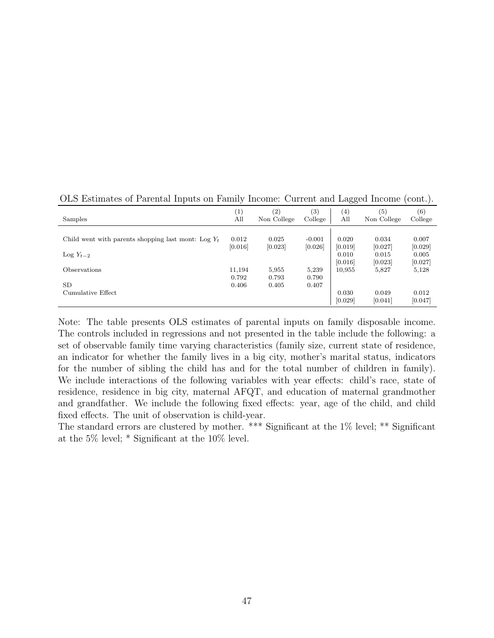|                                                       | $\cdot$          |                                  |                         | $\sim$                   |                                  |                  |
|-------------------------------------------------------|------------------|----------------------------------|-------------------------|--------------------------|----------------------------------|------------------|
| Samples                                               | (1)<br>All       | $\left( 2\right)$<br>Non College | $^{\rm (3)}$<br>College | $\left( 4\right)$<br>All | $\left( 5\right)$<br>Non College | (6)<br>College   |
| Child went with parents shopping last mont: Log $Y_t$ | 0.012<br>[0.016] | 0.025<br>[0.023]                 | $-0.001$<br>[0.026]     | 0.020<br>[0.019]         | 0.034<br>[0.027]                 | 0.007<br>[0.029] |
| $\text{Log } Y_{t-2}$                                 |                  |                                  |                         | 0.010<br>[0.016]         | 0.015<br>[0.023]                 | 0.005<br>[0.027] |
| <b>Observations</b>                                   | 11,194<br>0.792  | 5,955<br>0.793                   | 5,239<br>0.790          | 10,955                   | 5,827                            | 5,128            |
| <b>SD</b><br>Cumulative Effect                        | 0.406            | 0.405                            | 0.407                   | 0.030<br>[0.029]         | 0.049<br>[0.041]                 | 0.012<br>[0.047] |

OLS Estimates of Parental Inputs on Family Income: Current and Lagged Income (cont.).

Note: The table presents OLS estimates of parental inputs on family disposable income. The controls included in regressions and not presented in the table include the following: a set of observable family time varying characteristics (family size, current state of residence, an indicator for whether the family lives in a big city, mother's marital status, indicators for the number of sibling the child has and for the total number of children in family). We include interactions of the following variables with year effects: child's race, state of residence, residence in big city, maternal AFQT, and education of maternal grandmother and grandfather. We include the following fixed effects: year, age of the child, and child fixed effects. The unit of observation is child-year.

The standard errors are clustered by mother. \*\*\* Significant at the 1% level; \*\* Significant at the 5% level; \* Significant at the 10% level.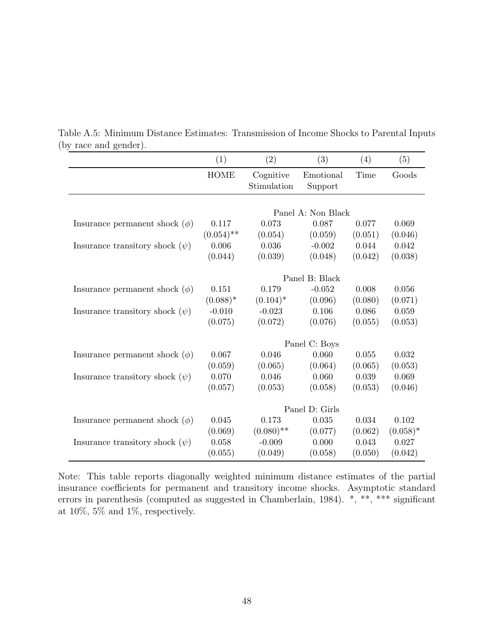|                                     | (1)          | (2)                      | (3)                  | (4)     | (5)        |
|-------------------------------------|--------------|--------------------------|----------------------|---------|------------|
|                                     | <b>HOME</b>  | Cognitive<br>Stimulation | Emotional<br>Support | Time    | Goods      |
|                                     |              |                          | Panel A: Non Black   |         |            |
| Insurance permanent shock $(\phi)$  | 0.117        | $0.073\,$                | 0.087                | 0.077   | 0.069      |
|                                     | $(0.054)$ ** | (0.054)                  | (0.059)              | (0.051) | (0.046)    |
| Insurance transitory shock $(\psi)$ | 0.006        | 0.036                    | $-0.002$             | 0.044   | 0.042      |
|                                     | (0.044)      | (0.039)                  | (0.048)              | (0.042) | (0.038)    |
|                                     |              |                          | Panel B: Black       |         |            |
| Insurance permanent shock $(\phi)$  | 0.151        | 0.179                    | $-0.052$             | 0.008   | 0.056      |
|                                     | $(0.088)^*$  | $(0.104)^*$              | (0.096)              | (0.080) | (0.071)    |
| Insurance transitory shock $(\psi)$ | $-0.010$     | $-0.023$                 | 0.106                | 0.086   | 0.059      |
|                                     | (0.075)      | (0.072)                  | (0.076)              | (0.055) | (0.053)    |
|                                     |              |                          | Panel C: Boys        |         |            |
| Insurance permanent shock $(\phi)$  | 0.067        | 0.046                    | 0.060                | 0.055   | 0.032      |
|                                     | (0.059)      | (0.065)                  | (0.064)              | (0.065) | (0.053)    |
| Insurance transitory shock $(\psi)$ | 0.070        | 0.046                    | 0.060                | 0.039   | 0.069      |
|                                     | (0.057)      | (0.053)                  | (0.058)              | (0.053) | (0.046)    |
|                                     |              |                          | Panel D: Girls       |         |            |
| Insurance permanent shock $(\phi)$  | 0.045        | 0.173                    | 0.035                | 0.034   | 0.102      |
|                                     | (0.069)      | $(0.080)$ **             | (0.077)              | (0.062) | $(0.058)*$ |
| Insurance transitory shock $(\psi)$ | 0.058        | $-0.009$                 | 0.000                | 0.043   | 0.027      |
|                                     | (0.055)      | (0.049)                  | (0.058)              | (0.050) | (0.042)    |

<span id="page-49-0"></span>Table A.5: Minimum Distance Estimates: Transmission of Income Shocks to Parental Inputs (by race and gender).

Note: This table reports diagonally weighted minimum distance estimates of the partial insurance coefficients for permanent and transitory income shocks. Asymptotic standard errors in parenthesis (computed as suggested in Chamberlain, 1984). \*, \*\*\*, \*\*\* significant at 10%, 5% and 1%, respectively.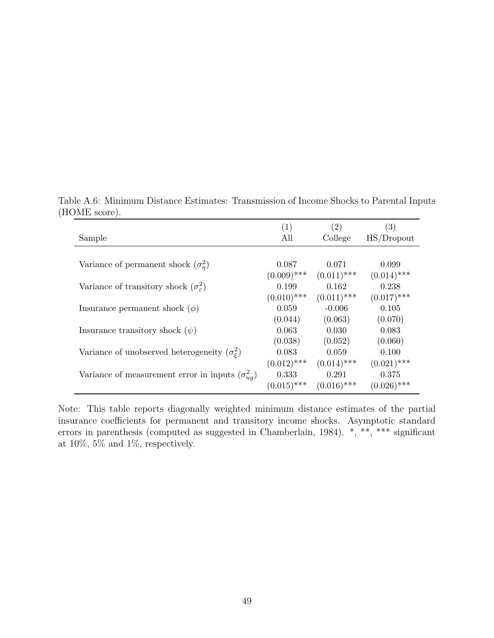|                                                           | (1)           | $\left( 2\right)$ | $\left( 3\right)$ |
|-----------------------------------------------------------|---------------|-------------------|-------------------|
| Sample                                                    | All           | College           | HS/Dropout        |
|                                                           |               |                   |                   |
| Variance of permanent shock $(\sigma_n^2)$                | 0.087         | 0.071             | 0.099             |
|                                                           | $(0.009)$ *** | $(0.011)$ ***     | $(0.014)$ ***     |
| Variance of transitory shock $(\sigma_{\varepsilon}^2)$   | 0.199         | 0.162             | 0.238             |
|                                                           | $(0.010)$ *** | $(0.011)$ ***     | $(0.017)$ ***     |
| Insurance permanent shock $(\phi)$                        | 0.059         | $-0.006$          | 0.105             |
|                                                           | (0.044)       | (0.063)           | (0.070)           |
| Insurance transitory shock $(\psi)$                       | 0.063         | 0.030             | 0.083             |
|                                                           | (0.038)       | (0.052)           | (0.060)           |
| Variance of unobserved heterogeneity $(\sigma_{\xi}^2)$   | 0.083         | 0.059             | 0.100             |
|                                                           | $(0.012)$ *** | $(0.014)$ ***     | $(0.021)$ ***     |
| Variance of measurement error in inputs $(\sigma_{ua}^2)$ | 0.333         | 0.291             | 0.375             |
|                                                           | $(0.015)$ *** | $(0.016)$ ***     | $(0.026)$ ***     |

<span id="page-50-0"></span>Table A.6: Minimum Distance Estimates: Transmission of Income Shocks to Parental Inputs (HOME score).

Note: This table reports diagonally weighted minimum distance estimates of the partial insurance coefficients for permanent and transitory income shocks. Asymptotic standard errors in parenthesis (computed as suggested in Chamberlain, 1984). \*, \*\*\* significant at 10%, 5% and 1%, respectively.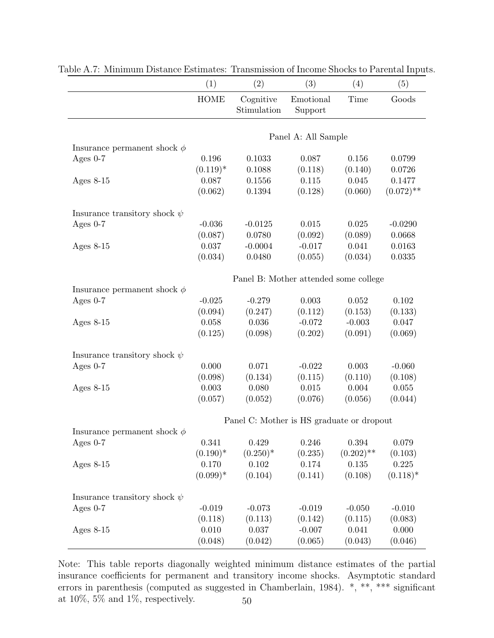|                                   | (1)         | (2)                                       | (3)                  | (4)          | (5)              |
|-----------------------------------|-------------|-------------------------------------------|----------------------|--------------|------------------|
|                                   | <b>HOME</b> | Cognitive<br>Stimulation                  | Emotional<br>Support | Time         | Goods            |
|                                   |             |                                           |                      |              |                  |
|                                   |             |                                           | Panel A: All Sample  |              |                  |
| Insurance permanent shock $\phi$  | 0.196       | 0.1033                                    | 0.087                | 0.156        |                  |
| Ages $0-7$                        | $(0.119)^*$ | 0.1088                                    | (0.118)              | (0.140)      | 0.0799<br>0.0726 |
| Ages $8-15$                       | 0.087       | 0.1556                                    | 0.115                | 0.045        | 0.1477           |
|                                   | (0.062)     | 0.1394                                    | (0.128)              | (0.060)      | $(0.072)$ **     |
| Insurance transitory shock $\psi$ |             |                                           |                      |              |                  |
| Ages $0-7$                        | $-0.036$    | $-0.0125$                                 | 0.015                | 0.025        | $-0.0290$        |
|                                   | (0.087)     | 0.0780                                    | (0.092)              | (0.089)      | 0.0668           |
| Ages $8-15$                       | 0.037       | $-0.0004$                                 | $-0.017$             | 0.041        | 0.0163           |
|                                   | (0.034)     | 0.0480                                    | (0.055)              | (0.034)      | 0.0335           |
|                                   |             | Panel B: Mother attended some college     |                      |              |                  |
| Insurance permanent shock $\phi$  |             |                                           |                      |              |                  |
| Ages $0-7$                        | $-0.025$    | $-0.279$                                  | 0.003                | 0.052        | 0.102            |
|                                   | (0.094)     | (0.247)                                   | (0.112)              | (0.153)      | (0.133)          |
| Ages $8-15$                       | 0.058       | 0.036                                     | $-0.072$             | $-0.003$     | 0.047            |
|                                   | (0.125)     | (0.098)                                   | (0.202)              | (0.091)      | (0.069)          |
| Insurance transitory shock $\psi$ |             |                                           |                      |              |                  |
| Ages $0-7$                        | 0.000       | 0.071                                     | $-0.022$             | 0.003        | $-0.060$         |
|                                   | (0.098)     | (0.134)                                   | (0.115)              | (0.110)      | (0.108)          |
| Ages $8-15$                       | 0.003       | 0.080                                     | 0.015                | 0.004        | $0.055\,$        |
|                                   | (0.057)     | (0.052)                                   | (0.076)              | (0.056)      | (0.044)          |
|                                   |             | Panel C: Mother is HS graduate or dropout |                      |              |                  |
| Insurance permanent shock $\phi$  |             |                                           |                      |              |                  |
| Ages $0-7$                        | 0.341       | 0.429                                     | 0.246                | 0.394        | 0.079            |
|                                   | $(0.190)^*$ | $(0.250)*$                                | (0.235)              | $(0.202)$ ** | (0.103)          |
| Ages $8-15$                       | 0.170       | $0.102\,$                                 | 0.174                | 0.135        | 0.225            |
|                                   | $(0.099)^*$ | (0.104)                                   | (0.141)              | (0.108)      | $(0.118)^*$      |
| Insurance transitory shock $\psi$ |             |                                           |                      |              |                  |
| Ages $0-7$                        | $-0.019$    | $-0.073$                                  | $-0.019$             | $-0.050$     | $-0.010$         |
|                                   | (0.118)     | (0.113)                                   | (0.142)              | (0.115)      | (0.083)          |
| Ages $8-15$                       | 0.010       | 0.037                                     | $-0.007$             | 0.041        | 0.000            |
|                                   | (0.048)     | (0.042)                                   | (0.065)              | (0.043)      | (0.046)          |

<span id="page-51-0"></span>Table A.7: Minimum Distance Estimates: Transmission of Income Shocks to Parental Inputs.

Note: This table reports diagonally weighted minimum distance estimates of the partial insurance coefficients for permanent and transitory income shocks. Asymptotic standard errors in parenthesis (computed as suggested in Chamberlain, 1984). \*, \*\*\*, \*\*\* significant at 10%, 5% and 1%, respectively.  $50$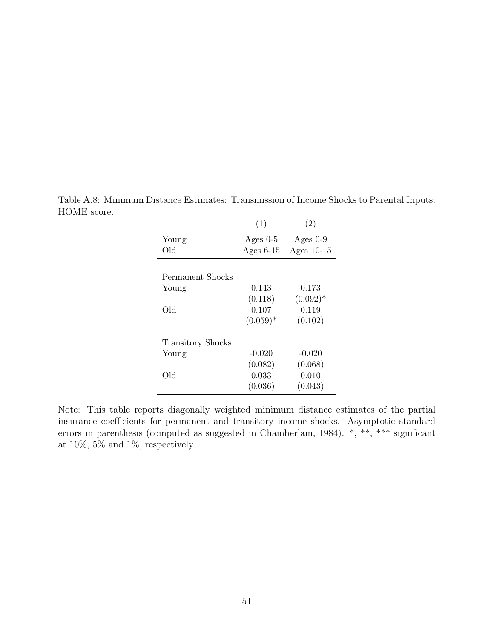|                          | (1)         | (2)          |
|--------------------------|-------------|--------------|
| Young                    | Ages $0-5$  | Ages $0-9$   |
| Old                      | Ages $6-15$ | Ages $10-15$ |
|                          |             |              |
| Permanent Shocks         |             |              |
| Young                    | 0.143       | 0.173        |
|                          | (0.118)     | $(0.092)^*$  |
| Old                      | 0.107       | 0.119        |
|                          | $(0.059)*$  | (0.102)      |
| <b>Transitory Shocks</b> |             |              |
| Young                    | $-0.020$    | $-0.020$     |
|                          | (0.082)     | (0.068)      |
| Old                      | 0.033       | 0.010        |
|                          | (0.036)     | (0.043)      |

<span id="page-52-0"></span>Table A.8: Minimum Distance Estimates: Transmission of Income Shocks to Parental Inputs: HOME score.

Note: This table reports diagonally weighted minimum distance estimates of the partial insurance coefficients for permanent and transitory income shocks. Asymptotic standard errors in parenthesis (computed as suggested in Chamberlain, 1984). \*, \*\*, \*\*\* significant at 10%, 5% and 1%, respectively.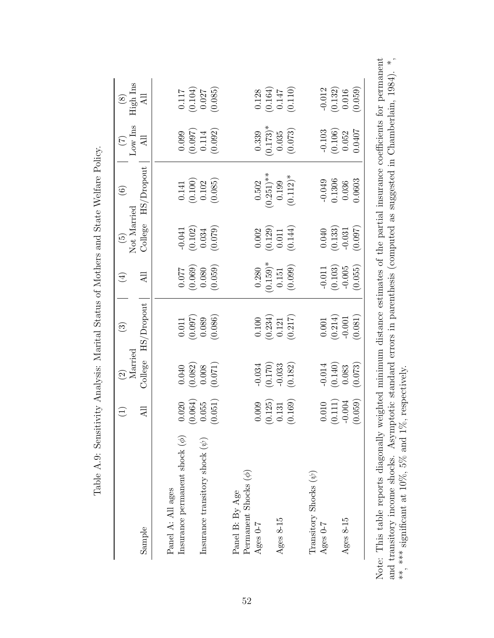<span id="page-53-0"></span>

|                                              | $\widehat{\Xi}$                                 | $\widehat{\odot}$                               | $\widehat{\mathbf{G}}$                                   | $\widehat{A}$                                              | $\widehat{G}$                             | $\widehat{\mathfrak{s}}$                                      | $\widetilde{C}$              | $\circledS$                                                                  |
|----------------------------------------------|-------------------------------------------------|-------------------------------------------------|----------------------------------------------------------|------------------------------------------------------------|-------------------------------------------|---------------------------------------------------------------|------------------------------|------------------------------------------------------------------------------|
|                                              |                                                 | Married                                         |                                                          |                                                            | Not Married                               |                                                               | $Low$ Ins                    | High Ins                                                                     |
| Sample                                       | 깈                                               | College                                         | HS/Dropout                                               | 긥                                                          | College                                   | $HS/D$ ropout                                                 |                              | 급                                                                            |
| Panel A: All ages                            |                                                 |                                                 |                                                          |                                                            |                                           |                                                               |                              |                                                                              |
| Insurance permanent shock $(\phi)$           | 0.020                                           | 0.040                                           | 0.011                                                    | 120.0                                                      | $\!0.041$                                 | 0.141                                                         | 0.099                        |                                                                              |
|                                              | $\left(0.064\right)$ $\left(0.055\right)$       | $\begin{array}{c} (0.082) \\ 0.008 \end{array}$ | $\begin{array}{c} 0.097 \\ 0.089 \end{array}$            | $(0.069)$<br>0.080                                         | $\left(0.102\right)$ $\left(0.034\right)$ | $\left(0.100\right)$ $\left(0.102\right)$                     |                              | $\begin{array}{c} 0.117 \\ (0.104) \\ 0.027 \end{array}$                     |
| Insurance transitory shock $(\psi)$          |                                                 |                                                 |                                                          |                                                            |                                           |                                                               |                              |                                                                              |
|                                              | (0.051)                                         | (0.071)                                         | (0.086)                                                  | (0.059)                                                    | (0.079)                                   | (0.085)                                                       | $(0.097)$<br>0.114<br>0.092) | (0.085)                                                                      |
| Permanent Shocks $(\phi)$<br>Panel B: By Age |                                                 |                                                 |                                                          |                                                            |                                           |                                                               |                              |                                                                              |
| Ages $0-7$                                   | 0.009                                           | $-0.034$                                        |                                                          |                                                            | 0.002                                     |                                                               | 0.339                        |                                                                              |
|                                              | $\begin{array}{c} (0.125) \\ 0.131 \end{array}$ | (0.170)                                         | $\begin{array}{c} 0.100 \\ (0.234) \\ 0.121 \end{array}$ | $\begin{array}{c} 0.280 \\ (0.159)^* \\ 0.151 \end{array}$ |                                           | $\begin{array}{c} 0.502 \\ (0.251)^{**} \\ 0.199 \end{array}$ | $(0.173)^\ast$               | $\begin{array}{c} 0.128 \\ (0.164) \\ 0.147 \\ 0.147 \\ (0.110) \end{array}$ |
| Ages 8-15                                    |                                                 | $-0.033$                                        |                                                          |                                                            | $(0.129)$<br>$0.011$                      |                                                               | 0.035                        |                                                                              |
|                                              | (0.169)                                         | (0.182)                                         | (0.217)                                                  | (0.099)                                                    | (0.144)                                   | $(0.112)^*$                                                   | (0.073)                      |                                                                              |
| Transitory Shocks $(\psi)$                   |                                                 |                                                 |                                                          |                                                            |                                           |                                                               |                              |                                                                              |
| Ages 0-7                                     | 0.010                                           | $-0.014$                                        | $0.001\,$                                                | $-0.011$                                                   | 0.040                                     | $-0.049$                                                      | $-0.103$                     | $-0.012$                                                                     |
|                                              | (0.111)                                         | (0.140)                                         | (0.214)                                                  | (0.103)                                                    | (0.133)                                   | 0.1306                                                        | (0.106)                      | (0.132)                                                                      |
| Ages 8-15                                    | $-0.004$                                        | 0.083                                           | $-0.001$                                                 | $-0.005$                                                   | $-0.031$                                  | 0.036                                                         | 0.052                        | 0.016                                                                        |
|                                              | (0.059)                                         | (0.073)                                         | (0.081)                                                  | (0.055)                                                    | (160.0)                                   | 0.0603                                                        | 0.0407                       | (0.059)                                                                      |

Table A.9: Sensitivity Analysis: Marital Status of Mothers and State Welfare Policy. Table A.9: Sensitivity Analysis: Marital Status of Mothers and State Welfare Policy.

Note: This table reports diagonally weighted minimum distance estimates of the partial insurance coefficients for permanent and transitory income shocks. Asymptotic standard errors in parenthesis (computed as suggested in Note: This table reports diagonally weighted minimum distance estimates of the partial insurance coefficients for permanent and transitory income shocks. Asymptotic standard errors in parenthesis (computed as suggested in Chamberlain, 1984).  $*,$ \*\*, \*\*\* significant at  $10\%$ , 5% and  $1\%$ , respectively. Note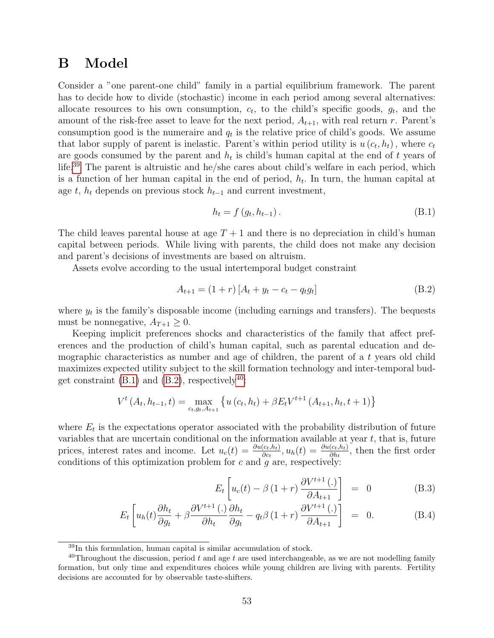## <span id="page-54-0"></span>B Model

Consider a "one parent-one child" family in a partial equilibrium framework. The parent has to decide how to divide (stochastic) income in each period among several alternatives: allocate resources to his own consumption,  $c_t$ , to the child's specific goods,  $g_t$ , and the amount of the risk-free asset to leave for the next period,  $A_{t+1}$ , with real return r. Parent's consumption good is the numeraire and  $q_t$  is the relative price of child's goods. We assume that labor supply of parent is inelastic. Parent's within period utility is  $u(c_t, h_t)$ , where  $c_t$ are goods consumed by the parent and  $h_t$  is child's human capital at the end of t years of life.<sup>[39](#page-54-1)</sup> The parent is altruistic and he/she cares about child's welfare in each period, which is a function of her human capital in the end of period,  $h_t$ . In turn, the human capital at age t,  $h_t$  depends on previous stock  $h_{t-1}$  and current investment,

<span id="page-54-2"></span>
$$
h_t = f(g_t, h_{t-1}).
$$
\n(B.1)

The child leaves parental house at age  $T + 1$  and there is no depreciation in child's human capital between periods. While living with parents, the child does not make any decision and parent's decisions of investments are based on altruism.

Assets evolve according to the usual intertemporal budget constraint

<span id="page-54-3"></span>
$$
A_{t+1} = (1+r) [A_t + y_t - c_t - q_t g_t]
$$
 (B.2)

where  $y_t$  is the family's disposable income (including earnings and transfers). The bequests must be nonnegative,  $A_{T+1} \geq 0$ .

Keeping implicit preferences shocks and characteristics of the family that affect preferences and the production of child's human capital, such as parental education and demographic characteristics as number and age of children, the parent of a  $t$  years old child maximizes expected utility subject to the skill formation technology and inter-temporal budget constraint  $(B.1)$  and  $(B.2)$ , respectively<sup>[40](#page-54-4)</sup>:

$$
V^{t}(A_{t}, h_{t-1}, t) = \max_{c_{t}, g_{t}, A_{t+1}} \left\{ u(c_{t}, h_{t}) + \beta E_{t} V^{t+1}(A_{t+1}, h_{t}, t+1) \right\}
$$

where  $E_t$  is the expectations operator associated with the probability distribution of future variables that are uncertain conditional on the information available at year  $t$ , that is, future prices, interest rates and income. Let  $u_c(t) = \frac{\partial u(c_t, h_t)}{\partial c_t}$ ,  $u_h(t) = \frac{\partial u(c_t, h_t)}{\partial h_t}$ , then the first order conditions of this optimization problem for  $c$  and  $g$  are, respectively:

<span id="page-54-5"></span>
$$
E_t \left[ u_c(t) - \beta (1+r) \frac{\partial V^{t+1}(\cdot)}{\partial A_{t+1}} \right] = 0
$$
 (B.3)

$$
E_t \left[ u_h(t) \frac{\partial h_t}{\partial g_t} + \beta \frac{\partial V^{t+1} \left( . \right)}{\partial h_t} \frac{\partial h_t}{\partial g_t} - q_t \beta \left( 1 + r \right) \frac{\partial V^{t+1} \left( . \right)}{\partial A_{t+1}} \right] = 0. \tag{B.4}
$$

<span id="page-54-4"></span><span id="page-54-1"></span><sup>39</sup>In this formulation, human capital is similar accumulation of stock.

 $40$ Throughout the discussion, period t and age t are used interchangeable, as we are not modelling family formation, but only time and expenditures choices while young children are living with parents. Fertility decisions are accounted for by observable taste-shifters.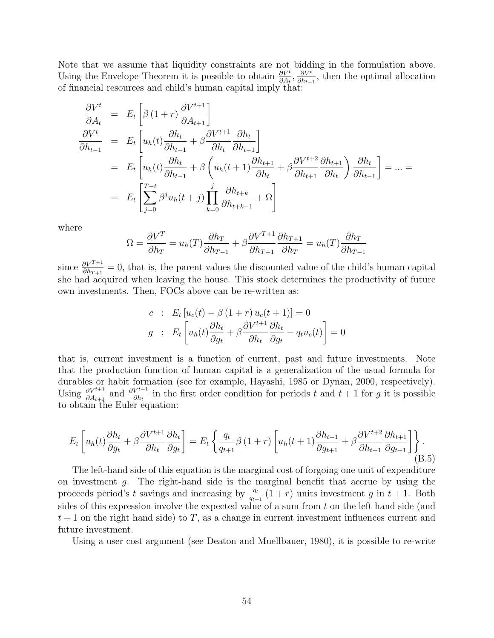Note that we assume that liquidity constraints are not bidding in the formulation above. Using the Envelope Theorem it is possible to obtain  $\frac{\partial V^t}{\partial A_t}, \frac{\partial V^t}{\partial h_{t-}}$  $\frac{\partial V^{\iota}}{\partial h_{t-1}}$ , then the optimal allocation of financial resources and child's human capital imply that:

$$
\frac{\partial V^t}{\partial A_t} = E_t \left[ \beta (1+r) \frac{\partial V^{t+1}}{\partial A_{t+1}} \right]
$$
\n
$$
\frac{\partial V^t}{\partial h_{t-1}} = E_t \left[ u_h(t) \frac{\partial h_t}{\partial h_{t-1}} + \beta \frac{\partial V^{t+1}}{\partial h_t} \frac{\partial h_t}{\partial h_{t-1}} \right]
$$
\n
$$
= E_t \left[ u_h(t) \frac{\partial h_t}{\partial h_{t-1}} + \beta \left( u_h(t+1) \frac{\partial h_{t+1}}{\partial h_t} + \beta \frac{\partial V^{t+2}}{\partial h_{t+1}} \frac{\partial h_{t+1}}{\partial h_t} \right) \frac{\partial h_t}{\partial h_{t-1}} \right] = \dots =
$$
\n
$$
= E_t \left[ \sum_{j=0}^{T-t} \beta^j u_h(t+j) \prod_{k=0}^j \frac{\partial h_{t+k}}{\partial h_{t+k-1}} + \Omega \right]
$$

where

$$
\Omega = \frac{\partial V^T}{\partial h_T} = u_h(T) \frac{\partial h_T}{\partial h_{T-1}} + \beta \frac{\partial V^{T+1}}{\partial h_{T+1}} \frac{\partial h_{T+1}}{\partial h_T} = u_h(T) \frac{\partial h_T}{\partial h_{T-1}}
$$

since  $\frac{\partial V^{T+1}}{\partial h_{T+1}} = 0$ , that is, the parent values the discounted value of the child's human capital she had acquired when leaving the house. This stock determines the productivity of future own investments. Then, FOCs above can be re-written as:

$$
c : E_t [u_c(t) - \beta (1+r) u_c(t+1)] = 0
$$
  

$$
g : E_t [u_h(t) \frac{\partial h_t}{\partial g_t} + \beta \frac{\partial V^{t+1}}{\partial h_t} \frac{\partial h_t}{\partial g_t} - q_t u_c(t)] = 0
$$

that is, current investment is a function of current, past and future investments. Note that the production function of human capital is a generalization of the usual formula for durables or habit formation (see for example, Hayashi, 1985 or Dynan, 2000, respectively). Using  $\frac{\partial V^{t+1}}{\partial A_{t+1}}$  and  $\frac{\partial V^{t+1}}{\partial h_t}$  in the first order condition for periods t and  $t+1$  for g it is possible to obtain the Euler equation:

<span id="page-55-0"></span>
$$
E_t\left[u_h(t)\frac{\partial h_t}{\partial g_t} + \beta \frac{\partial V^{t+1}}{\partial h_t}\frac{\partial h_t}{\partial g_t}\right] = E_t\left\{\frac{q_t}{q_{t+1}}\beta(1+r)\left[u_h(t+1)\frac{\partial h_{t+1}}{\partial g_{t+1}} + \beta \frac{\partial V^{t+2}}{\partial h_{t+1}}\frac{\partial h_{t+1}}{\partial g_{t+1}}\right]\right\}.
$$
(B.5)

The left-hand side of this equation is the marginal cost of forgoing one unit of expenditure on investment g. The right-hand side is the marginal benefit that accrue by using the proceeds period's t savings and increasing by  $\frac{q_t}{q_{t+1}}(1+r)$  units investment g in  $t+1$ . Both sides of this expression involve the expected value of a sum from  $t$  on the left hand side (and  $t + 1$  on the right hand side) to T, as a change in current investment influences current and future investment.

Using a user cost argument (see Deaton and Muellbauer, 1980), it is possible to re-write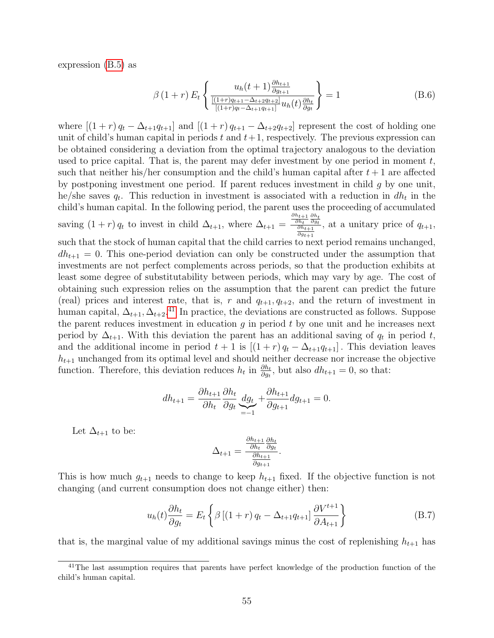expression [\(B.5\)](#page-55-0) as

$$
\beta(1+r) E_t \left\{ \frac{u_h(t+1) \frac{\partial h_{t+1}}{\partial g_{t+1}}}{\frac{[(1+r)q_{t+1} - \Delta_{t+2}q_{t+2}]}{[(1+r)q_t - \Delta_{t+1}q_{t+1}]} u_h(t) \frac{\partial h_t}{\partial g_t}} \right\} = 1
$$
\n(B.6)

where  $[(1 + r) q_t - \Delta_{t+1} q_{t+1}]$  and  $[(1 + r) q_{t+1} - \Delta_{t+2} q_{t+2}]$  represent the cost of holding one unit of child's human capital in periods  $t$  and  $t+1$ , respectively. The previous expression can be obtained considering a deviation from the optimal trajectory analogous to the deviation used to price capital. That is, the parent may defer investment by one period in moment  $t$ , such that neither his/her consumption and the child's human capital after  $t + 1$  are affected by postponing investment one period. If parent reduces investment in child  $g$  by one unit, he/she saves  $q_t$ . This reduction in investment is associated with a reduction in  $dh_t$  in the child's human capital. In the following period, the parent uses the proceeding of accumulated saving  $(1 + r) q_t$  to invest in child  $\Delta_{t+1}$ , where  $\Delta_{t+1} =$  $\partial h_{t+1}$  $\frac{\partial h_{t+1}}{\partial h_t}\frac{\partial h_t}{\partial g_t} \ \frac{\partial h_{t+1}}{\partial h_{t+1}}$  $\partial g_{t+1}$ , at a unitary price of  $q_{t+1}$ , such that the stock of human capital that the child carries to next period remains unchanged,  $dh_{t+1} = 0$ . This one-period deviation can only be constructed under the assumption that investments are not perfect complements across periods, so that the production exhibits at least some degree of substitutability between periods, which may vary by age. The cost of obtaining such expression relies on the assumption that the parent can predict the future (real) prices and interest rate, that is, r and  $q_{t+1}, q_{t+2}$ , and the return of investment in human capital,  $\Delta_{t+1}$ ,  $\Delta_{t+2}$ .<sup>[41](#page-56-0)</sup> In practice, the deviations are constructed as follows. Suppose the parent reduces investment in education  $g$  in period  $t$  by one unit and he increases next period by  $\Delta_{t+1}$ . With this deviation the parent has an additional saving of  $q_t$  in period t, and the additional income in period  $t + 1$  is  $[(1 + r) q_t - \Delta_{t+1} q_{t+1}]$ . This deviation leaves  $h_{t+1}$  unchanged from its optimal level and should neither decrease nor increase the objective function. Therefore, this deviation reduces  $h_t$  in  $\frac{\partial h_t}{\partial g_t}$ , but also  $dh_{t+1} = 0$ , so that:

$$
dh_{t+1} = \frac{\partial h_{t+1}}{\partial h_t} \frac{\partial h_t}{\partial g_t} \underbrace{dg_t}_{=-1} + \frac{\partial h_{t+1}}{\partial g_{t+1}} dg_{t+1} = 0.
$$

Let  $\Delta_{t+1}$  to be:

$$
\Delta_{t+1} = \frac{\frac{\partial h_{t+1}}{\partial h_t} \frac{\partial h_t}{\partial g_t}}{\frac{\partial h_{t+1}}{\partial g_{t+1}}}.
$$

This is how much  $g_{t+1}$  needs to change to keep  $h_{t+1}$  fixed. If the objective function is not changing (and current consumption does not change either) then:

<span id="page-56-1"></span>
$$
u_h(t)\frac{\partial h_t}{\partial g_t} = E_t \left\{ \beta \left[ (1+r) q_t - \Delta_{t+1} q_{t+1} \right] \frac{\partial V^{t+1}}{\partial A_{t+1}} \right\} \tag{B.7}
$$

that is, the marginal value of my additional savings minus the cost of replenishing  $h_{t+1}$  has

<span id="page-56-0"></span><sup>&</sup>lt;sup>41</sup>The last assumption requires that parents have perfect knowledge of the production function of the child's human capital.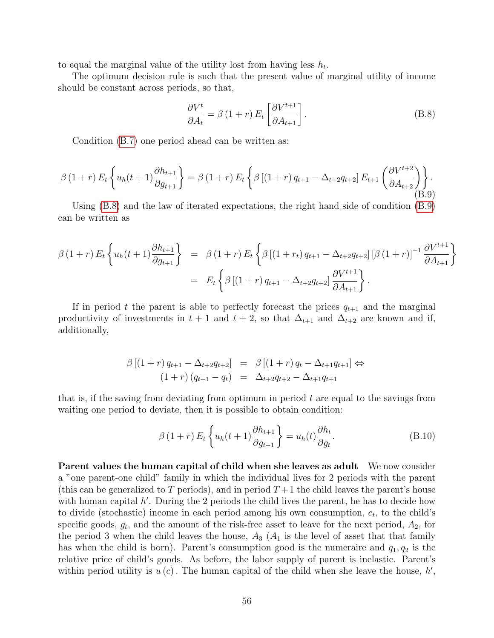to equal the marginal value of the utility lost from having less  $h_t$ .

The optimum decision rule is such that the present value of marginal utility of income should be constant across periods, so that,

<span id="page-57-0"></span>
$$
\frac{\partial V^t}{\partial A_t} = \beta (1+r) E_t \left[ \frac{\partial V^{t+1}}{\partial A_{t+1}} \right].
$$
 (B.8)

Condition [\(B.7\)](#page-56-1) one period ahead can be written as:

<span id="page-57-1"></span>
$$
\beta(1+r) E_t \left\{ u_h(t+1) \frac{\partial h_{t+1}}{\partial g_{t+1}} \right\} = \beta(1+r) E_t \left\{ \beta \left[ (1+r) q_{t+1} - \Delta_{t+2} q_{t+2} \right] E_{t+1} \left( \frac{\partial V^{t+2}}{\partial A_{t+2}} \right) \right\}.
$$
\n(B.9)

Using [\(B.8\)](#page-57-0) and the law of iterated expectations, the right hand side of condition [\(B.9\)](#page-57-1) can be written as

$$
\beta(1+r) E_t \left\{ u_h(t+1) \frac{\partial h_{t+1}}{\partial g_{t+1}} \right\} = \beta(1+r) E_t \left\{ \beta \left[ (1+r_t) q_{t+1} - \Delta_{t+2} q_{t+2} \right] \left[ \beta (1+r) \right]^{-1} \frac{\partial V^{t+1}}{\partial A_{t+1}} \right\}
$$
  
= 
$$
E_t \left\{ \beta \left[ (1+r) q_{t+1} - \Delta_{t+2} q_{t+2} \right] \frac{\partial V^{t+1}}{\partial A_{t+1}} \right\}.
$$

If in period t the parent is able to perfectly forecast the prices  $q_{t+1}$  and the marginal productivity of investments in  $t + 1$  and  $t + 2$ , so that  $\Delta_{t+1}$  and  $\Delta_{t+2}$  are known and if, additionally,

$$
\beta [(1+r) q_{t+1} - \Delta_{t+2} q_{t+2}] = \beta [(1+r) q_t - \Delta_{t+1} q_{t+1}] \Leftrightarrow (1+r) (q_{t+1} - q_t) = \Delta_{t+2} q_{t+2} - \Delta_{t+1} q_{t+1}
$$

that is, if the saving from deviating from optimum in period  $t$  are equal to the savings from waiting one period to deviate, then it is possible to obtain condition:

$$
\beta(1+r) E_t \left\{ u_h(t+1) \frac{\partial h_{t+1}}{\partial g_{t+1}} \right\} = u_h(t) \frac{\partial h_t}{\partial g_t}.
$$
 (B.10)

Parent values the human capital of child when she leaves as adult We now consider a "one parent-one child" family in which the individual lives for 2 periods with the parent (this can be generalized to T periods), and in period  $T+1$  the child leaves the parent's house with human capital  $h'$ . During the 2 periods the child lives the parent, he has to decide how to divide (stochastic) income in each period among his own consumption,  $c_t$ , to the child's specific goods,  $g_t$ , and the amount of the risk-free asset to leave for the next period,  $A_2$ , for the period 3 when the child leaves the house,  $A_3$  ( $A_1$  is the level of asset that that family has when the child is born). Parent's consumption good is the numeraire and  $q_1, q_2$  is the relative price of child's goods. As before, the labor supply of parent is inelastic. Parent's within period utility is  $u(c)$ . The human capital of the child when she leave the house,  $h'$ ,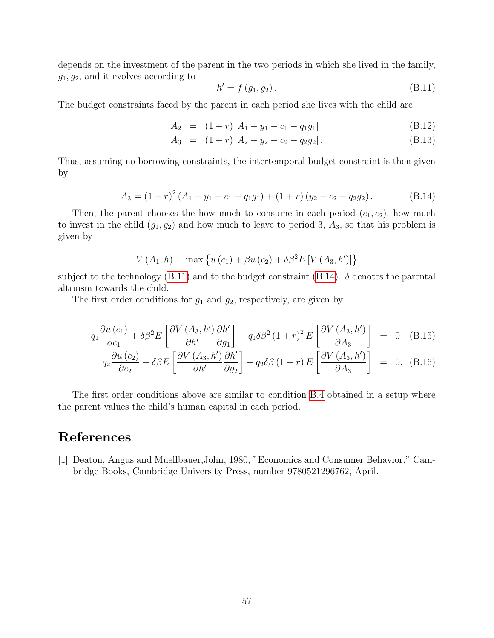depends on the investment of the parent in the two periods in which she lived in the family,  $g_1, g_2$ , and it evolves according to

<span id="page-58-0"></span>
$$
h' = f(g_1, g_2).
$$
 (B.11)

The budget constraints faced by the parent in each period she lives with the child are:

$$
A_2 = (1+r) [A_1 + y_1 - c_1 - q_1 g_1]
$$
 (B.12)

$$
A_3 = (1+r) [A_2 + y_2 - c_2 - q_2 g_2]. \tag{B.13}
$$

Thus, assuming no borrowing constraints, the intertemporal budget constraint is then given by

<span id="page-58-1"></span>
$$
A_3 = (1+r)^2 (A_1 + y_1 - c_1 - q_1 g_1) + (1+r) (y_2 - c_2 - q_2 g_2).
$$
 (B.14)

Then, the parent chooses the how much to consume in each period  $(c_1, c_2)$ , how much to invest in the child  $(g_1, g_2)$  and how much to leave to period 3,  $A_3$ , so that his problem is given by

$$
V(A_1, h) = \max \{ u(c_1) + \beta u(c_2) + \delta \beta^2 E [V(A_3, h')] \}
$$

subject to the technology [\(B.11\)](#page-58-0) and to the budget constraint [\(B.14\)](#page-58-1).  $\delta$  denotes the parental altruism towards the child.

The first order conditions for  $g_1$  and  $g_2$ , respectively, are given by

$$
q_1 \frac{\partial u\left(c_1\right)}{\partial c_1} + \delta \beta^2 E \left[ \frac{\partial V\left(A_3, h'\right)}{\partial h'} \frac{\partial h'}{\partial g_1} \right] - q_1 \delta \beta^2 \left(1 + r\right)^2 E \left[ \frac{\partial V\left(A_3, h'\right)}{\partial A_3} \right] = 0 \quad \text{(B.15)}
$$

$$
q_2 \frac{\partial u\left(c_2\right)}{\partial c_2} + \delta \beta E \left[ \frac{\partial V\left(A_3, h'\right)}{\partial h'} \frac{\partial h'}{\partial g_2} \right] - q_2 \delta \beta \left(1 + r\right) E \left[ \frac{\partial V\left(A_3, h'\right)}{\partial A_3} \right] = 0. \tag{B.16}
$$

The first order conditions above are similar to condition [B.4](#page-54-5) obtained in a setup where the parent values the child's human capital in each period.

### References

[1] Deaton, Angus and Muellbauer,John, 1980, "Economics and Consumer Behavior," Cambridge Books, Cambridge University Press, number 9780521296762, April.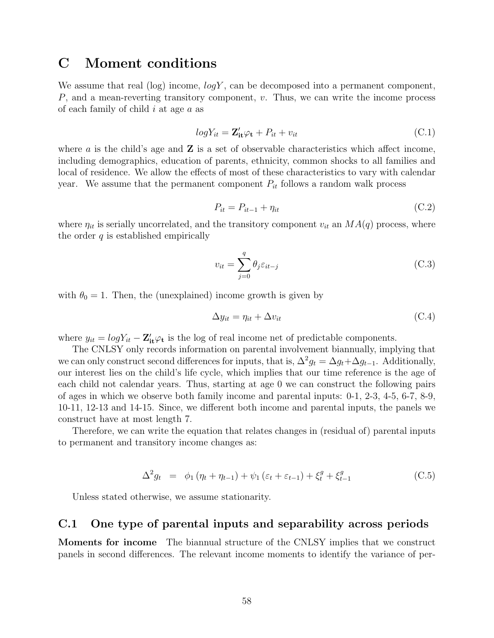### <span id="page-59-0"></span>C Moment conditions

We assume that real (log) income,  $logY$ , can be decomposed into a permanent component,  $P$ , and a mean-reverting transitory component,  $v$ . Thus, we can write the income process of each family of child i at age a as

$$
logY_{it} = \mathbf{Z'_{it}}\varphi_t + P_{it} + v_{it}
$$
\n(C.1)

where  $\alpha$  is the child's age and  $\mathbf Z$  is a set of observable characteristics which affect income, including demographics, education of parents, ethnicity, common shocks to all families and local of residence. We allow the effects of most of these characteristics to vary with calendar year. We assume that the permanent component  $P_{it}$  follows a random walk process

$$
P_{it} = P_{it-1} + \eta_{it} \tag{C.2}
$$

where  $\eta_{it}$  is serially uncorrelated, and the transitory component  $v_{it}$  an  $MA(q)$  process, where the order  $q$  is established empirically

$$
v_{it} = \sum_{j=0}^{q} \theta_j \varepsilon_{it-j}
$$
 (C.3)

with  $\theta_0 = 1$ . Then, the (unexplained) income growth is given by

$$
\Delta y_{it} = \eta_{it} + \Delta v_{it} \tag{C.4}
$$

where  $y_{it} = logY_{it} - \mathbf{Z'_{it}}\varphi_t$  is the log of real income net of predictable components.

The CNLSY only records information on parental involvement biannually, implying that we can only construct second differences for inputs, that is,  $\Delta^2 g_t = \Delta g_t + \Delta g_{t-1}$ . Additionally, our interest lies on the child's life cycle, which implies that our time reference is the age of each child not calendar years. Thus, starting at age 0 we can construct the following pairs of ages in which we observe both family income and parental inputs: 0-1, 2-3, 4-5, 6-7, 8-9, 10-11, 12-13 and 14-15. Since, we different both income and parental inputs, the panels we construct have at most length 7.

Therefore, we can write the equation that relates changes in (residual of) parental inputs to permanent and transitory income changes as:

$$
\Delta^2 g_t = \phi_1 (\eta_t + \eta_{t-1}) + \psi_1 (\varepsilon_t + \varepsilon_{t-1}) + \xi_t^g + \xi_{t-1}^g
$$
 (C.5)

Unless stated otherwise, we assume stationarity.

#### C.1 One type of parental inputs and separability across periods

Moments for income The biannual structure of the CNLSY implies that we construct panels in second differences. The relevant income moments to identify the variance of per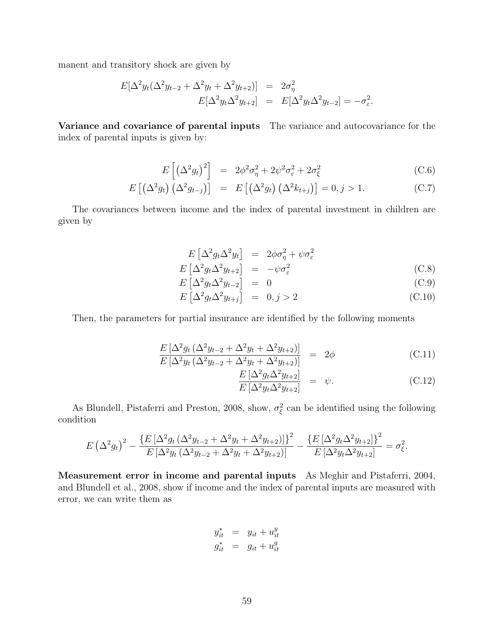manent and transitory shock are given by

$$
E[\Delta^2 y_t (\Delta^2 y_{t-2} + \Delta^2 y_t + \Delta^2 y_{t+2})] = 2\sigma_\eta^2
$$
  

$$
E[\Delta^2 y_t \Delta^2 y_{t+2}] = E[\Delta^2 y_t \Delta^2 y_{t-2}] = -\sigma_\varepsilon^2.
$$

Variance and covariance of parental inputs The variance and autocovariance for the index of parental inputs is given by:

$$
E\left[\left(\Delta^2 g_t\right)^2\right] = 2\phi^2 \sigma_\eta^2 + 2\psi^2 \sigma_\varepsilon^2 + 2\sigma_\xi^2 \tag{C.6}
$$

$$
E\left[\left(\Delta^2 g_t\right)\left(\Delta^2 g_{t-j}\right)\right] = E\left[\left(\Delta^2 g_t\right)\left(\Delta^2 k_{t+j}\right)\right] = 0, j > 1.
$$
 (C.7)

The covariances between income and the index of parental investment in children are given by

$$
E\left[\Delta^2 g_t \Delta^2 y_t\right] = 2\phi \sigma_\eta^2 + \psi \sigma_\varepsilon^2
$$
  

$$
E\left[\Delta^2 g_t \Delta^2 y_{t+2}\right] = -\psi \sigma_\varepsilon^2
$$
 (C.8)

$$
E\left[\Delta^2 g_t \Delta^2 g_{t-2}\right] = 0 \tag{C.9}
$$
  

$$
E\left[\Delta^2 g_t \Delta^2 g_{t-2}\right] = 0 \tag{C.9}
$$

$$
E\left[\Delta^2 g_t \Delta^2 y_{t+j}\right] = 0, j > 2 \tag{C.10}
$$

Then, the parameters for partial insurance are identified by the following moments

$$
\frac{E\left[\Delta^2 g_t \left(\Delta^2 y_{t-2} + \Delta^2 y_t + \Delta^2 y_{t+2}\right)\right]}{E\left[\Delta^2 y_t \left(\Delta^2 y_{t-2} + \Delta^2 y_t + \Delta^2 y_{t+2}\right)\right]} = 2\phi
$$
\n(C.11)

$$
\frac{E\left[\Delta^2 g_t \Delta^2 y_{t+2}\right]}{E\left[\Delta^2 y_t \Delta^2 y_{t+2}\right]} = \psi.
$$
\n(C.12)

As Blundell, Pistaferri and Preston, 2008, show,  $\sigma_{\xi}^2$  can be identified using the following condition

$$
E(\Delta^2 g_t)^2 - \frac{\left\{E\left[\Delta^2 g_t(\Delta^2 y_{t-2} + \Delta^2 y_t + \Delta^2 y_{t+2})\right]\right\}^2}{E\left[\Delta^2 y_t(\Delta^2 y_{t-2} + \Delta^2 y_t + \Delta^2 y_{t+2})\right]} - \frac{\left\{E\left[\Delta^2 g_t \Delta^2 y_{t+2}\right]\right\}^2}{E\left[\Delta^2 y_t \Delta^2 y_{t+2}\right]} = \sigma_{\xi}^2.
$$

Measurement error in income and parental inputs As Meghir and Pistaferri, 2004, and Blundell et al., 2008, show if income and the index of parental inputs are measured with error, we can write them as

$$
y_{it}^* = y_{it} + u_{it}^y
$$
  

$$
g_{it}^* = g_{it} + u_{it}^g
$$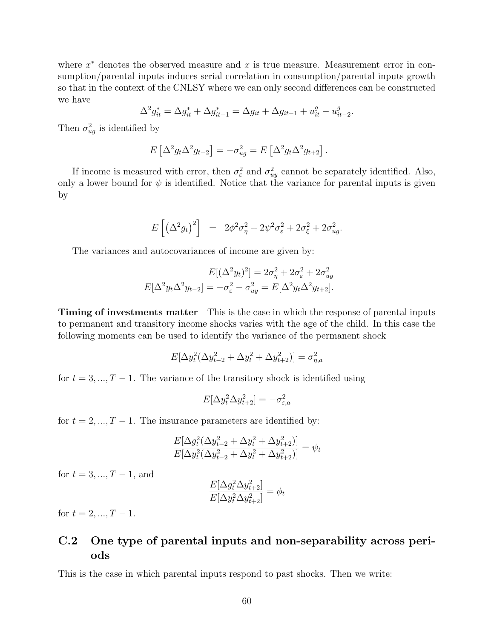where  $x^*$  denotes the observed measure and  $x$  is true measure. Measurement error in consumption/parental inputs induces serial correlation in consumption/parental inputs growth so that in the context of the CNLSY where we can only second differences can be constructed we have

$$
\Delta^2 g_{it}^* = \Delta g_{it}^* + \Delta g_{it-1}^* = \Delta g_{it} + \Delta g_{it-1} + u_{it}^g - u_{it-2}^g.
$$

Then  $\sigma_{ug}^2$  is identified by

$$
E\left[\Delta^2 g_t \Delta^2 g_{t-2}\right] = -\sigma_{ug}^2 = E\left[\Delta^2 g_t \Delta^2 g_{t+2}\right].
$$

If income is measured with error, then  $\sigma_{\varepsilon}^2$  and  $\sigma_{uy}^2$  cannot be separately identified. Also, only a lower bound for  $\psi$  is identified. Notice that the variance for parental inputs is given by

$$
E\left[\left(\Delta^2 g_t\right)^2\right] = 2\phi^2 \sigma_\eta^2 + 2\psi^2 \sigma_\varepsilon^2 + 2\sigma_\xi^2 + 2\sigma_{ug}^2.
$$

The variances and autocovariances of income are given by:

$$
E[(\Delta^2 y_t)^2] = 2\sigma_\eta^2 + 2\sigma_\varepsilon^2 + 2\sigma_{uy}^2
$$

$$
E[\Delta^2 y_t \Delta^2 y_{t-2}] = -\sigma_\varepsilon^2 - \sigma_{uy}^2 = E[\Delta^2 y_t \Delta^2 y_{t+2}].
$$

Timing of investments matter This is the case in which the response of parental inputs to permanent and transitory income shocks varies with the age of the child. In this case the following moments can be used to identify the variance of the permanent shock

$$
E[\Delta y_t^2 (\Delta y_{t-2}^2 + \Delta y_t^2 + \Delta y_{t+2}^2)] = \sigma_{\eta,a}^2
$$

for  $t = 3, ..., T - 1$ . The variance of the transitory shock is identified using

$$
E[\Delta y_t^2 \Delta y_{t+2}^2] = -\sigma_{\varepsilon,a}^2
$$

for  $t = 2, ..., T - 1$ . The insurance parameters are identified by:

$$
\frac{E[\Delta g_t^2(\Delta y_{t-2}^2 + \Delta y_t^2 + \Delta y_{t+2}^2)]}{E[\Delta y_t^2(\Delta y_{t-2}^2 + \Delta y_t^2 + \Delta y_{t+2}^2)]} = \psi_t
$$

for  $t = 3, ..., T - 1$ , and

$$
\frac{E[\Delta g_t^2 \Delta y_{t+2}^2]}{E[\Delta y_t^2 \Delta y_{t+2}^2]} = \phi_t
$$

for  $t = 2, ..., T - 1$ .

#### C.2 One type of parental inputs and non-separability across periods

This is the case in which parental inputs respond to past shocks. Then we write: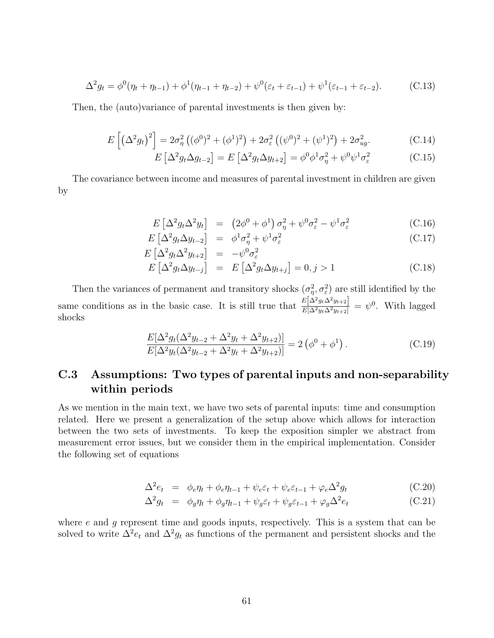<span id="page-62-0"></span>
$$
\Delta^2 g_t = \phi^0(\eta_t + \eta_{t-1}) + \phi^1(\eta_{t-1} + \eta_{t-2}) + \psi^0(\varepsilon_t + \varepsilon_{t-1}) + \psi^1(\varepsilon_{t-1} + \varepsilon_{t-2}).
$$
 (C.13)

Then, the (auto)variance of parental investments is then given by:

$$
E\left[\left(\Delta^2 g_t\right)^2\right] = 2\sigma_\eta^2 \left( (\phi^0)^2 + (\phi^1)^2 \right) + 2\sigma_\varepsilon^2 \left( (\psi^0)^2 + (\psi^1)^2 \right) + 2\sigma_{ug}^2. \tag{C.14}
$$

$$
E\left[\Delta^2 g_t \Delta g_{t-2}\right] = E\left[\Delta^2 g_t \Delta y_{t+2}\right] = \phi^0 \phi^1 \sigma_\eta^2 + \psi^0 \psi^1 \sigma_\varepsilon^2 \tag{C.15}
$$

The covariance between income and measures of parental investment in children are given by

$$
E\left[\Delta^2 g_t \Delta^2 y_t\right] = \left(2\phi^0 + \phi^1\right)\sigma_\eta^2 + \psi^0 \sigma_\varepsilon^2 - \psi^1 \sigma_\varepsilon^2 \tag{C.16}
$$

$$
E\left[\Delta^2 g_t \Delta y_{t-2}\right] = \phi^1 \sigma_\eta^2 + \psi^1 \sigma_\varepsilon^2 \tag{C.17}
$$

$$
E\left[\Delta^2 g_t \Delta^2 y_{t+2}\right] = -\psi^0 \sigma_\varepsilon^2
$$
  
\n
$$
E\left[\Delta^2 g_t \Delta y_{t-j}\right] = E\left[\Delta^2 g_t \Delta y_{t+j}\right] = 0, j > 1
$$
 (C.18)

Then the variances of permanent and transitory shocks  $(\sigma_{\eta}^2, \sigma_{\varepsilon}^2)$  are still identified by the same conditions as in the basic case. It is still true that  $\frac{E[\Delta^2 g_t \Delta^2 g_{t+2}]}{E[\Delta^2 g_t \Delta^2 g_{t+2}]} = \psi^0$ . With lagged shocks

$$
\frac{E[\Delta^2 g_t(\Delta^2 g_{t-2} + \Delta^2 g_t + \Delta^2 g_{t+2})]}{E[\Delta^2 g_t(\Delta^2 g_{t-2} + \Delta^2 g_t + \Delta^2 g_{t+2})]} = 2(\phi^0 + \phi^1). \tag{C.19}
$$

## C.3 Assumptions: Two types of parental inputs and non-separability within periods

As we mention in the main text, we have two sets of parental inputs: time and consumption related. Here we present a generalization of the setup above which allows for interaction between the two sets of investments. To keep the exposition simpler we abstract from measurement error issues, but we consider them in the empirical implementation. Consider the following set of equations

$$
\Delta^2 e_t = \phi_e \eta_t + \phi_e \eta_{t-1} + \psi_e \varepsilon_t + \psi_e \varepsilon_{t-1} + \varphi_e \Delta^2 g_t \tag{C.20}
$$

$$
\Delta^2 g_t = \phi_g \eta_t + \phi_g \eta_{t-1} + \psi_g \varepsilon_t + \psi_g \varepsilon_{t-1} + \varphi_g \Delta^2 e_t \tag{C.21}
$$

where  $e$  and  $g$  represent time and goods inputs, respectively. This is a system that can be solved to write  $\Delta^2 e_t$  and  $\Delta^2 g_t$  as functions of the permanent and persistent shocks and the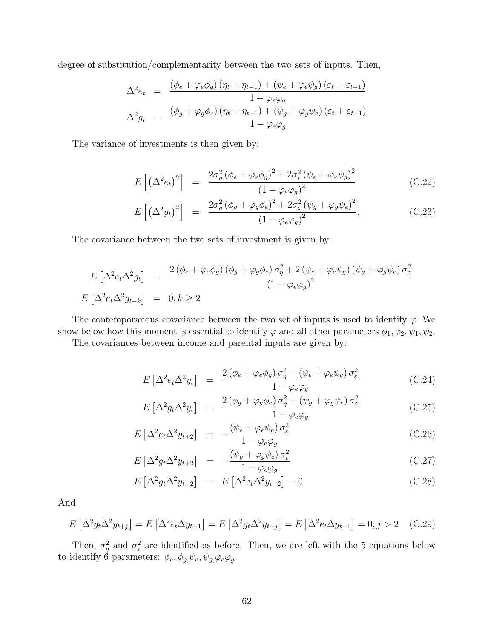degree of substitution/complementarity between the two sets of inputs. Then,

$$
\Delta^2 e_t = \frac{(\phi_e + \varphi_e \phi_g) (\eta_t + \eta_{t-1}) + (\psi_e + \varphi_e \psi_g) (\varepsilon_t + \varepsilon_{t-1})}{1 - \varphi_e \varphi_g}
$$
  

$$
\Delta^2 g_t = \frac{(\phi_g + \varphi_g \phi_e) (\eta_t + \eta_{t-1}) + (\psi_g + \varphi_g \psi_e) (\varepsilon_t + \varepsilon_{t-1})}{1 - \varphi_e \varphi_g}
$$

The variance of investments is then given by:

$$
E\left[\left(\Delta^2 e_t\right)^2\right] = \frac{2\sigma_\eta^2 \left(\phi_e + \varphi_e \phi_g\right)^2 + 2\sigma_\varepsilon^2 \left(\psi_e + \varphi_e \psi_g\right)^2}{\left(1 - \varphi_e \varphi_g\right)^2} \tag{C.22}
$$

$$
E\left[\left(\Delta^2 g_t\right)^2\right] = \frac{2\sigma_\eta^2 \left(\phi_g + \varphi_g \phi_e\right)^2 + 2\sigma_\varepsilon^2 \left(\psi_g + \varphi_g \psi_e\right)^2}{\left(1 - \varphi_e \varphi_g\right)^2}.
$$
 (C.23)

The covariance between the two sets of investment is given by:

$$
E\left[\Delta^2 e_t \Delta^2 g_t\right] = \frac{2\left(\phi_e + \varphi_e \phi_g\right)\left(\phi_g + \varphi_g \phi_e\right) \sigma_\eta^2 + 2\left(\psi_e + \varphi_e \psi_g\right)\left(\psi_g + \varphi_g \psi_e\right) \sigma_\varepsilon^2}{\left(1 - \varphi_e \varphi_g\right)^2}
$$
  

$$
E\left[\Delta^2 e_t \Delta^2 g_{t-k}\right] = 0, k \ge 2
$$

The contemporanous covariance between the two set of inputs is used to identify  $\varphi$ . We show below how this moment is essential to identify  $\varphi$  and all other parameters  $\phi_1, \phi_2, \psi_1, \psi_2$ .

The covariances between income and parental inputs are given by:

$$
E\left[\Delta^2 e_t \Delta^2 y_t\right] = \frac{2\left(\phi_e + \varphi_e \phi_g\right) \sigma_\eta^2 + \left(\psi_e + \varphi_e \psi_g\right) \sigma_\varepsilon^2}{1 - \varphi_e \varphi_g} \tag{C.24}
$$

$$
E\left[\Delta^2 g_t \Delta^2 y_t\right] = \frac{2\left(\phi_g + \varphi_g \phi_e\right) \sigma_\eta^2 + \left(\psi_g + \varphi_g \psi_e\right) \sigma_\varepsilon^2}{1 - \varphi_e \varphi_g} \tag{C.25}
$$

$$
E\left[\Delta^2 e_t \Delta^2 y_{t+2}\right] = -\frac{\left(\psi_e + \varphi_e \psi_g\right) \sigma_\varepsilon^2}{1 - \varphi_e \varphi_g} \tag{C.26}
$$

$$
E\left[\Delta^2 g_t \Delta^2 y_{t+2}\right] = -\frac{\left(\psi_g + \varphi_g \psi_e\right) \sigma_\varepsilon^2}{1 - \varphi_e \varphi_g} \tag{C.27}
$$

$$
E\left[\Delta^2 g_t \Delta^2 y_{t-2}\right] = E\left[\Delta^2 e_t \Delta^2 y_{t-2}\right] = 0
$$
\n(C.28)

And

$$
E\left[\Delta^2 g_t \Delta^2 y_{t+j}\right] = E\left[\Delta^2 e_t \Delta y_{t+1}\right] = E\left[\Delta^2 g_t \Delta^2 y_{t-j}\right] = E\left[\Delta^2 e_t \Delta y_{t-1}\right] = 0, j > 2 \quad \text{(C.29)}
$$

Then,  $\sigma_{\eta}^2$  and  $\sigma_{\varepsilon}^2$  are identified as before. Then, we are left with the 5 equations below to identify 6 parameters:  $\phi_e, \phi_g, \psi_e, \psi_g, \varphi_e, \varphi_g$ .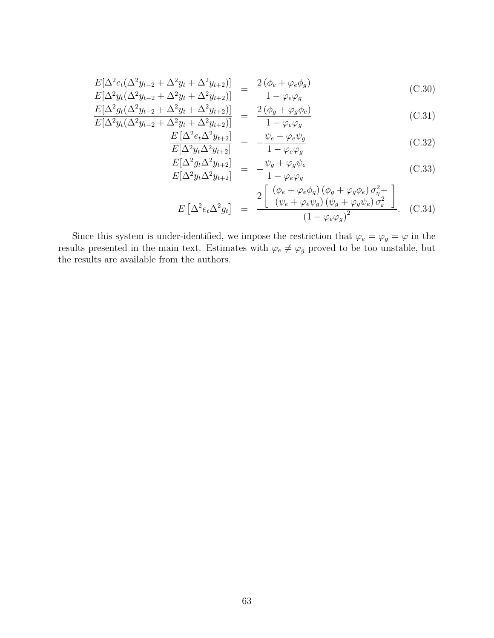$$
\frac{E[\Delta^2 e_t (\Delta^2 y_{t-2} + \Delta^2 y_t + \Delta^2 y_{t+2})]}{E[\Delta^2 y_t (\Delta^2 y_{t-2} + \Delta^2 y_t + \Delta^2 y_{t+2})]} = \frac{2(\phi_e + \varphi_e \phi_g)}{1 - \varphi_e \varphi_g}
$$
\n(C.30)

$$
\frac{E[\Delta^2 g_t(\Delta^2 g_{t-2} + \Delta^2 g_t + \Delta^2 g_{t+2})]}{E[\Delta^2 g_t(\Delta^2 g_{t-2} + \Delta^2 g_t + \Delta^2 g_{t+2})]} = \frac{2(\phi_g + \varphi_g \phi_e)}{1 - \varphi_e \varphi_g}
$$
\n(C.31)

$$
\frac{E\left[\Delta^2 e_t \Delta^2 y_{t+2}\right]}{E\left[\Delta^2 y_t \Delta^2 y_{t+2}\right]} = -\frac{\psi_e + \varphi_e \psi_g}{1 - \varphi_e \varphi_g} \tag{C.32}
$$

$$
\frac{E[\Delta^2 g_t \Delta^2 g_{t+2}]}{E[\Delta^2 g_t \Delta^2 g_{t+2}]} = -\frac{\psi_g + \varphi_g \psi_e}{1 - \varphi_e \varphi_g} \tag{C.33}
$$

$$
E\left[\Delta^2 e_t \Delta^2 g_t\right] = \frac{2\left[\begin{array}{c} \left(\phi_e + \varphi_e \phi_g\right)\left(\phi_g + \varphi_g \phi_e\right) \sigma_\eta^2 + \\ \left(\psi_e + \varphi_e \psi_g\right)\left(\psi_g + \varphi_g \psi_e\right) \sigma_\varepsilon^2 \end{array}\right]}{\left(1 - \varphi_e \varphi_g\right)^2}.
$$
 (C.34)

Since this system is under-identified, we impose the restriction that  $\varphi_e = \varphi_g = \varphi$  in the results presented in the main text. Estimates with  $\varphi_e \neq \varphi_g$  proved to be too unstable, but the results are available from the authors.